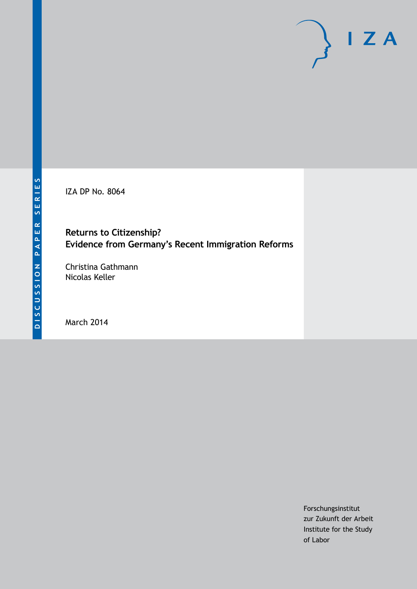IZA DP No. 8064

## **Returns to Citizenship? Evidence from Germany's Recent Immigration Reforms**

Christina Gathmann Nicolas Keller

March 2014

Forschungsinstitut zur Zukunft der Arbeit Institute for the Study of Labor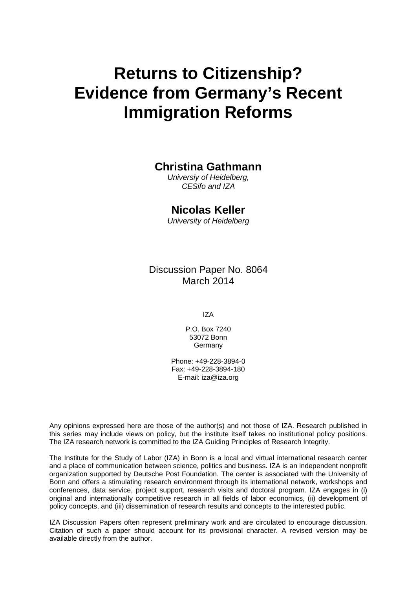# **Returns to Citizenship? Evidence from Germany's Recent Immigration Reforms**

## **Christina Gathmann**

*Universiy of Heidelberg, CESifo and IZA*

## **Nicolas Keller**

*University of Heidelberg*

Discussion Paper No. 8064 March 2014

IZA

P.O. Box 7240 53072 Bonn Germany

Phone: +49-228-3894-0 Fax: +49-228-3894-180 E-mail: [iza@iza.org](mailto:iza@iza.org)

Any opinions expressed here are those of the author(s) and not those of IZA. Research published in this series may include views on policy, but the institute itself takes no institutional policy positions. The IZA research network is committed to the IZA Guiding Principles of Research Integrity.

The Institute for the Study of Labor (IZA) in Bonn is a local and virtual international research center and a place of communication between science, politics and business. IZA is an independent nonprofit organization supported by Deutsche Post Foundation. The center is associated with the University of Bonn and offers a stimulating research environment through its international network, workshops and conferences, data service, project support, research visits and doctoral program. IZA engages in (i) original and internationally competitive research in all fields of labor economics, (ii) development of policy concepts, and (iii) dissemination of research results and concepts to the interested public.

<span id="page-1-0"></span>IZA Discussion Papers often represent preliminary work and are circulated to encourage discussion. Citation of such a paper should account for its provisional character. A revised version may be available directly from the author.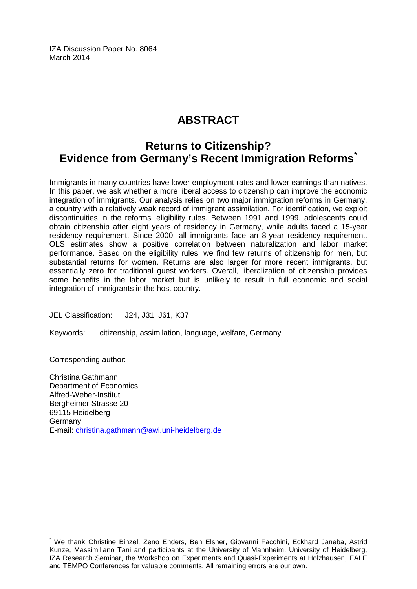IZA Discussion Paper No. 8064 March 2014

# **ABSTRACT**

# **Returns to Citizenship? Evidence from Germany's Recent Immigration Reforms[\\*](#page-1-0)**

Immigrants in many countries have lower employment rates and lower earnings than natives. In this paper, we ask whether a more liberal access to citizenship can improve the economic integration of immigrants. Our analysis relies on two major immigration reforms in Germany, a country with a relatively weak record of immigrant assimilation. For identification, we exploit discontinuities in the reforms' eligibility rules. Between 1991 and 1999, adolescents could obtain citizenship after eight years of residency in Germany, while adults faced a 15-year residency requirement. Since 2000, all immigrants face an 8-year residency requirement. OLS estimates show a positive correlation between naturalization and labor market performance. Based on the eligibility rules, we find few returns of citizenship for men, but substantial returns for women. Returns are also larger for more recent immigrants, but essentially zero for traditional guest workers. Overall, liberalization of citizenship provides some benefits in the labor market but is unlikely to result in full economic and social integration of immigrants in the host country.

JEL Classification: J24, J31, J61, K37

Keywords: citizenship, assimilation, language, welfare, Germany

Corresponding author:

Christina Gathmann Department of Economics Alfred-Weber-Institut Bergheimer Strasse 20 69115 Heidelberg Germany E-mail: [christina.gathmann@awi.uni-heidelberg.de](mailto:christina.gathmann@awi.uni-heidelberg.de)

\* We thank Christine Binzel, Zeno Enders, Ben Elsner, Giovanni Facchini, Eckhard Janeba, Astrid Kunze, Massimiliano Tani and participants at the University of Mannheim, University of Heidelberg, IZA Research Seminar, the Workshop on Experiments and Quasi-Experiments at Holzhausen, EALE and TEMPO Conferences for valuable comments. All remaining errors are our own.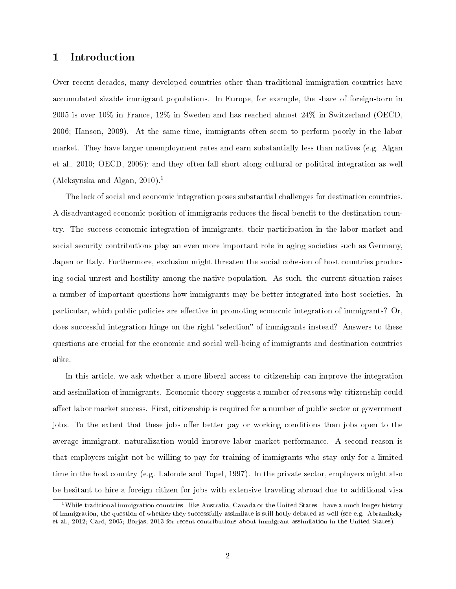## 1 Introduction

Over recent decades, many developed countries other than traditional immigration countries have accumulated sizable immigrant populations. In Europe, for example, the share of foreign-born in 2005 is over 10% in France, 12% in Sweden and has reached almost 24% in Switzerland (OECD, 2006; Hanson, 2009). At the same time, immigrants often seem to perform poorly in the labor market. They have larger unemployment rates and earn substantially less than natives (e.g. Algan et al., 2010; OECD, 2006); and they often fall short along cultural or political integration as well (Aleksynska and Algan, 2010).<sup>1</sup>

The lack of social and economic integration poses substantial challenges for destination countries. A disadvantaged economic position of immigrants reduces the fiscal benefit to the destination country. The success economic integration of immigrants, their participation in the labor market and social security contributions play an even more important role in aging societies such as Germany, Japan or Italy. Furthermore, exclusion might threaten the social cohesion of host countries producing social unrest and hostility among the native population. As such, the current situation raises a number of important questions how immigrants may be better integrated into host societies. In particular, which public policies are effective in promoting economic integration of immigrants? Or, does successful integration hinge on the right "selection" of immigrants instead? Answers to these questions are crucial for the economic and social well-being of immigrants and destination countries alike.

In this article, we ask whether a more liberal access to citizenship can improve the integration and assimilation of immigrants. Economic theory suggests a number of reasons why citizenship could affect labor market success. First, citizenship is required for a number of public sector or government jobs. To the extent that these jobs offer better pay or working conditions than jobs open to the average immigrant, naturalization would improve labor market performance. A second reason is that employers might not be willing to pay for training of immigrants who stay only for a limited time in the host country (e.g. Lalonde and Topel, 1997). In the private sector, employers might also be hesitant to hire a foreign citizen for jobs with extensive traveling abroad due to additional visa

<sup>&</sup>lt;sup>1</sup>While traditional immigration countries - like Australia, Canada or the United States - have a much longer history of immigration, the question of whether they successfully assimilate is still hotly debated as well (see e.g. Abramitzky et al., 2012; Card, 2005; Borjas, 2013 for recent contributions about immigrant assimilation in the United States).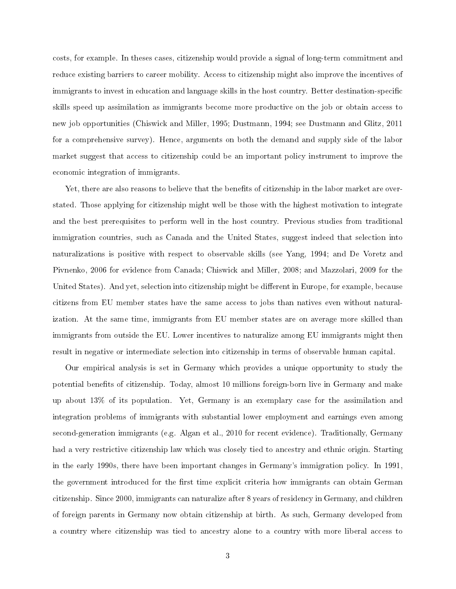costs, for example. In theses cases, citizenship would provide a signal of long-term commitment and reduce existing barriers to career mobility. Access to citizenship might also improve the incentives of immigrants to invest in education and language skills in the host country. Better destination-specific skills speed up assimilation as immigrants become more productive on the job or obtain access to new job opportunities (Chiswick and Miller, 1995; Dustmann, 1994; see Dustmann and Glitz, 2011 for a comprehensive survey). Hence, arguments on both the demand and supply side of the labor market suggest that access to citizenship could be an important policy instrument to improve the economic integration of immigrants.

Yet, there are also reasons to believe that the benefits of citizenship in the labor market are overstated. Those applying for citizenship might well be those with the highest motivation to integrate and the best prerequisites to perform well in the host country. Previous studies from traditional immigration countries, such as Canada and the United States, suggest indeed that selection into naturalizations is positive with respect to observable skills (see Yang, 1994; and De Voretz and Pivnenko, 2006 for evidence from Canada; Chiswick and Miller, 2008; and Mazzolari, 2009 for the United States). And yet, selection into citizenship might be different in Europe, for example, because citizens from EU member states have the same access to jobs than natives even without naturalization. At the same time, immigrants from EU member states are on average more skilled than immigrants from outside the EU. Lower incentives to naturalize among EU immigrants might then result in negative or intermediate selection into citizenship in terms of observable human capital.

Our empirical analysis is set in Germany which provides a unique opportunity to study the potential benefits of citizenship. Today, almost 10 millions foreign-born live in Germany and make up about 13% of its population. Yet, Germany is an exemplary case for the assimilation and integration problems of immigrants with substantial lower employment and earnings even among second-generation immigrants (e.g. Algan et al., 2010 for recent evidence). Traditionally, Germany had a very restrictive citizenship law which was closely tied to ancestry and ethnic origin. Starting in the early 1990s, there have been important changes in Germany's immigration policy. In 1991, the government introduced for the first time explicit criteria how immigrants can obtain German citizenship. Since 2000, immigrants can naturalize after 8 years of residency in Germany, and children of foreign parents in Germany now obtain citizenship at birth. As such, Germany developed from a country where citizenship was tied to ancestry alone to a country with more liberal access to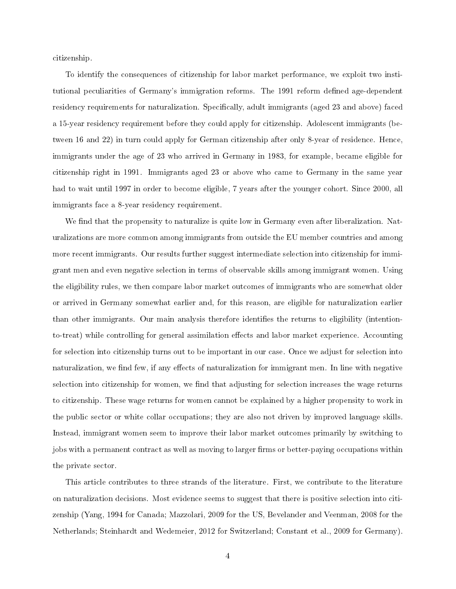citizenship.

To identify the consequences of citizenship for labor market performance, we exploit two institutional peculiarities of Germany's immigration reforms. The 1991 reform defined age-dependent residency requirements for naturalization. Specifically, adult immigrants (aged 23 and above) faced a 15-year residency requirement before they could apply for citizenship. Adolescent immigrants (between 16 and 22) in turn could apply for German citizenship after only 8-year of residence. Hence, immigrants under the age of 23 who arrived in Germany in 1983, for example, became eligible for citizenship right in 1991. Immigrants aged 23 or above who came to Germany in the same year had to wait until 1997 in order to become eligible, 7 years after the younger cohort. Since 2000, all immigrants face a 8-year residency requirement.

We find that the propensity to naturalize is quite low in Germany even after liberalization. Naturalizations are more common among immigrants from outside the EU member countries and among more recent immigrants. Our results further suggest intermediate selection into citizenship for immigrant men and even negative selection in terms of observable skills among immigrant women. Using the eligibility rules, we then compare labor market outcomes of immigrants who are somewhat older or arrived in Germany somewhat earlier and, for this reason, are eligible for naturalization earlier than other immigrants. Our main analysis therefore identifies the returns to eligibility (intentionto-treat) while controlling for general assimilation effects and labor market experience. Accounting for selection into citizenship turns out to be important in our case. Once we adjust for selection into naturalization, we find few, if any effects of naturalization for immigrant men. In line with negative selection into citizenship for women, we find that adjusting for selection increases the wage returns to citizenship. These wage returns for women cannot be explained by a higher propensity to work in the public sector or white collar occupations; they are also not driven by improved language skills. Instead, immigrant women seem to improve their labor market outcomes primarily by switching to jobs with a permanent contract as well as moving to larger firms or better-paying occupations within the private sector.

This article contributes to three strands of the literature. First, we contribute to the literature on naturalization decisions. Most evidence seems to suggest that there is positive selection into citizenship (Yang, 1994 for Canada; Mazzolari, 2009 for the US, Bevelander and Veenman, 2008 for the Netherlands; Steinhardt and Wedemeier, 2012 for Switzerland; Constant et al., 2009 for Germany).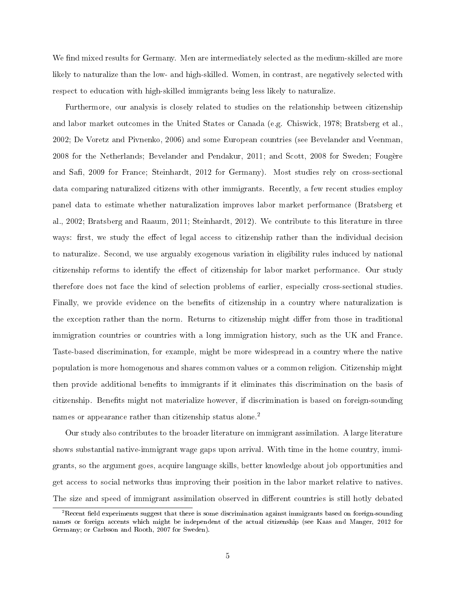We find mixed results for Germany. Men are intermediately selected as the medium-skilled are more likely to naturalize than the low- and high-skilled. Women, in contrast, are negatively selected with respect to education with high-skilled immigrants being less likely to naturalize.

Furthermore, our analysis is closely related to studies on the relationship between citizenship and labor market outcomes in the United States or Canada (e.g. Chiswick, 1978; Bratsberg et al., 2002; De Voretz and Pivnenko, 2006) and some European countries (see Bevelander and Veenman, 2008 for the Netherlands; Bevelander and Pendakur, 2011; and Scott, 2008 for Sweden; Fougère and Safi, 2009 for France; Steinhardt, 2012 for Germany). Most studies rely on cross-sectional data comparing naturalized citizens with other immigrants. Recently, a few recent studies employ panel data to estimate whether naturalization improves labor market performance (Bratsberg et al., 2002; Bratsberg and Raaum, 2011; Steinhardt, 2012). We contribute to this literature in three ways: first, we study the effect of legal access to citizenship rather than the individual decision to naturalize. Second, we use arguably exogenous variation in eligibility rules induced by national citizenship reforms to identify the effect of citizenship for labor market performance. Our study therefore does not face the kind of selection problems of earlier, especially cross-sectional studies. Finally, we provide evidence on the benefits of citizenship in a country where naturalization is the exception rather than the norm. Returns to citizenship might differ from those in traditional immigration countries or countries with a long immigration history, such as the UK and France. Taste-based discrimination, for example, might be more widespread in a country where the native population is more homogenous and shares common values or a common religion. Citizenship might then provide additional benefits to immigrants if it eliminates this discrimination on the basis of citizenship. Benefits might not materialize however, if discrimination is based on foreign-sounding names or appearance rather than citizenship status alone.<sup>2</sup>

Our study also contributes to the broader literature on immigrant assimilation. A large literature shows substantial native-immigrant wage gaps upon arrival. With time in the home country, immigrants, so the argument goes, acquire language skills, better knowledge about job opportunities and get access to social networks thus improving their position in the labor market relative to natives. The size and speed of immigrant assimilation observed in different countries is still hotly debated

 $2R$ ecent field experiments suggest that there is some discrimination against immigrants based on foreign-sounding names or foreign accents which might be independent of the actual citizenship (see Kaas and Manger, 2012 for Germany; or Carlsson and Rooth, 2007 for Sweden).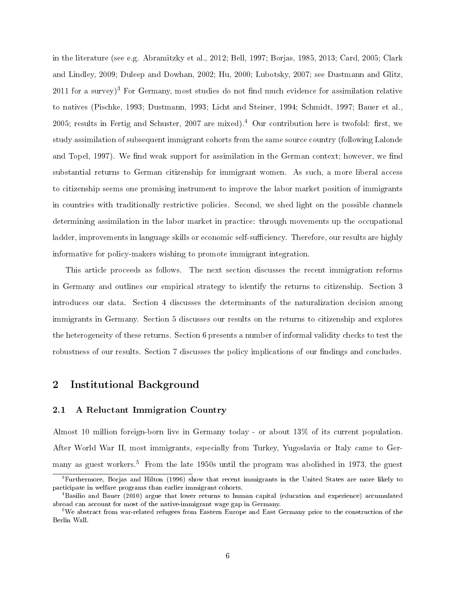in the literature (see e.g. Abramitzky et al., 2012; Bell, 1997; Borjas, 1985, 2013; Card, 2005; Clark and Lindley, 2009; Duleep and Dowhan, 2002; Hu, 2000; Lubotsky, 2007; see Dustmann and Glitz,  $2011$  for a survey)<sup>3</sup> For Germany, most studies do not find much evidence for assimilation relative to natives (Pischke, 1993; Dustmann, 1993; Licht and Steiner, 1994; Schmidt, 1997; Bauer et al., 2005; results in Fertig and Schuster, 2007 are mixed).<sup>4</sup> Our contribution here is twofold: first, we study assimilation of subsequent immigrant cohorts from the same source country (following Lalonde and Topel, 1997). We find weak support for assimilation in the German context; however, we find substantial returns to German citizenship for immigrant women. As such, a more liberal access to citizenship seems one promising instrument to improve the labor market position of immigrants in countries with traditionally restrictive policies. Second, we shed light on the possible channels determining assimilation in the labor market in practice: through movements up the occupational ladder, improvements in language skills or economic self-sufficiency. Therefore, our results are highly informative for policy-makers wishing to promote immigrant integration.

This article proceeds as follows. The next section discusses the recent immigration reforms in Germany and outlines our empirical strategy to identify the returns to citizenship. Section 3 introduces our data. Section 4 discusses the determinants of the naturalization decision among immigrants in Germany. Section 5 discusses our results on the returns to citizenship and explores the heterogeneity of these returns. Section 6 presents a number of informal validity checks to test the robustness of our results. Section 7 discusses the policy implications of our findings and concludes.

## 2 Institutional Background

## 2.1 A Reluctant Immigration Country

Almost 10 million foreign-born live in Germany today - or about 13% of its current population. After World War II, most immigrants, especially from Turkey, Yugoslavia or Italy came to Germany as guest workers.<sup>5</sup> From the late 1950s until the program was abolished in 1973, the guest

 $3$ Furthermore, Borjas and Hilton (1996) show that recent immigrants in the United States are more likely to participate in welfare programs than earlier immigrant cohorts.

<sup>4</sup>Basilio and Bauer (2010) argue that lower returns to human capital (education and experience) accumulated abroad can account for most of the native-immigrant wage gap in Germany.

<sup>5</sup>We abstract from war-related refugees from Eastern Europe and East Germany prior to the construction of the Berlin Wall.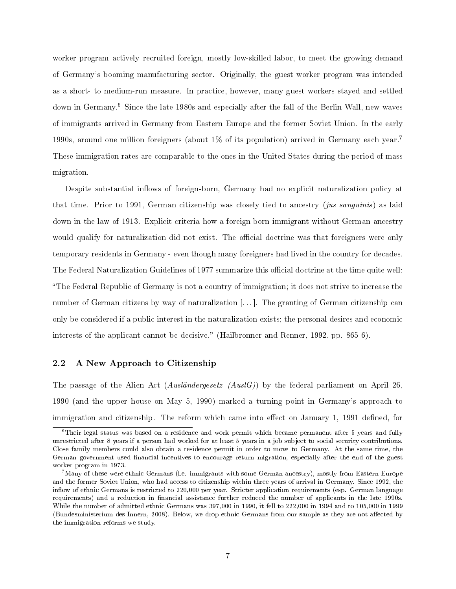worker program actively recruited foreign, mostly low-skilled labor, to meet the growing demand of Germany's booming manufacturing sector. Originally, the guest worker program was intended as a short- to medium-run measure. In practice, however, many guest workers stayed and settled down in Germany.<sup>6</sup> Since the late 1980s and especially after the fall of the Berlin Wall, new waves of immigrants arrived in Germany from Eastern Europe and the former Soviet Union. In the early 1990s, around one million foreigners (about 1% of its population) arrived in Germany each year.<sup>7</sup> These immigration rates are comparable to the ones in the United States during the period of mass migration.

Despite substantial inflows of foreign-born, Germany had no explicit naturalization policy at that time. Prior to 1991, German citizenship was closely tied to ancestry (*jus sanguinis*) as laid down in the law of 1913. Explicit criteria how a foreign-born immigrant without German ancestry would qualify for naturalization did not exist. The official doctrine was that foreigners were only temporary residents in Germany - even though many foreigners had lived in the country for decades. The Federal Naturalization Guidelines of 1977 summarize this official doctrine at the time quite well: The Federal Republic of Germany is not a country of immigration; it does not strive to increase the number of German citizens by way of naturalization [...]. The granting of German citizenship can only be considered if a public interest in the naturalization exists; the personal desires and economic interests of the applicant cannot be decisive." (Hailbronner and Renner, 1992, pp. 865-6).

## 2.2 A New Approach to Citizenship

The passage of the Alien Act (*Ausländergesetz (AuslG)*) by the federal parliament on April 26, 1990 (and the upper house on May 5, 1990) marked a turning point in Germany's approach to immigration and citizenship. The reform which came into effect on January 1, 1991 defined, for

<sup>6</sup>Their legal status was based on a residence and work permit which became permanent after 5 years and fully unrestricted after 8 years if a person had worked for at least 5 years in a job subject to social security contributions. Close family members could also obtain a residence permit in order to move to Germany. At the same time, the German government used financial incentives to encourage return migration, especially after the end of the guest worker program in 1973.

 $7$ Many of these were ethnic Germans (i.e. immigrants with some German ancestry), mostly from Eastern Europe and the former Soviet Union, who had access to citizenship within three years of arrival in Germany. Since 1992, the inflow of ethnic Germans is restricted to 220,000 per year. Stricter application requirements (esp. German language requirements) and a reduction in financial assistance further reduced the number of applicants in the late 1990s. While the number of admitted ethnic Germans was 397,000 in 1990, it fell to 222,000 in 1994 and to 105,000 in 1999 (Bundesministerium des Innern, 2008). Below, we drop ethnic Germans from our sample as they are not affected by the immigration reforms we study.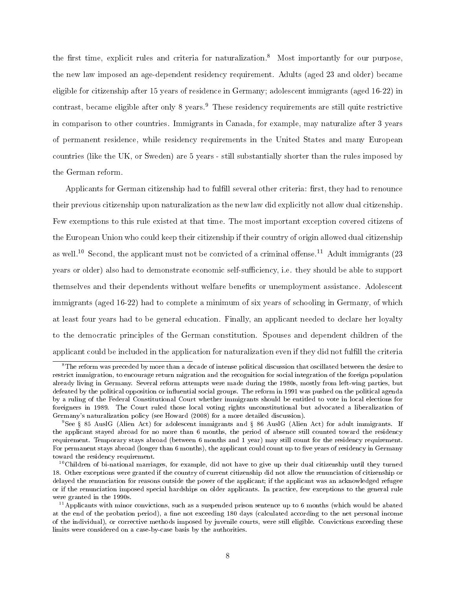the first time, explicit rules and criteria for naturalization.<sup>8</sup> Most importantly for our purpose, the new law imposed an age-dependent residency requirement. Adults (aged 23 and older) became eligible for citizenship after 15 years of residence in Germany; adolescent immigrants (aged 16-22) in contrast, became eligible after only 8 years.<sup>9</sup> These residency requirements are still quite restrictive in comparison to other countries. Immigrants in Canada, for example, may naturalize after 3 years of permanent residence, while residency requirements in the United States and many European countries (like the UK, or Sweden) are 5 years - still substantially shorter than the rules imposed by the German reform.

Applicants for German citizenship had to fulfill several other criteria: first, they had to renounce their previous citizenship upon naturalization as the new law did explicitly not allow dual citizenship. Few exemptions to this rule existed at that time. The most important exception covered citizens of the European Union who could keep their citizenship if their country of origin allowed dual citizenship as well.<sup>10</sup> Second, the applicant must not be convicted of a criminal offense.<sup>11</sup> Adult immigrants (23 years or older) also had to demonstrate economic self-sufficiency, i.e. they should be able to support themselves and their dependents without welfare benets or unemployment assistance. Adolescent immigrants (aged 16-22) had to complete a minimum of six years of schooling in Germany, of which at least four years had to be general education. Finally, an applicant needed to declare her loyalty to the democratic principles of the German constitution. Spouses and dependent children of the applicant could be included in the application for naturalization even if they did not fulll the criteria

 ${}^{8}$ The reform was preceded by more than a decade of intense political discussion that oscillated between the desire to restrict immigration, to encourage return migration and the recognition for social integration of the foreign population already living in Germany. Several reform attempts were made during the 1980s, mostly from left-wing parties, but defeated by the political opposition or influential social groups. The reform in 1991 was pushed on the political agenda by a ruling of the Federal Constitutional Court whether immigrants should be entitled to vote in local elections for foreigners in 1989. The Court ruled those local voting rights unconstitutional but advocated a liberalization of Germany's naturalization policy (see Howard (2008) for a more detailed discussion).

<sup>9</sup>See 85 AuslG (Alien Act) for adolescent immigrants and 86 AuslG (Alien Act) for adult immigrants. If the applicant stayed abroad for no more than 6 months, the period of absence still counted toward the residency requirement. Temporary stays abroad (between 6 months and 1 year) may still count for the residency requirement. For permanent stays abroad (longer than 6 months), the applicant could count up to five years of residency in Germany toward the residency requirement.

 $10^{\circ}$ Children of bi-national marriages, for example, did not have to give up their dual citizenship until they turned 18. Other exceptions were granted if the country of current citizenship did not allow the renunciation of citizenship or delayed the renunciation for reasons outside the power of the applicant; if the applicant was an acknowledged refugee or if the renunciation imposed special hardships on older applicants. In practice, few exceptions to the general rule were granted in the 1990s.

 $11$ Applicants with minor convictions, such as a suspended prison sentence up to 6 months (which would be abated at the end of the probation period), a fine not exceeding 180 days (calculated according to the net personal income of the individual), or corrective methods imposed by juvenile courts, were still eligible. Convictions exceeding these limits were considered on a case-by-case basis by the authorities.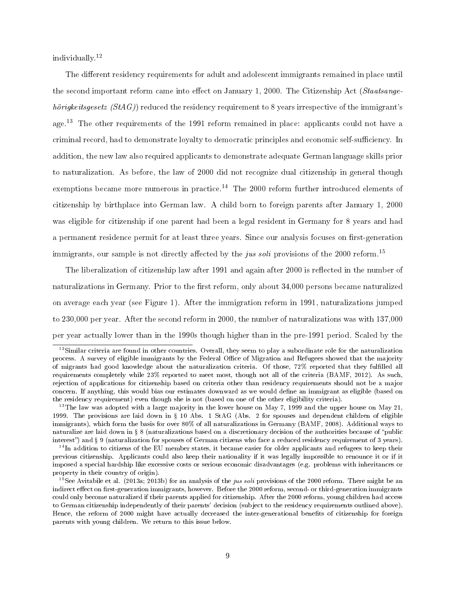individually.<sup>12</sup>

The different residency requirements for adult and adolescent immigrants remained in place until the second important reform came into effect on January 1, 2000. The Citizenship Act (Staatsangehörigkeitsgesetz  $(StAG)$  reduced the residency requirement to 8 years irrespective of the immigrant's age.<sup>13</sup> The other requirements of the 1991 reform remained in place: applicants could not have a criminal record, had to demonstrate loyalty to democratic principles and economic self-sufficiency. In addition, the new law also required applicants to demonstrate adequate German language skills prior to naturalization. As before, the law of 2000 did not recognize dual citizenship in general though exemptions became more numerous in practice.<sup>14</sup> The 2000 reform further introduced elements of citizenship by birthplace into German law. A child born to foreign parents after January 1, 2000 was eligible for citizenship if one parent had been a legal resident in Germany for 8 years and had a permanent residence permit for at least three years. Since our analysis focuses on first-generation immigrants, our sample is not directly affected by the jus soli provisions of the 2000 reform.<sup>15</sup>

The liberalization of citizenship law after 1991 and again after 2000 is reflected in the number of naturalizations in Germany. Prior to the first reform, only about 34,000 persons became naturalized on average each year (see Figure 1). After the immigration reform in 1991, naturalizations jumped to 230,000 per year. After the second reform in 2000, the number of naturalizations was with 137,000 per year actually lower than in the 1990s though higher than in the pre-1991 period. Scaled by the

<sup>&</sup>lt;sup>12</sup>Similar criteria are found in other countries. Overall, they seem to play a subordinate role for the naturalization process. A survey of eligible immigrants by the Federal Office of Migration and Refugees showed that the majority of migrants had good knowledge about the naturalization criteria. Of those, 72% reported that they fullled all requirements completely while 23% reported to meet most, though not all of the criteria (BAMF, 2012). As such, rejection of applications for citizenship based on criteria other than residency requirements should not be a major concern. If anything, this would bias our estimates downward as we would dene an immigrant as eligible (based on the residency requirement) even though she is not (based on one of the other eligibility criteria).

<sup>&</sup>lt;sup>13</sup>The law was adopted with a large majority in the lower house on May 7, 1999 and the upper house on May 21, 1999. The provisions are laid down in  $\S 10$  Abs. 1 StAG (Abs. 2 for spouses and dependent children of eligible immigrants), which form the basis for over 80% of all naturalizations in Germany (BAMF, 2008). Additional ways to naturalize are laid down in § 8 (naturalizations based on a discretionary decision of the authorities because of "public interest") and § 9 (naturalization for spouses of German citizens who face a reduced residency requirement of 3 years).

 $14$ In addition to citizens of the EU member states, it became easier for older applicants and refugees to keep their previous citizenship. Applicants could also keep their nationality if it was legally impossible to renounce it or if it imposed a special hardship like excessive costs or serious economic disadvantages (e.g. problems with inheritances or property in their country of origin).

<sup>&</sup>lt;sup>15</sup>See Avitabile et al. (2013a; 2013b) for an analysis of the *jus soli* provisions of the 2000 reform. There might be an indirect effect on first-generation immigrants, however. Before the 2000 reform, second- or third-generation immigrants could only become naturalized if their parents applied for citizenship. After the 2000 reform, young children had access to German citizenship independently of their parents' decision (subject to the residency requirements outlined above). Hence, the reform of 2000 might have actually decreased the inter-generational benets of citizenship for foreign parents with young children. We return to this issue below.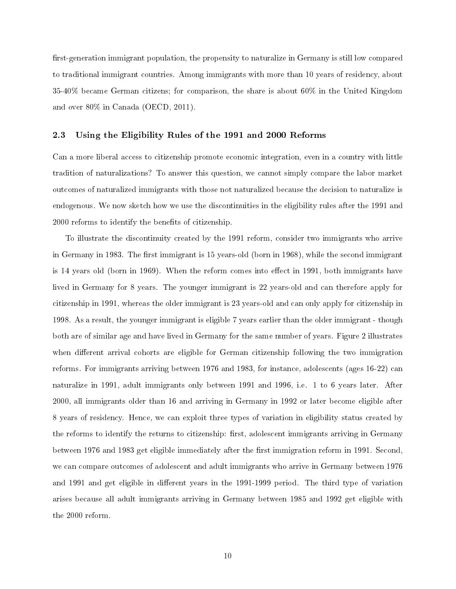first-generation immigrant population, the propensity to naturalize in Germany is still low compared to traditional immigrant countries. Among immigrants with more than 10 years of residency, about 35-40% became German citizens; for comparison, the share is about 60% in the United Kingdom and over 80% in Canada (OECD, 2011).

## 2.3 Using the Eligibility Rules of the 1991 and 2000 Reforms

Can a more liberal access to citizenship promote economic integration, even in a country with little tradition of naturalizations? To answer this question, we cannot simply compare the labor market outcomes of naturalized immigrants with those not naturalized because the decision to naturalize is endogenous. We now sketch how we use the discontinuities in the eligibility rules after the 1991 and 2000 reforms to identify the benefits of citizenship.

To illustrate the discontinuity created by the 1991 reform, consider two immigrants who arrive in Germany in 1983. The first immigrant is 15 years-old (born in 1968), while the second immigrant is 14 years old (born in 1969). When the reform comes into effect in 1991, both immigrants have lived in Germany for 8 years. The younger immigrant is 22 years-old and can therefore apply for citizenship in 1991, whereas the older immigrant is 23 years-old and can only apply for citizenship in 1998. As a result, the younger immigrant is eligible 7 years earlier than the older immigrant - though both are of similar age and have lived in Germany for the same number of years. Figure 2 illustrates when different arrival cohorts are eligible for German citizenship following the two immigration reforms. For immigrants arriving between 1976 and 1983, for instance, adolescents (ages 16-22) can naturalize in 1991, adult immigrants only between 1991 and 1996, i.e. 1 to 6 years later. After 2000, all immigrants older than 16 and arriving in Germany in 1992 or later become eligible after 8 years of residency. Hence, we can exploit three types of variation in eligibility status created by the reforms to identify the returns to citizenship: first, adolescent immigrants arriving in Germany between 1976 and 1983 get eligible immediately after the first immigration reform in 1991. Second, we can compare outcomes of adolescent and adult immigrants who arrive in Germany between 1976 and 1991 and get eligible in different years in the 1991-1999 period. The third type of variation arises because all adult immigrants arriving in Germany between 1985 and 1992 get eligible with the 2000 reform.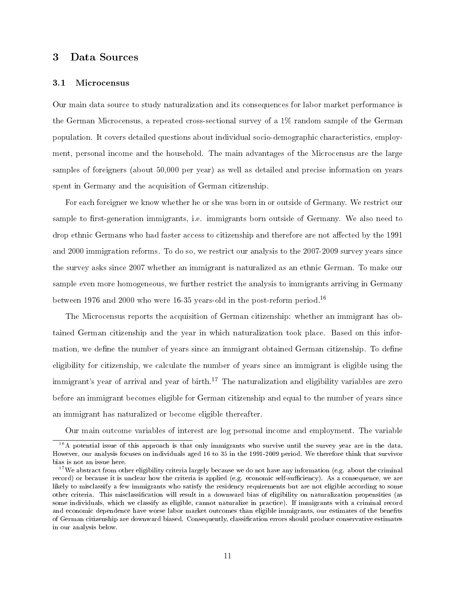## 3 Data Sources

## 3.1 Microcensus

Our main data source to study naturalization and its consequences for labor market performance is the German Microcensus, a repeated cross-sectional survey of a 1% random sample of the German population. It covers detailed questions about individual socio-demographic characteristics, employment, personal income and the household. The main advantages of the Microcensus are the large samples of foreigners (about 50,000 per year) as well as detailed and precise information on years spent in Germany and the acquisition of German citizenship.

For each foreigner we know whether he or she was born in or outside of Germany. We restrict our sample to first-generation immigrants, i.e. immigrants born outside of Germany. We also need to drop ethnic Germans who had faster access to citizenship and therefore are not affected by the 1991 and 2000 immigration reforms. To do so, we restrict our analysis to the 2007-2009 survey years since the survey asks since 2007 whether an immigrant is naturalized as an ethnic German. To make our sample even more homogeneous, we further restrict the analysis to immigrants arriving in Germany between 1976 and 2000 who were 16-35 years-old in the post-reform period.<sup>16</sup>

The Microcensus reports the acquisition of German citizenship: whether an immigrant has obtained German citizenship and the year in which naturalization took place. Based on this information, we define the number of years since an immigrant obtained German citizenship. To define eligibility for citizenship, we calculate the number of years since an immigrant is eligible using the immigrant's year of arrival and year of birth.<sup>17</sup> The naturalization and eligibility variables are zero before an immigrant becomes eligible for German citizenship and equal to the number of years since an immigrant has naturalized or become eligible thereafter.

Our main outcome variables of interest are log personal income and employment. The variable

<sup>&</sup>lt;sup>16</sup>A potential issue of this approach is that only immigrants who survive until the survey year are in the data. However, our analysis focuses on individuals aged 16 to 35 in the 1991-2009 period. We therefore think that survivor bias is not an issue here.

<sup>&</sup>lt;sup>17</sup>We abstract from other eligibility criteria largely because we do not have any information (e.g. about the criminal record) or because it is unclear how the criteria is applied (e.g. economic self-sufficiency). As a consequence, we are likely to misclassify a few immigrants who satisfy the residency requirements but are not eligible according to some other criteria. This misclassication will result in a downward bias of eligibility on naturalization propensities (as some individuals, which we classify as eligible, cannot naturalize in practice). If immigrants with a criminal record and economic dependence have worse labor market outcomes than eligible immigrants, our estimates of the benets of German citizenship are downward biased. Consequently, classication errors should produce conservative estimates in our analysis below.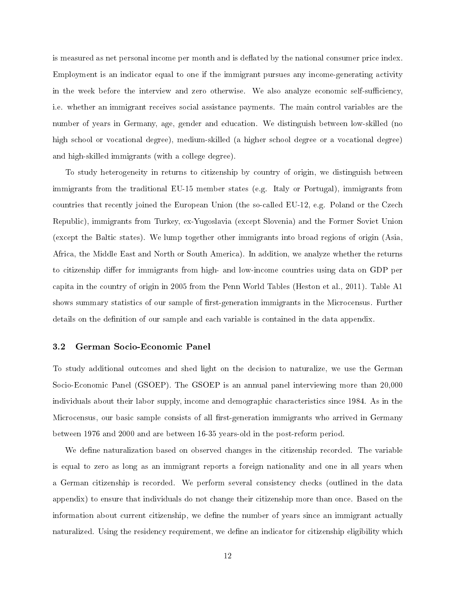is measured as net personal income per month and is deflated by the national consumer price index. Employment is an indicator equal to one if the immigrant pursues any income-generating activity in the week before the interview and zero otherwise. We also analyze economic self-sufficiency, i.e. whether an immigrant receives social assistance payments. The main control variables are the number of years in Germany, age, gender and education. We distinguish between low-skilled (no high school or vocational degree), medium-skilled (a higher school degree or a vocational degree) and high-skilled immigrants (with a college degree).

To study heterogeneity in returns to citizenship by country of origin, we distinguish between immigrants from the traditional EU-15 member states (e.g. Italy or Portugal), immigrants from countries that recently joined the European Union (the so-called EU-12, e.g. Poland or the Czech Republic), immigrants from Turkey, ex-Yugoslavia (except Slovenia) and the Former Soviet Union (except the Baltic states). We lump together other immigrants into broad regions of origin (Asia, Africa, the Middle East and North or South America). In addition, we analyze whether the returns to citizenship differ for immigrants from high- and low-income countries using data on GDP per capita in the country of origin in 2005 from the Penn World Tables (Heston et al., 2011). Table A1 shows summary statistics of our sample of first-generation immigrants in the Microcensus. Further details on the definition of our sample and each variable is contained in the data appendix.

## 3.2 German Socio-Economic Panel

To study additional outcomes and shed light on the decision to naturalize, we use the German Socio-Economic Panel (GSOEP). The GSOEP is an annual panel interviewing more than 20,000 individuals about their labor supply, income and demographic characteristics since 1984. As in the Microcensus, our basic sample consists of all first-generation immigrants who arrived in Germany between 1976 and 2000 and are between 16-35 years-old in the post-reform period.

We define naturalization based on observed changes in the citizenship recorded. The variable is equal to zero as long as an immigrant reports a foreign nationality and one in all years when a German citizenship is recorded. We perform several consistency checks (outlined in the data appendix) to ensure that individuals do not change their citizenship more than once. Based on the information about current citizenship, we define the number of years since an immigrant actually naturalized. Using the residency requirement, we define an indicator for citizenship eligibility which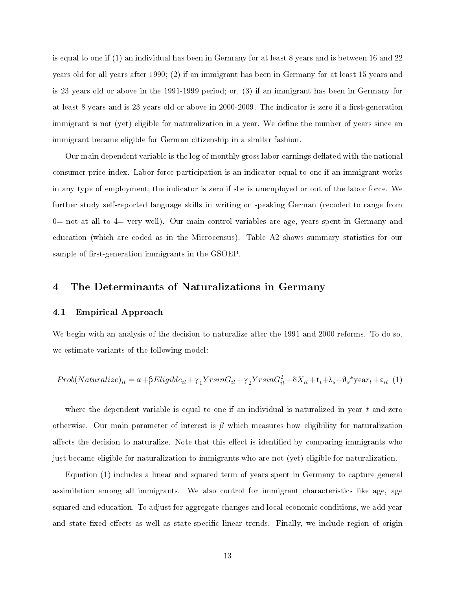is equal to one if (1) an individual has been in Germany for at least 8 years and is between 16 and 22 years old for all years after 1990; (2) if an immigrant has been in Germany for at least 15 years and is 23 years old or above in the 1991-1999 period; or, (3) if an immigrant has been in Germany for at least 8 years and is 23 years old or above in 2000-2009. The indicator is zero if a first-generation immigrant is not (yet) eligible for naturalization in a year. We define the number of years since an immigrant became eligible for German citizenship in a similar fashion.

Our main dependent variable is the log of monthly gross labor earnings deflated with the national consumer price index. Labor force participation is an indicator equal to one if an immigrant works in any type of employment; the indicator is zero if she is unemployed or out of the labor force. We further study self-reported language skills in writing or speaking German (recoded to range from  $0=$  not at all to  $4=$  very well). Our main control variables are age, years spent in Germany and education (which are coded as in the Microcensus). Table A2 shows summary statistics for our sample of first-generation immigrants in the GSOEP.

## 4 The Determinants of Naturalizations in Germany

## 4.1 Empirical Approach

We begin with an analysis of the decision to naturalize after the 1991 and 2000 reforms. To do so, we estimate variants of the following model:

$$
Prob(Naturalize)_{it} = \alpha + \beta Eligible_{it} + \gamma_1 YrsinG_{it} + \gamma_2 YrsinG_{it}^2 + \delta X_{it} + t_t + \lambda_s + \vartheta_s * year_t + \epsilon_{it} (1)
$$

where the dependent variable is equal to one if an individual is naturalized in year  $t$  and zero otherwise. Our main parameter of interest is  $\beta$  which measures how eligibility for naturalization affects the decision to naturalize. Note that this effect is identified by comparing immigrants who just became eligible for naturalization to immigrants who are not (yet) eligible for naturalization.

Equation (1) includes a linear and squared term of years spent in Germany to capture general assimilation among all immigrants. We also control for immigrant characteristics like age, age squared and education. To adjust for aggregate changes and local economic conditions, we add year and state fixed effects as well as state-specific linear trends. Finally, we include region of origin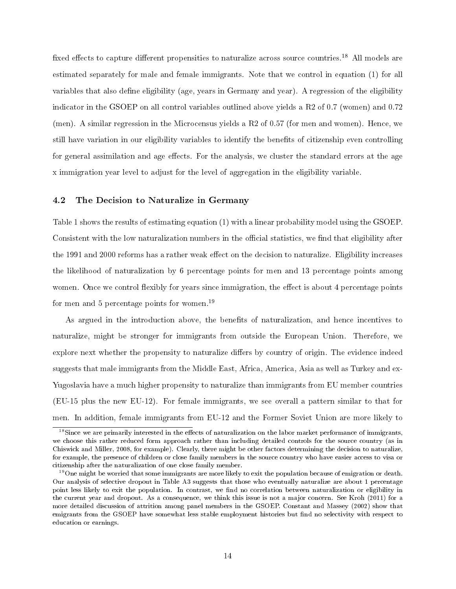fixed effects to capture different propensities to naturalize across source countries.<sup>18</sup> All models are estimated separately for male and female immigrants. Note that we control in equation (1) for all variables that also dene eligibility (age, years in Germany and year). A regression of the eligibility indicator in the GSOEP on all control variables outlined above yields a R2 of 0.7 (women) and 0.72 (men). A similar regression in the Microcensus yields a R2 of 0.57 (for men and women). Hence, we still have variation in our eligibility variables to identify the benets of citizenship even controlling for general assimilation and age effects. For the analysis, we cluster the standard errors at the age x immigration year level to adjust for the level of aggregation in the eligibility variable.

## 4.2 The Decision to Naturalize in Germany

Table 1 shows the results of estimating equation (1) with a linear probability model using the GSOEP. Consistent with the low naturalization numbers in the official statistics, we find that eligibility after the 1991 and 2000 reforms has a rather weak effect on the decision to naturalize. Eligibility increases the likelihood of naturalization by 6 percentage points for men and 13 percentage points among women. Once we control flexibly for years since immigration, the effect is about 4 percentage points for men and 5 percentage points for women.<sup>19</sup>

As argued in the introduction above, the benefits of naturalization, and hence incentives to naturalize, might be stronger for immigrants from outside the European Union. Therefore, we explore next whether the propensity to naturalize differs by country of origin. The evidence indeed suggests that male immigrants from the Middle East, Africa, America, Asia as well as Turkey and ex-Yugoslavia have a much higher propensity to naturalize than immigrants from EU member countries (EU-15 plus the new EU-12). For female immigrants, we see overall a pattern similar to that for men. In addition, female immigrants from EU-12 and the Former Soviet Union are more likely to

 $18$ Since we are primarily interested in the effects of naturalization on the labor market performance of immigrants, we choose this rather reduced form approach rather than including detailed controls for the source country (as in Chiswick and Miller, 2008, for example). Clearly, there might be other factors determining the decision to naturalize, for example, the presence of children or close family members in the source country who have easier access to visa or citizenship after the naturalization of one close family member.

 $19$ One might be worried that some immigrants are more likely to exit the population because of emigration or death. Our analysis of selective dropout in Table A3 suggests that those who eventually naturalize are about 1 percentage point less likely to exit the population. In contrast, we find no correlation between naturalization or eligibility in the current year and dropout. As a consequence, we think this issue is not a major concern. See Kroh (2011) for a more detailed discussion of attrition among panel members in the GSOEP. Constant and Massey (2002) show that emigrants from the GSOEP have somewhat less stable employment histories but find no selectivity with respect to education or earnings.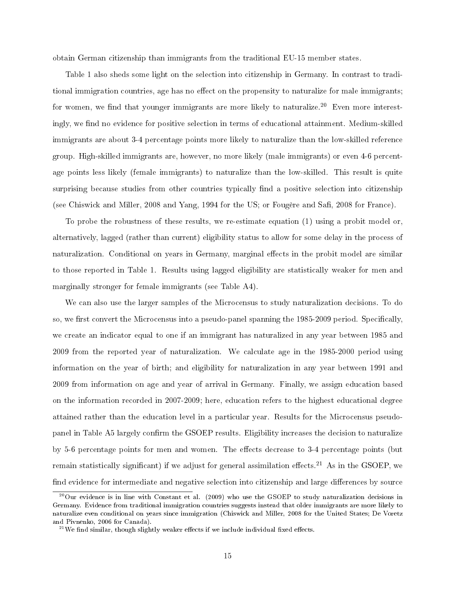obtain German citizenship than immigrants from the traditional EU-15 member states.

Table 1 also sheds some light on the selection into citizenship in Germany. In contrast to traditional immigration countries, age has no effect on the propensity to naturalize for male immigrants; for women, we find that younger immigrants are more likely to naturalize.<sup>20</sup> Even more interestingly, we find no evidence for positive selection in terms of educational attainment. Medium-skilled immigrants are about 3-4 percentage points more likely to naturalize than the low-skilled reference group. High-skilled immigrants are, however, no more likely (male immigrants) or even 4-6 percentage points less likely (female immigrants) to naturalize than the low-skilled. This result is quite surprising because studies from other countries typically find a positive selection into citizenship (see Chiswick and Miller, 2008 and Yang, 1994 for the US; or Fougère and Safi, 2008 for France).

To probe the robustness of these results, we re-estimate equation (1) using a probit model or, alternatively, lagged (rather than current) eligibility status to allow for some delay in the process of naturalization. Conditional on years in Germany, marginal effects in the probit model are similar to those reported in Table 1. Results using lagged eligibility are statistically weaker for men and marginally stronger for female immigrants (see Table A4).

We can also use the larger samples of the Microcensus to study naturalization decisions. To do so, we first convert the Microcensus into a pseudo-panel spanning the 1985-2009 period. Specifically, we create an indicator equal to one if an immigrant has naturalized in any year between 1985 and 2009 from the reported year of naturalization. We calculate age in the 1985-2000 period using information on the year of birth; and eligibility for naturalization in any year between 1991 and 2009 from information on age and year of arrival in Germany. Finally, we assign education based on the information recorded in 2007-2009; here, education refers to the highest educational degree attained rather than the education level in a particular year. Results for the Microcensus pseudopanel in Table A5 largely confirm the GSOEP results. Eligibility increases the decision to naturalize by 5-6 percentage points for men and women. The effects decrease to 3-4 percentage points (but remain statistically significant) if we adjust for general assimilation effects.<sup>21</sup> As in the GSOEP, we find evidence for intermediate and negative selection into citizenship and large differences by source

<sup>20</sup>Our evidence is in line with Constant et al. (2009) who use the GSOEP to study naturalization decisions in Germany. Evidence from traditional immigration countries suggests instead that older immigrants are more likely to naturalize even conditional on years since immigration (Chiswick and Miller, 2008 for the United States; De Voretz and Pivnenko, 2006 for Canada).

 $^{21}$ We find similar, though slightly weaker effects if we include individual fixed effects.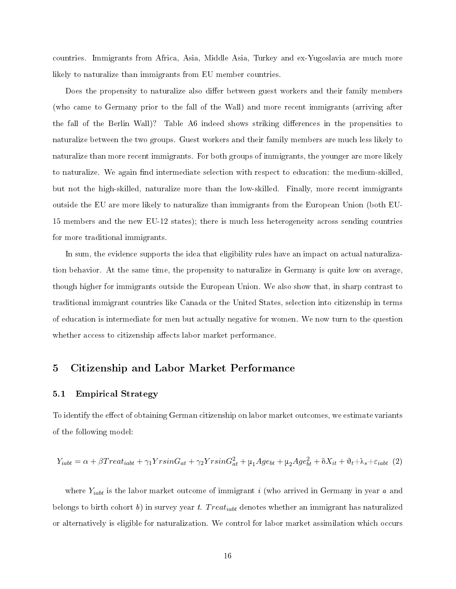countries. Immigrants from Africa, Asia, Middle Asia, Turkey and ex-Yugoslavia are much more likely to naturalize than immigrants from EU member countries.

Does the propensity to naturalize also differ between guest workers and their family members (who came to Germany prior to the fall of the Wall) and more recent immigrants (arriving after the fall of the Berlin Wall)? Table A6 indeed shows striking differences in the propensities to naturalize between the two groups. Guest workers and their family members are much less likely to naturalize than more recent immigrants. For both groups of immigrants, the younger are more likely to naturalize. We again find intermediate selection with respect to education: the medium-skilled. but not the high-skilled, naturalize more than the low-skilled. Finally, more recent immigrants outside the EU are more likely to naturalize than immigrants from the European Union (both EU-15 members and the new EU-12 states); there is much less heterogeneity across sending countries for more traditional immigrants.

In sum, the evidence supports the idea that eligibility rules have an impact on actual naturalization behavior. At the same time, the propensity to naturalize in Germany is quite low on average, though higher for immigrants outside the European Union. We also show that, in sharp contrast to traditional immigrant countries like Canada or the United States, selection into citizenship in terms of education is intermediate for men but actually negative for women. We now turn to the question whether access to citizenship affects labor market performance.

## 5 Citizenship and Labor Market Performance

## 5.1 Empirical Strategy

To identify the effect of obtaining German citizenship on labor market outcomes, we estimate variants of the following model:

$$
Y_{iabt} = \alpha + \beta Treat_{iabt} + \gamma_1 YrsinG_{at} + \gamma_2 YrsinG_{at}^2 + \mu_1 Age_{bt} + \mu_2 Age_{bt}^2 + \delta X_{it} + \vartheta_t + \lambda_s + \varepsilon_{iabt} \tag{2}
$$

where  $Y_{iabt}$  is the labor market outcome of immigrant i (who arrived in Germany in year a and belongs to birth cohort b) in survey year t. Treat<sub>iabt</sub> denotes whether an immigrant has naturalized or alternatively is eligible for naturalization. We control for labor market assimilation which occurs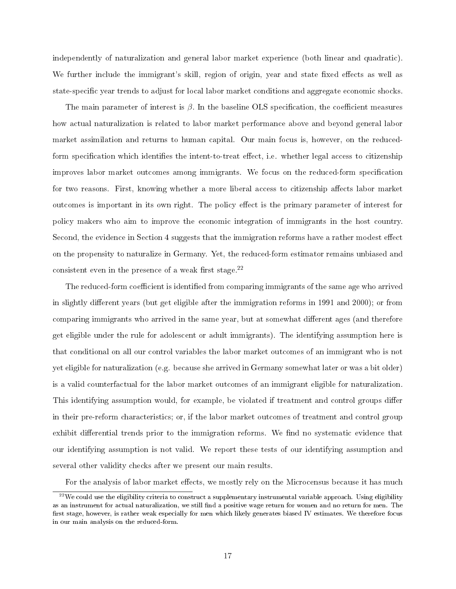independently of naturalization and general labor market experience (both linear and quadratic). We further include the immigrant's skill, region of origin, year and state fixed effects as well as state-specific year trends to adjust for local labor market conditions and aggregate economic shocks.

The main parameter of interest is  $\beta$ . In the baseline OLS specification, the coefficient measures how actual naturalization is related to labor market performance above and beyond general labor market assimilation and returns to human capital. Our main focus is, however, on the reducedform specification which identifies the intent-to-treat effect, i.e. whether legal access to citizenship improves labor market outcomes among immigrants. We focus on the reduced-form specification for two reasons. First, knowing whether a more liberal access to citizenship affects labor market outcomes is important in its own right. The policy effect is the primary parameter of interest for policy makers who aim to improve the economic integration of immigrants in the host country. Second, the evidence in Section 4 suggests that the immigration reforms have a rather modest effect on the propensity to naturalize in Germany. Yet, the reduced-form estimator remains unbiased and consistent even in the presence of a weak first stage.<sup>22</sup>

The reduced-form coefficient is identified from comparing immigrants of the same age who arrived in slightly different years (but get eligible after the immigration reforms in 1991 and 2000); or from comparing immigrants who arrived in the same year, but at somewhat different ages (and therefore get eligible under the rule for adolescent or adult immigrants). The identifying assumption here is that conditional on all our control variables the labor market outcomes of an immigrant who is not yet eligible for naturalization (e.g. because she arrived in Germany somewhat later or was a bit older) is a valid counterfactual for the labor market outcomes of an immigrant eligible for naturalization. This identifying assumption would, for example, be violated if treatment and control groups differ in their pre-reform characteristics; or, if the labor market outcomes of treatment and control group exhibit differential trends prior to the immigration reforms. We find no systematic evidence that our identifying assumption is not valid. We report these tests of our identifying assumption and several other validity checks after we present our main results.

For the analysis of labor market effects, we mostly rely on the Microcensus because it has much

<sup>&</sup>lt;sup>22</sup>We could use the eligibility criteria to construct a supplementary instrumental variable approach. Using eligibility as an instrument for actual naturalization, we still find a positive wage return for women and no return for men. The first stage, however, is rather weak especially for men which likely generates biased IV estimates. We therefore focus in our main analysis on the reduced-form.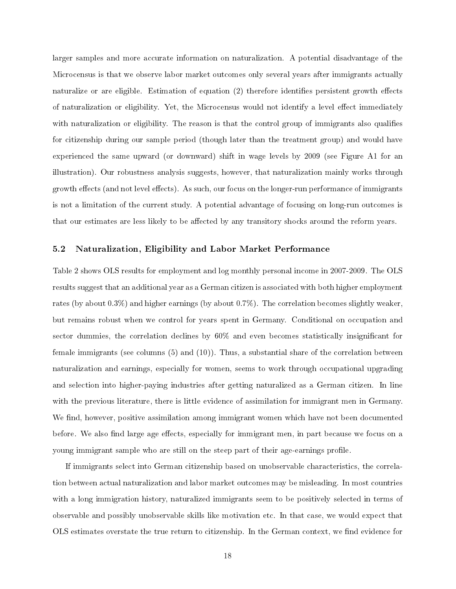larger samples and more accurate information on naturalization. A potential disadvantage of the Microcensus is that we observe labor market outcomes only several years after immigrants actually naturalize or are eligible. Estimation of equation  $(2)$  therefore identifies persistent growth effects of naturalization or eligibility. Yet, the Microcensus would not identify a level effect immediately with naturalization or eligibility. The reason is that the control group of immigrants also qualifies for citizenship during our sample period (though later than the treatment group) and would have experienced the same upward (or downward) shift in wage levels by 2009 (see Figure A1 for an illustration). Our robustness analysis suggests, however, that naturalization mainly works through growth effects (and not level effects). As such, our focus on the longer-run performance of immigrants is not a limitation of the current study. A potential advantage of focusing on long-run outcomes is that our estimates are less likely to be affected by any transitory shocks around the reform years.

## 5.2 Naturalization, Eligibility and Labor Market Performance

Table 2 shows OLS results for employment and log monthly personal income in 2007-2009. The OLS results suggest that an additional year as a German citizen is associated with both higher employment rates (by about 0.3%) and higher earnings (by about 0.7%). The correlation becomes slightly weaker, but remains robust when we control for years spent in Germany. Conditional on occupation and sector dummies, the correlation declines by  $60\%$  and even becomes statistically insignificant for female immigrants (see columns (5) and (10)). Thus, a substantial share of the correlation between naturalization and earnings, especially for women, seems to work through occupational upgrading and selection into higher-paying industries after getting naturalized as a German citizen. In line with the previous literature, there is little evidence of assimilation for immigrant men in Germany. We find, however, positive assimilation among immigrant women which have not been documented before. We also find large age effects, especially for immigrant men, in part because we focus on a young immigrant sample who are still on the steep part of their age-earnings profile.

If immigrants select into German citizenship based on unobservable characteristics, the correlation between actual naturalization and labor market outcomes may be misleading. In most countries with a long immigration history, naturalized immigrants seem to be positively selected in terms of observable and possibly unobservable skills like motivation etc. In that case, we would expect that OLS estimates overstate the true return to citizenship. In the German context, we find evidence for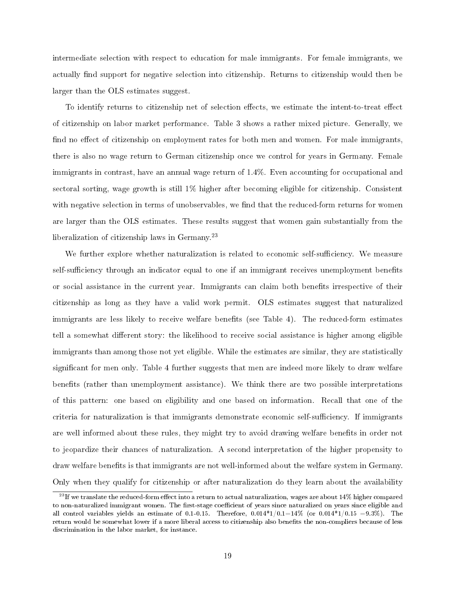intermediate selection with respect to education for male immigrants. For female immigrants, we actually find support for negative selection into citizenship. Returns to citizenship would then be larger than the OLS estimates suggest.

To identify returns to citizenship net of selection effects, we estimate the intent-to-treat effect of citizenship on labor market performance. Table 3 shows a rather mixed picture. Generally, we find no effect of citizenship on employment rates for both men and women. For male immigrants, there is also no wage return to German citizenship once we control for years in Germany. Female immigrants in contrast, have an annual wage return of 1.4%. Even accounting for occupational and sectoral sorting, wage growth is still 1% higher after becoming eligible for citizenship. Consistent with negative selection in terms of unobservables, we find that the reduced-form returns for women are larger than the OLS estimates. These results suggest that women gain substantially from the liberalization of citizenship laws in Germany.<sup>23</sup>

We further explore whether naturalization is related to economic self-sufficiency. We measure self-sufficiency through an indicator equal to one if an immigrant receives unemployment benefits or social assistance in the current year. Immigrants can claim both benets irrespective of their citizenship as long as they have a valid work permit. OLS estimates suggest that naturalized immigrants are less likely to receive welfare benefits (see Table 4). The reduced-form estimates tell a somewhat different story: the likelihood to receive social assistance is higher among eligible immigrants than among those not yet eligible. While the estimates are similar, they are statistically significant for men only. Table 4 further suggests that men are indeed more likely to draw welfare benefits (rather than unemployment assistance). We think there are two possible interpretations of this pattern: one based on eligibility and one based on information. Recall that one of the criteria for naturalization is that immigrants demonstrate economic self-sufficiency. If immigrants are well informed about these rules, they might try to avoid drawing welfare benets in order not to jeopardize their chances of naturalization. A second interpretation of the higher propensity to draw welfare benefits is that immigrants are not well-informed about the welfare system in Germany. Only when they qualify for citizenship or after naturalization do they learn about the availability

 $^{23}$  If we translate the reduced-form effect into a return to actual naturalization, wages are about 14% higher compared to non-naturalized immigrant women. The first-stage coefficient of years since naturalized on years since eligible and all control variables yields an estimate of 0.1-0.15. Therefore,  $0.014*1/0.1=14\%$  (or  $0.014*1/0.15 = 9.3\%$ ). The return would be somewhat lower if a more liberal access to citizenship also benefits the non-compliers because of less discrimination in the labor market, for instance.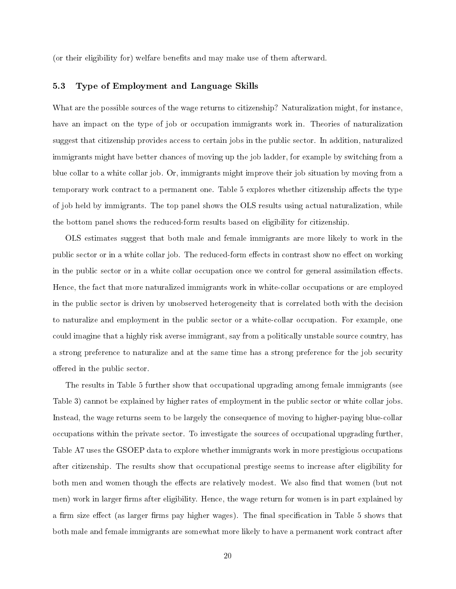(or their eligibility for) welfare benefits and may make use of them afterward.

## 5.3 Type of Employment and Language Skills

What are the possible sources of the wage returns to citizenship? Naturalization might, for instance, have an impact on the type of job or occupation immigrants work in. Theories of naturalization suggest that citizenship provides access to certain jobs in the public sector. In addition, naturalized immigrants might have better chances of moving up the job ladder, for example by switching from a blue collar to a white collar job. Or, immigrants might improve their job situation by moving from a temporary work contract to a permanent one. Table 5 explores whether citizenship affects the type of job held by immigrants. The top panel shows the OLS results using actual naturalization, while the bottom panel shows the reduced-form results based on eligibility for citizenship.

OLS estimates suggest that both male and female immigrants are more likely to work in the public sector or in a white collar job. The reduced-form effects in contrast show no effect on working in the public sector or in a white collar occupation once we control for general assimilation effects. Hence, the fact that more naturalized immigrants work in white-collar occupations or are employed in the public sector is driven by unobserved heterogeneity that is correlated both with the decision to naturalize and employment in the public sector or a white-collar occupation. For example, one could imagine that a highly risk averse immigrant, say from a politically unstable source country, has a strong preference to naturalize and at the same time has a strong preference for the job security offered in the public sector.

The results in Table 5 further show that occupational upgrading among female immigrants (see Table 3) cannot be explained by higher rates of employment in the public sector or white collar jobs. Instead, the wage returns seem to be largely the consequence of moving to higher-paying blue-collar occupations within the private sector. To investigate the sources of occupational upgrading further, Table A7 uses the GSOEP data to explore whether immigrants work in more prestigious occupations after citizenship. The results show that occupational prestige seems to increase after eligibility for both men and women though the effects are relatively modest. We also find that women (but not men) work in larger firms after eligibility. Hence, the wage return for women is in part explained by a firm size effect (as larger firms pay higher wages). The final specification in Table 5 shows that both male and female immigrants are somewhat more likely to have a permanent work contract after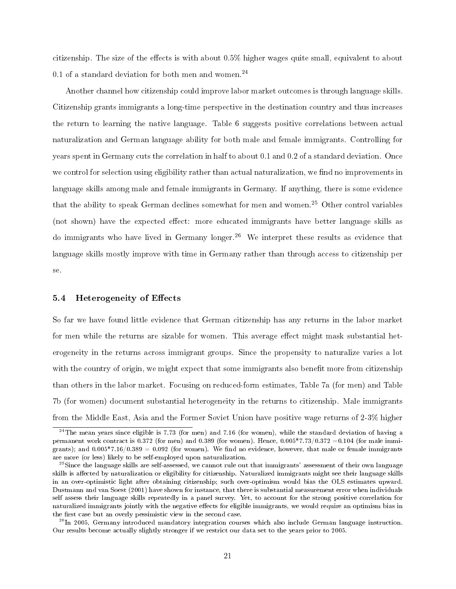citizenship. The size of the effects is with about  $0.5\%$  higher wages quite small, equivalent to about 0.1 of a standard deviation for both men and women.<sup>24</sup>

Another channel how citizenship could improve labor market outcomes is through language skills. Citizenship grants immigrants a long-time perspective in the destination country and thus increases the return to learning the native language. Table 6 suggests positive correlations between actual naturalization and German language ability for both male and female immigrants. Controlling for years spent in Germany cuts the correlation in half to about 0.1 and 0.2 of a standard deviation. Once we control for selection using eligibility rather than actual naturalization, we find no improvements in language skills among male and female immigrants in Germany. If anything, there is some evidence that the ability to speak German declines somewhat for men and women.<sup>25</sup> Other control variables (not shown) have the expected effect: more educated immigrants have better language skills as do immigrants who have lived in Germany longer.<sup>26</sup> We interpret these results as evidence that language skills mostly improve with time in Germany rather than through access to citizenship per se.

## 5.4 Heterogeneity of Effects

So far we have found little evidence that German citizenship has any returns in the labor market for men while the returns are sizable for women. This average effect might mask substantial heterogeneity in the returns across immigrant groups. Since the propensity to naturalize varies a lot with the country of origin, we might expect that some immigrants also benefit more from citizenship than others in the labor market. Focusing on reduced-form estimates, Table 7a (for men) and Table 7b (for women) document substantial heterogeneity in the returns to citizenship. Male immigrants from the Middle East, Asia and the Former Soviet Union have positive wage returns of 2-3% higher

<sup>&</sup>lt;sup>24</sup>The mean years since eligible is 7.73 (for men) and 7.16 (for women), while the standard deviation of having a permanent work contract is 0.372 (for men) and 0.389 (for women). Hence,  $0.005*7.73/0.372 = 0.104$  (for male immigrants); and  $0.005*7.16/0.389 = 0.092$  (for women). We find no evidence, however, that male or female immigrants are more (or less) likely to be self-employed upon naturalization.

 $^{25}$ Since the language skills are self-assessed, we cannot rule out that immigrants' assessment of their own language skills is affected by naturalization or eligibility for citizenship. Naturalized immigrants might see their language skills in an over-optimistic light after obtaining citizenship; such over-optimism would bias the OLS estimates upward. Dustmann and van Soest (2001) have shown for instance, that there is substantial measurement error when individuals self assess their language skills repeatedly in a panel survey. Yet, to account for the strong positive correlation for naturalized immigrants jointly with the negative effects for eligible immigrants, we would require an optimism bias in the first case but an overly pessimistic view in the second case.

<sup>&</sup>lt;sup>26</sup>In 2005, Germany introduced mandatory integration courses which also include German language instruction. Our results become actually slightly stronger if we restrict our data set to the years prior to 2005.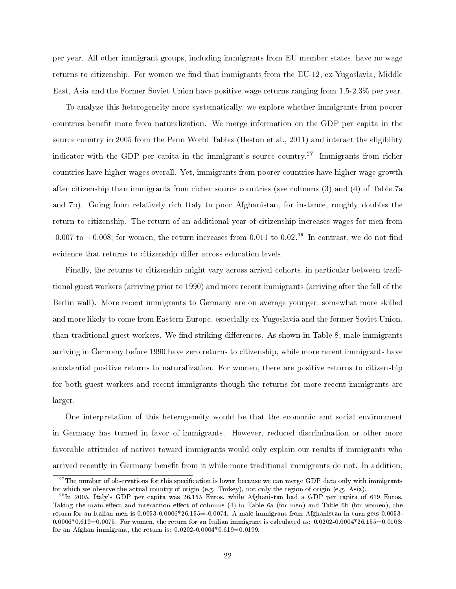per year. All other immigrant groups, including immigrants from EU member states, have no wage returns to citizenship. For women we find that immigrants from the EU-12, ex-Yugoslavia, Middle East, Asia and the Former Soviet Union have positive wage returns ranging from 1.5-2.3% per year.

To analyze this heterogeneity more systematically, we explore whether immigrants from poorer countries benefit more from naturalization. We merge information on the GDP per capita in the source country in 2005 from the Penn World Tables (Heston et al., 2011) and interact the eligibility indicator with the GDP per capita in the immigrant's source country.<sup>27</sup> Immigrants from richer countries have higher wages overall. Yet, immigrants from poorer countries have higher wage growth after citizenship than immigrants from richer source countries (see columns (3) and (4) of Table 7a and 7b). Going from relatively rich Italy to poor Afghanistan, for instance, roughly doubles the return to citizenship. The return of an additional year of citizenship increases wages for men from -0.007 to +0.008; for women, the return increases from 0.011 to 0.02.<sup>28</sup> In contrast, we do not find evidence that returns to citizenship differ across education levels.

Finally, the returns to citizenship might vary across arrival cohorts, in particular between traditional guest workers (arriving prior to 1990) and more recent immigrants (arriving after the fall of the Berlin wall). More recent immigrants to Germany are on average younger, somewhat more skilled and more likely to come from Eastern Europe, especially ex-Yugoslavia and the former Soviet Union, than traditional guest workers. We find striking differences. As shown in Table 8, male immigrants arriving in Germany before 1990 have zero returns to citizenship, while more recent immigrants have substantial positive returns to naturalization. For women, there are positive returns to citizenship for both guest workers and recent immigrants though the returns for more recent immigrants are larger.

One interpretation of this heterogeneity would be that the economic and social environment in Germany has turned in favor of immigrants. However, reduced discrimination or other more favorable attitudes of natives toward immigrants would only explain our results if immigrants who arrived recently in Germany benefit from it while more traditional immigrants do not. In addition,

 $27$ The number of observations for this specification is lower because we can merge GDP data only with immigrants for which we observe the actual country of origin (e.g. Turkey), not only the region of origin (e.g. Asia).

 $^{28}$ In 2005, Italy's GDP per capita was 26,155 Euros, while Afghanistan had a GDP per capita of 619 Euros. Taking the main effect and interaction effect of columns (4) in Table 6a (for men) and Table 6b (for women), the return for an Italian men is 0.0053-0.0006\*26.155=-0.0074. A male immigrant from Afghanistan in turn gets 0.0053-  $0.0006*0.619=0.0075$ . For women, the return for an Italian immigrant is calculated as:  $0.0202-0.0004*26.155=0.0108$ ; for an Afghan immigrant, the return is:  $0.0202 - 0.0004 * 0.619 = 0.0199$ .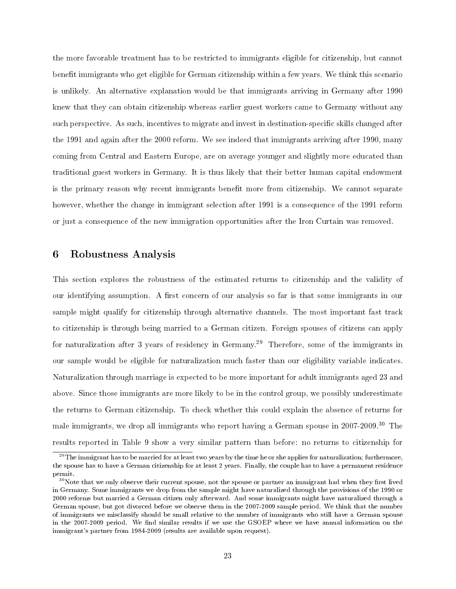the more favorable treatment has to be restricted to immigrants eligible for citizenship, but cannot benefit immigrants who get eligible for German citizenship within a few years. We think this scenario is unlikely. An alternative explanation would be that immigrants arriving in Germany after 1990 knew that they can obtain citizenship whereas earlier guest workers came to Germany without any such perspective. As such, incentives to migrate and invest in destination-specific skills changed after the 1991 and again after the 2000 reform. We see indeed that immigrants arriving after 1990, many coming from Central and Eastern Europe, are on average younger and slightly more educated than traditional guest workers in Germany. It is thus likely that their better human capital endowment is the primary reason why recent immigrants benefit more from citizenship. We cannot separate however, whether the change in immigrant selection after 1991 is a consequence of the 1991 reform or just a consequence of the new immigration opportunities after the Iron Curtain was removed.

## 6 Robustness Analysis

This section explores the robustness of the estimated returns to citizenship and the validity of our identifying assumption. A first concern of our analysis so far is that some immigrants in our sample might qualify for citizenship through alternative channels. The most important fast track to citizenship is through being married to a German citizen. Foreign spouses of citizens can apply for naturalization after 3 years of residency in Germany.<sup>29</sup> Therefore, some of the immigrants in our sample would be eligible for naturalization much faster than our eligibility variable indicates. Naturalization through marriage is expected to be more important for adult immigrants aged 23 and above. Since those immigrants are more likely to be in the control group, we possibly underestimate the returns to German citizenship. To check whether this could explain the absence of returns for male immigrants, we drop all immigrants who report having a German spouse in 2007-2009.<sup>30</sup> The results reported in Table 9 show a very similar pattern than before: no returns to citizenship for

 $^{29}$ The immigrant has to be married for at least two years by the time he or she applies for naturalization; furthermore, the spouse has to have a German citizenship for at least 2 years. Finally, the couple has to have a permanent residence permit.

 $30$ Note that we only observe their current spouse, not the spouse or partner an immigrant had when they first lived in Germany. Some immigrants we drop from the sample might have naturalized through the provisions of the 1990 or 2000 reforms but married a German citizen only afterward. And some immigrants might have naturalized through a German spouse, but got divorced before we observe them in the 2007-2009 sample period. We think that the number of immigrants we misclassify should be small relative to the number of immigrants who still have a German spouse in the 2007-2009 period. We find similar results if we use the GSOEP where we have annual information on the immigrant's partner from 1984-2009 (results are available upon request).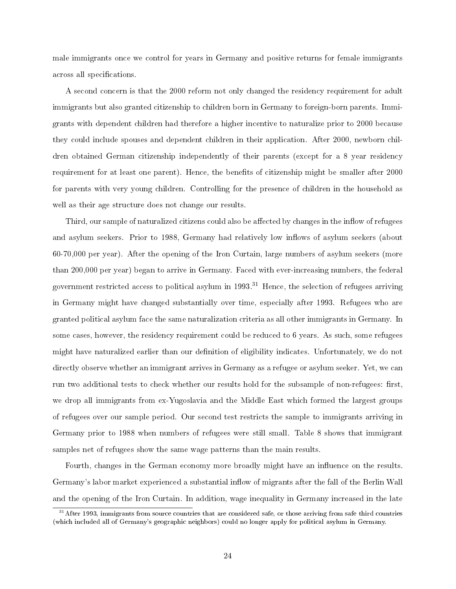male immigrants once we control for years in Germany and positive returns for female immigrants across all specifications.

A second concern is that the 2000 reform not only changed the residency requirement for adult immigrants but also granted citizenship to children born in Germany to foreign-born parents. Immigrants with dependent children had therefore a higher incentive to naturalize prior to 2000 because they could include spouses and dependent children in their application. After 2000, newborn children obtained German citizenship independently of their parents (except for a 8 year residency requirement for at least one parent). Hence, the benefits of citizenship might be smaller after 2000 for parents with very young children. Controlling for the presence of children in the household as well as their age structure does not change our results.

Third, our sample of naturalized citizens could also be affected by changes in the inflow of refugees and asylum seekers. Prior to 1988, Germany had relatively low inflows of asylum seekers (about 60-70,000 per year). After the opening of the Iron Curtain, large numbers of asylum seekers (more than 200,000 per year) began to arrive in Germany. Faced with ever-increasing numbers, the federal government restricted access to political asylum in  $1993<sup>31</sup>$  Hence, the selection of refugees arriving in Germany might have changed substantially over time, especially after 1993. Refugees who are granted political asylum face the same naturalization criteria as all other immigrants in Germany. In some cases, however, the residency requirement could be reduced to 6 years. As such, some refugees might have naturalized earlier than our definition of eligibility indicates. Unfortunately, we do not directly observe whether an immigrant arrives in Germany as a refugee or asylum seeker. Yet, we can run two additional tests to check whether our results hold for the subsample of non-refugees: first, we drop all immigrants from ex-Yugoslavia and the Middle East which formed the largest groups of refugees over our sample period. Our second test restricts the sample to immigrants arriving in Germany prior to 1988 when numbers of refugees were still small. Table 8 shows that immigrant samples net of refugees show the same wage patterns than the main results.

Fourth, changes in the German economy more broadly might have an influence on the results. Germany's labor market experienced a substantial inflow of migrants after the fall of the Berlin Wall and the opening of the Iron Curtain. In addition, wage inequality in Germany increased in the late

<sup>&</sup>lt;sup>31</sup>After 1993, immigrants from source countries that are considered safe, or those arriving from safe third countries (which included all of Germany's geographic neighbors) could no longer apply for political asylum in Germany.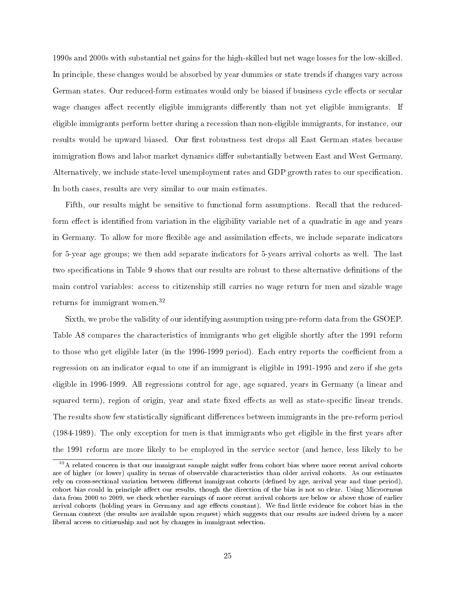1990s and 2000s with substantial net gains for the high-skilled but net wage losses for the low-skilled. In principle, these changes would be absorbed by year dummies or state trends if changes vary across German states. Our reduced-form estimates would only be biased if business cycle effects or secular wage changes affect recently eligible immigrants differently than not yet eligible immigrants. If eligible immigrants perform better during a recession than non-eligible immigrants, for instance, our results would be upward biased. Our first robustness test drops all East German states because immigration flows and labor market dynamics differ substantially between East and West Germany. Alternatively, we include state-level unemployment rates and GDP growth rates to our specification. In both cases, results are very similar to our main estimates.

Fifth, our results might be sensitive to functional form assumptions. Recall that the reducedform effect is identified from variation in the eligibility variable net of a quadratic in age and years in Germany. To allow for more flexible age and assimilation effects, we include separate indicators for 5-year age groups; we then add separate indicators for 5-years arrival cohorts as well. The last two specifications in Table 9 shows that our results are robust to these alternative definitions of the main control variables: access to citizenship still carries no wage return for men and sizable wage returns for immigrant women.<sup>32</sup>

Sixth, we probe the validity of our identifying assumption using pre-reform data from the GSOEP. Table A8 compares the characteristics of immigrants who get eligible shortly after the 1991 reform to those who get eligible later (in the 1996-1999 period). Each entry reports the coefficient from a regression on an indicator equal to one if an immigrant is eligible in 1991-1995 and zero if she gets eligible in 1996-1999. All regressions control for age, age squared, years in Germany (a linear and squared term), region of origin, year and state fixed effects as well as state-specific linear trends. The results show few statistically significant differences between immigrants in the pre-reform period  $(1984-1989)$ . The only exception for men is that immigrants who get eligible in the first years after the 1991 reform are more likely to be employed in the service sector (and hence, less likely to be

 $32A$  related concern is that our immigrant sample might suffer from cohort bias where more recent arrival cohorts are of higher (or lower) quality in terms of observable characteristics than older arrival cohorts. As our estimates rely on cross-sectional variation between different immigrant cohorts (defined by age, arrival year and time period), cohort bias could in principle affect our results, though the direction of the bias is not so clear. Using Microcensus data from 2000 to 2009, we check whether earnings of more recent arrival cohorts are below or above those of earlier arrival cohorts (holding years in Germany and age effects constant). We find little evidence for cohort bias in the German context (the results are available upon request) which suggests that our results are indeed driven by a more liberal access to citizenship and not by changes in immigrant selection.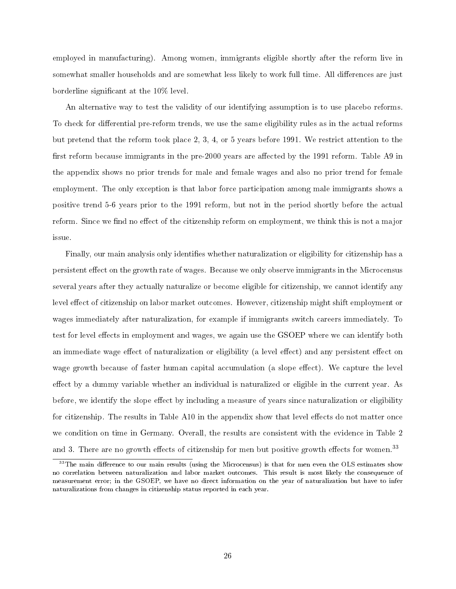employed in manufacturing). Among women, immigrants eligible shortly after the reform live in somewhat smaller households and are somewhat less likely to work full time. All differences are just borderline significant at the 10% level.

An alternative way to test the validity of our identifying assumption is to use placebo reforms. To check for differential pre-reform trends, we use the same eligibility rules as in the actual reforms but pretend that the reform took place 2, 3, 4, or 5 years before 1991. We restrict attention to the first reform because immigrants in the pre-2000 years are affected by the 1991 reform. Table A9 in the appendix shows no prior trends for male and female wages and also no prior trend for female employment. The only exception is that labor force participation among male immigrants shows a positive trend 5-6 years prior to the 1991 reform, but not in the period shortly before the actual reform. Since we find no effect of the citizenship reform on employment, we think this is not a major issue.

Finally, our main analysis only identifies whether naturalization or eligibility for citizenship has a persistent effect on the growth rate of wages. Because we only observe immigrants in the Microcensus several years after they actually naturalize or become eligible for citizenship, we cannot identify any level effect of citizenship on labor market outcomes. However, citizenship might shift employment or wages immediately after naturalization, for example if immigrants switch careers immediately. To test for level effects in employment and wages, we again use the GSOEP where we can identify both an immediate wage effect of naturalization or eligibility (a level effect) and any persistent effect on wage growth because of faster human capital accumulation (a slope effect). We capture the level effect by a dummy variable whether an individual is naturalized or eligible in the current year. As before, we identify the slope effect by including a measure of years since naturalization or eligibility for citizenship. The results in Table  $A10$  in the appendix show that level effects do not matter once we condition on time in Germany. Overall, the results are consistent with the evidence in Table 2 and 3. There are no growth effects of citizenship for men but positive growth effects for women.<sup>33</sup>

 $33$ The main difference to our main results (using the Microcensus) is that for men even the OLS estimates show no correlation between naturalization and labor market outcomes. This result is most likely the consequence of measurement error; in the GSOEP, we have no direct information on the year of naturalization but have to infer naturalizations from changes in citizenship status reported in each year.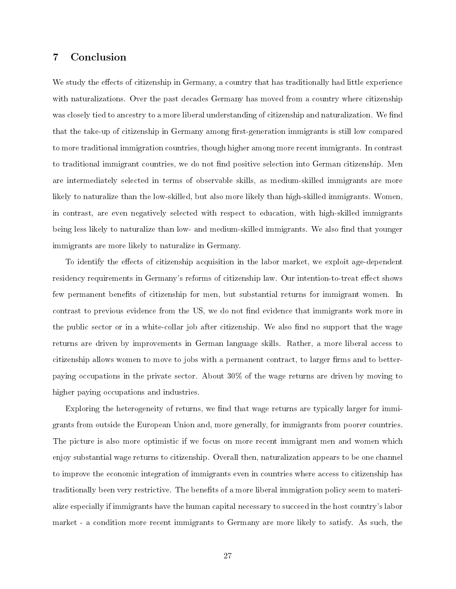## 7 Conclusion

We study the effects of citizenship in Germany, a country that has traditionally had little experience with naturalizations. Over the past decades Germany has moved from a country where citizenship was closely tied to ancestry to a more liberal understanding of citizenship and naturalization. We find that the take-up of citizenship in Germany among first-generation immigrants is still low compared to more traditional immigration countries, though higher among more recent immigrants. In contrast to traditional immigrant countries, we do not find positive selection into German citizenship. Men are intermediately selected in terms of observable skills, as medium-skilled immigrants are more likely to naturalize than the low-skilled, but also more likely than high-skilled immigrants. Women, in contrast, are even negatively selected with respect to education, with high-skilled immigrants being less likely to naturalize than low- and medium-skilled immigrants. We also find that younger immigrants are more likely to naturalize in Germany.

To identify the effects of citizenship acquisition in the labor market, we exploit age-dependent residency requirements in Germany's reforms of citizenship law. Our intention-to-treat effect shows few permanent benefits of citizenship for men, but substantial returns for immigrant women. In contrast to previous evidence from the US, we do not find evidence that immigrants work more in the public sector or in a white-collar job after citizenship. We also find no support that the wage returns are driven by improvements in German language skills. Rather, a more liberal access to citizenship allows women to move to jobs with a permanent contract, to larger firms and to betterpaying occupations in the private sector. About 30% of the wage returns are driven by moving to higher paying occupations and industries.

Exploring the heterogeneity of returns, we find that wage returns are typically larger for immigrants from outside the European Union and, more generally, for immigrants from poorer countries. The picture is also more optimistic if we focus on more recent immigrant men and women which enjoy substantial wage returns to citizenship. Overall then, naturalization appears to be one channel to improve the economic integration of immigrants even in countries where access to citizenship has traditionally been very restrictive. The benefits of a more liberal immigration policy seem to materialize especially if immigrants have the human capital necessary to succeed in the host country's labor market - a condition more recent immigrants to Germany are more likely to satisfy. As such, the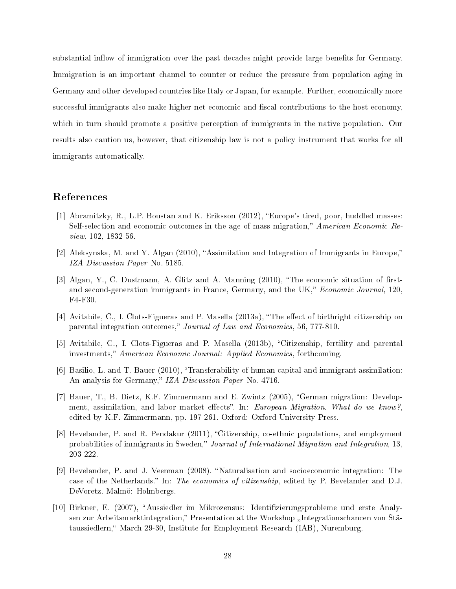substantial inflow of immigration over the past decades might provide large benefits for Germany. Immigration is an important channel to counter or reduce the pressure from population aging in Germany and other developed countries like Italy or Japan, for example. Further, economically more successful immigrants also make higher net economic and fiscal contributions to the host economy, which in turn should promote a positive perception of immigrants in the native population. Our results also caution us, however, that citizenship law is not a policy instrument that works for all immigrants automatically.

## References

- [1] Abramitzky, R., L.P. Boustan and K. Eriksson (2012), Europe's tired, poor, huddled masses: Self-selection and economic outcomes in the age of mass migration," American Economic Review, 102, 1832-56.
- [2] Aleksynska, M. and Y. Algan (2010), "Assimilation and Integration of Immigrants in Europe," IZA Discussion Paper No. 5185.
- [3] Algan, Y., C. Dustmann, A. Glitz and A. Manning  $(2010)$ , "The economic situation of firstand second-generation immigrants in France, Germany, and the UK," Economic Journal, 120 F4-F30.
- [4] Avitabile, C., I. Clots-Figueras and P. Masella (2013a), "The effect of birthright citizenship on parental integration outcomes," Journal of Law and Economics, 56, 777-810.
- [5] Avitabile, C., I. Clots-Figueras and P. Masella (2013b), "Citizenship, fertility and parental investments," American Economic Journal: Applied Economics, forthcoming.
- [6] Basilio, L. and T. Bauer (2010), "Transferability of human capital and immigrant assimilation: An analysis for Germany," IZA Discussion Paper No. 4716.
- [7] Bauer, T., B. Dietz, K.F. Zimmermann and E. Zwintz (2005), German migration: Development, assimilation, and labor market effects". In: European Migration. What do we know?, edited by K.F. Zimmermann, pp. 197-261. Oxford: Oxford University Press.
- [8] Bevelander, P. and R. Pendakur (2011), "Citizenship, co-ethnic populations, and employment probabilities of immigrants in Sweden," Journal of International Migration and Integration, 13, 203-222.
- [9] Bevelander, P. and J. Veenman (2008). "Naturalisation and socioeconomic integration: The case of the Netherlands." In: The economics of citizenship, edited by P. Bevelander and D.J. DeVoretz. Malmö: Holmbergs.
- [10] Birkner, E. (2007), Aussiedler im Mikrozensus: Identizierungsprobleme und erste Analysen zur Arbeitsmarktintegration," Presentation at the Workshop "Integrationschancen von Stätaussiedlern, "March 29-30, Institute for Employment Research (IAB), Nuremburg.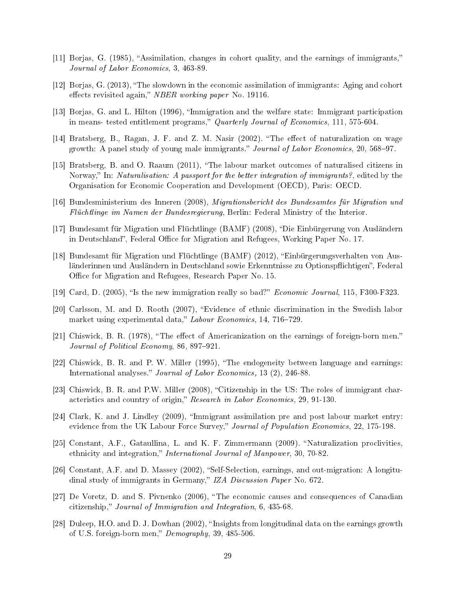- [11] Borjas, G. (1985), Assimilation, changes in cohort quality, and the earnings of immigrants, Journal of Labor Economics, 3, 463-89.
- [12] Borjas, G. (2013), The slowdown in the economic assimilation of immigrants: Aging and cohort effects revisited again," NBER working paper No. 19116.
- [13] Borjas, G. and L. Hilton (1996), Immigration and the welfare state: Immigrant participation in means- tested entitlement programs," Quarterly Journal of Economics, 111, 575-604.
- [14] Bratsberg, B., Ragan, J. F. and Z. M. Nasir (2002). "The effect of naturalization on wage growth: A panel study of young male immigrants." Journal of Labor Economics, 20, 568-97.
- [15] Bratsberg, B. and O. Raaum (2011), The labour market outcomes of naturalised citizens in Norway," In: *Naturalisation: A passport for the better integration of immigrants?*, edited by the Organisation for Economic Cooperation and Development (OECD), Paris: OECD.
- [16] Bundesministerium des Inneren (2008), Migrationsbericht des Bundesamtes für Migration und Flüchtlinge im Namen der Bundesregierung, Berlin: Federal Ministry of the Interior.
- [17] Bundesamt für Migration und Flüchtlinge (BAMF) (2008), Die Einbürgerung von Ausländern in Deutschland", Federal Office for Migration and Refugees, Working Paper No. 17.
- [18] Bundesamt für Migration und Flüchtlinge (BAMF) (2012), Einbürgerungsverhalten von Ausländerinnen und Ausländern in Deutschland sowie Erkenntnisse zu Optionspflichtigen", Federal Office for Migration and Refugees, Research Paper No. 15.
- [19] Card, D. (2005), "Is the new immigration really so bad?" *Economic Journal*, 115, F300-F323.
- [20] Carlsson, M. and D. Rooth (2007), Evidence of ethnic discrimination in the Swedish labor market using experimental data," Labour Economics, 14, 716-729.
- [21] Chiswick, B. R. (1978), "The effect of Americanization on the earnings of foreign-born men." Journal of Political Economy, 86, 897-921.
- [22] Chiswick, B. R. and P. W. Miller (1995), "The endogeneity between language and earnings: International analyses." Journal of Labor Economics, 13 (2), 246-88.
- [23] Chiswick, B. R. and P.W. Miller (2008), "Citizenship in the US: The roles of immigrant characteristics and country of origin," Research in Labor Economics, 29, 91-130.
- [24] Clark, K. and J. Lindley (2009), "Immigrant assimilation pre and post labour market entry: evidence from the UK Labour Force Survey," Journal of Population Economics, 22, 175-198.
- [25] Constant, A.F., Gataullina, L. and K. F. Zimmermann (2009). "Naturalization proclivities, ethnicity and integration," International Journal of Manpower, 30, 70-82.
- [26] Constant, A.F. and D. Massey (2002), "Self-Selection, earnings, and out-migration: A longitudinal study of immigrants in Germany," IZA Discussion Paper No. 672.
- [27] De Voretz, D. and S. Pivnenko (2006), The economic causes and consequences of Canadian citizenship," Journal of Immigration and Integration, 6, 435-68.
- [28] Duleep, H.O. and D. J. Dowhan (2002), "Insights from longitudinal data on the earnings growth of U.S. foreign-born men,"  $Demography$ , 39, 485-506.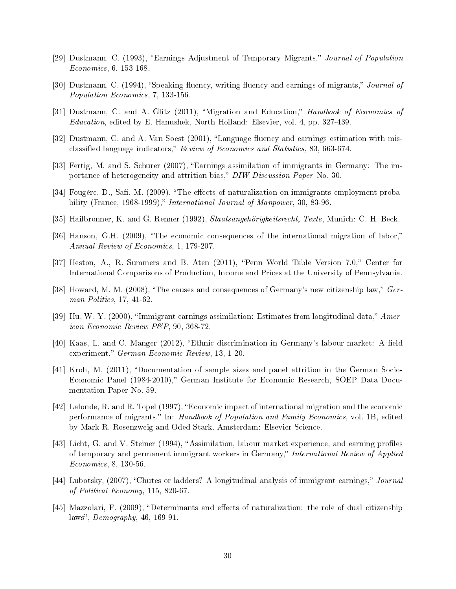- [29] Dustmann, C. (1993), "Earnings Adjustment of Temporary Migrants," Journal of Population Economics, 6, 153-168.
- [30] Dustmann, C. (1994), "Speaking fluency, writing fluency and earnings of migrants," Journal of Population Economics, 7, 133-156.
- [31] Dustmann, C. and A. Glitz (2011), "Migration and Education," *Handbook of Economics of* Education, edited by E. Hanushek, North Holland: Elsevier, vol. 4, pp. 327-439.
- [32] Dustmann, C. and A. Van Soest  $(2001)$ , "Language fluency and earnings estimation with misclassified language indicators," Review of Economics and Statistics, 83, 663-674.
- [33] Fertig, M. and S. Schurer (2007), Earnings assimilation of immigrants in Germany: The importance of heterogeneity and attrition bias," DIW Discussion Paper No. 30.
- [34] Fougère, D., Safi, M. (2009). "The effects of naturalization on immigrants employment probability (France, 1968-1999)," *International Journal of Manpower*, 30, 83-96.
- [35] Hailbronner, K. and G. Renner (1992), Staatsangehörigkeitsrecht, Texte, Munich: C. H. Beck.
- [36] Hanson, G.H. (2009), The economic consequences of the international migration of labor, Annual Review of Economics, 1, 179-207.
- [37] Heston, A., R. Summers and B. Aten (2011), "Penn World Table Version 7.0," Center for International Comparisons of Production, Income and Prices at the University of Pennsylvania.
- [38] Howard, M. M. (2008), "The causes and consequences of Germany's new citizenship law,"  $Ger$ man Politics, 17, 41-62.
- [39] Hu, W.-Y. (2000), "Immigrant earnings assimilation: Estimates from longitudinal data," American Economic Review P&P, 90, 368-72.
- [40] Kaas, L. and C. Manger (2012), "Ethnic discrimination in Germany's labour market: A field experiment," German Economic Review, 13, 1-20.
- [41] Kroh, M. (2011), "Documentation of sample sizes and panel attrition in the German Socio-Economic Panel (1984-2010)," German Institute for Economic Research, SOEP Data Documentation Paper No. 59.
- [42] Lalonde, R. and R. Topel (1997), Economic impact of international migration and the economic performance of migrants." In: Handbook of Population and Family Economics, vol. 1B, edited by Mark R. Rosenzweig and Oded Stark. Amsterdam: Elsevier Science.
- [43] Licht, G. and V. Steiner (1994), "Assimilation, labour market experience, and earning profiles of temporary and permanent immigrant workers in Germany," International Review of Applied Economics, 8, 130-56.
- [44] Lubotsky, (2007), "Chutes or ladders? A longitudinal analysis of immigrant earnings," Journal of Political Economy, 115, 820-67.
- [45] Mazzolari, F. (2009), "Determinants and effects of naturalization: the role of dual citizenship laws",  $Demography$ , 46, 169-91.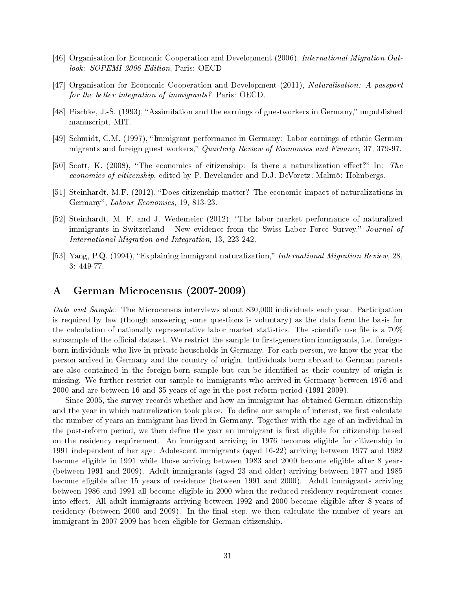- [46] Organisation for Economic Cooperation and Development (2006), International Migration Outlook: SOPEMI-2006 Edition, Paris: OECD
- [47] Organisation for Economic Cooperation and Development (2011), Naturalisation: A passport for the better integration of immigrants? Paris: OECD.
- [48] Pischke, J.-S. (1993), "Assimilation and the earnings of guestworkers in Germany," unpublished manuscript, MIT.
- [49] Schmidt, C.M. (1997), "Immigrant performance in Germany: Labor earnings of ethnic German migrants and foreign guest workers," Quarterly Review of Economics and Finance, 37, 379-97.
- [50] Scott, K. (2008), "The economics of citizenship: Is there a naturalization effect?" In: The economics of citizenship, edited by P. Bevelander and D.J. DeVoretz. Malmö: Holmbergs.
- [51] Steinhardt, M.F. (2012), "Does citizenship matter? The economic impact of naturalizations in Germany", *Labour Economics*, 19, 813-23.
- [52] Steinhardt, M. F. and J. Wedemeier (2012), The labor market performance of naturalized immigrants in Switzerland - New evidence from the Swiss Labor Force Survey," Journal of International Migration and Integration, 13, 223-242.
- [53] Yang, P.Q. (1994), "Explaining immigrant naturalization," International Migration Review, 28, 3: 449-77.

## A German Microcensus (2007-2009)

Data and Sample: The Microcensus interviews about 830,000 individuals each year. Participation is required by law (though answering some questions is voluntary) as the data form the basis for the calculation of nationally representative labor market statistics. The scientific use file is a  $70\%$ subsample of the official dataset. We restrict the sample to first-generation immigrants, i.e. foreignborn individuals who live in private households in Germany. For each person, we know the year the person arrived in Germany and the country of origin. Individuals born abroad to German parents are also contained in the foreign-born sample but can be identified as their country of origin is missing. We further restrict our sample to immigrants who arrived in Germany between 1976 and 2000 and are between 16 and 35 years of age in the post-reform period (1991-2009).

Since 2005, the survey records whether and how an immigrant has obtained German citizenship and the year in which naturalization took place. To define our sample of interest, we first calculate the number of years an immigrant has lived in Germany. Together with the age of an individual in the post-reform period, we then define the year an immigrant is first eligible for citizenship based on the residency requirement. An immigrant arriving in 1976 becomes eligible for citizenship in 1991 independent of her age. Adolescent immigrants (aged 16-22) arriving between 1977 and 1982 become eligible in 1991 while those arriving between 1983 and 2000 become eligible after 8 years (between 1991 and 2009). Adult immigrants (aged 23 and older) arriving between 1977 and 1985 become eligible after 15 years of residence (between 1991 and 2000). Adult immigrants arriving between 1986 and 1991 all become eligible in 2000 when the reduced residency requirement comes into effect. All adult immigrants arriving between 1992 and 2000 become eligible after 8 years of residency (between 2000 and 2009). In the final step, we then calculate the number of years an immigrant in 2007-2009 has been eligible for German citizenship.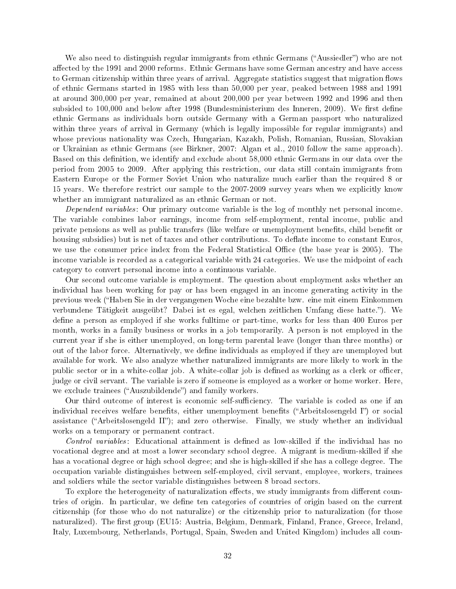We also need to distinguish regular immigrants from ethnic Germans ("Aussiedler") who are not affected by the 1991 and 2000 reforms. Ethnic Germans have some German ancestry and have access to German citizenship within three years of arrival. Aggregate statistics suggest that migration flows of ethnic Germans started in 1985 with less than 50,000 per year, peaked between 1988 and 1991 at around 300,000 per year, remained at about 200,000 per year between 1992 and 1996 and then subsided to 100,000 and below after 1998 (Bundesministerium des Inneren, 2009). We first define ethnic Germans as individuals born outside Germany with a German passport who naturalized within three years of arrival in Germany (which is legally impossible for regular immigrants) and whose previous nationality was Czech, Hungarian, Kazakh, Polish, Romanian, Russian, Slovakian or Ukrainian as ethnic Germans (see Birkner, 2007: Algan et al., 2010 follow the same approach). Based on this definition, we identify and exclude about 58,000 ethnic Germans in our data over the period from 2005 to 2009. After applying this restriction, our data still contain immigrants from Eastern Europe or the Former Soviet Union who naturalize much earlier than the required 8 or 15 years. We therefore restrict our sample to the 2007-2009 survey years when we explicitly know whether an immigrant naturalized as an ethnic German or not.

Dependent variables: Our primary outcome variable is the log of monthly net personal income. The variable combines labor earnings, income from self-employment, rental income, public and private pensions as well as public transfers (like welfare or unemployment benefits, child benefit or housing subsidies) but is net of taxes and other contributions. To deflate income to constant Euros. we use the consumer price index from the Federal Statistical Office (the base year is 2005). The income variable is recorded as a categorical variable with 24 categories. We use the midpoint of each category to convert personal income into a continuous variable.

Our second outcome variable is employment. The question about employment asks whether an individual has been working for pay or has been engaged in an income generating activity in the previous week (Haben Sie in der vergangenen Woche eine bezahlte bzw. eine mit einem Einkommen verbundene Tätigkeit ausgeübt? Dabei ist es egal, welchen zeitlichen Umfang diese hatte."). We define a person as employed if she works fulltime or part-time, works for less than 400 Euros per month, works in a family business or works in a job temporarily. A person is not employed in the current year if she is either unemployed, on long-term parental leave (longer than three months) or out of the labor force. Alternatively, we dene individuals as employed if they are unemployed but available for work. We also analyze whether naturalized immigrants are more likely to work in the public sector or in a white-collar job. A white-collar job is defined as working as a clerk or officer, judge or civil servant. The variable is zero if someone is employed as a worker or home worker. Here, we exclude trainees ("Auszubildende") and family workers.

Our third outcome of interest is economic self-sufficiency. The variable is coded as one if an individual receives welfare benefits, either unemployment benefits ("Arbeitslosengeld I") or social assistance ("Arbeitslosengeld II"); and zero otherwise. Finally, we study whether an individual works on a temporary or permanent contract.

Control variables: Educational attainment is defined as low-skilled if the individual has no vocational degree and at most a lower secondary school degree. A migrant is medium-skilled if she has a vocational degree or high school degree; and she is high-skilled if she has a college degree. The occupation variable distinguishes between self-employed, civil servant, employee, workers, trainees and soldiers while the sector variable distinguishes between 8 broad sectors.

To explore the heterogeneity of naturalization effects, we study immigrants from different countries of origin. In particular, we dene ten categories of countries of origin based on the current citizenship (for those who do not naturalize) or the citizenship prior to naturalization (for those naturalized). The first group (EU15: Austria, Belgium, Denmark, Finland, France, Greece, Ireland, Italy, Luxembourg, Netherlands, Portugal, Spain, Sweden and United Kingdom) includes all coun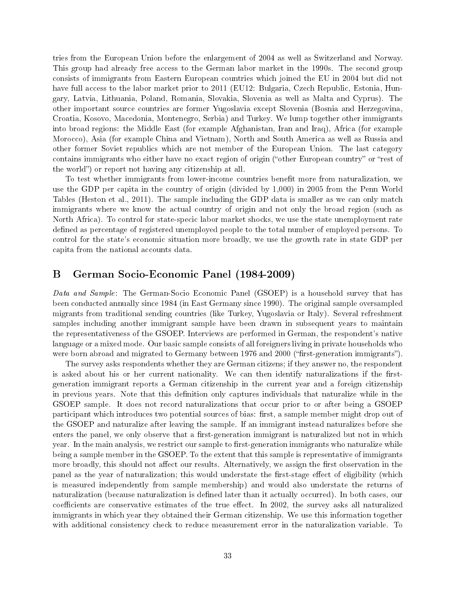tries from the European Union before the enlargement of 2004 as well as Switzerland and Norway. This group had already free access to the German labor market in the 1990s. The second group consists of immigrants from Eastern European countries which joined the EU in 2004 but did not have full access to the labor market prior to 2011 (EU12: Bulgaria, Czech Republic, Estonia, Hungary, Latvia, Lithuania, Poland, Romania, Slovakia, Slovenia as well as Malta and Cyprus). The other important source countries are former Yugoslavia except Slovenia (Bosnia and Herzegovina, Croatia, Kosovo, Macedonia, Montenegro, Serbia) and Turkey. We lump together other immigrants into broad regions: the Middle East (for example Afghanistan, Iran and Iraq), Africa (for example Morocco), Asia (for example China and Vietnam), North and South America as well as Russia and other former Soviet republics which are not member of the European Union. The last category contains immigrants who either have no exact region of origin ("other European country" or "rest of the world") or report not having any citizenship at all.

To test whether immigrants from lower-income countries benefit more from naturalization, we use the GDP per capita in the country of origin (divided by 1,000) in 2005 from the Penn World Tables (Heston et al., 2011). The sample including the GDP data is smaller as we can only match immigrants where we know the actual country of origin and not only the broad region (such as North Africa). To control for state-specic labor market shocks, we use the state unemployment rate defined as percentage of registered unemployed people to the total number of employed persons. To control for the state's economic situation more broadly, we use the growth rate in state GDP per capita from the national accounts data.

## B German Socio-Economic Panel (1984-2009)

Data and Sample: The German-Socio Economic Panel (GSOEP) is a household survey that has been conducted annually since 1984 (in East Germany since 1990). The original sample oversampled migrants from traditional sending countries (like Turkey, Yugoslavia or Italy). Several refreshment samples including another immigrant sample have been drawn in subsequent years to maintain the representativeness of the GSOEP. Interviews are performed in German, the respondent's native language or a mixed mode. Our basic sample consists of all foreigners living in private households who were born abroad and migrated to Germany between 1976 and 2000 ("first-generation immigrants").

The survey asks respondents whether they are German citizens; if they answer no, the respondent is asked about his or her current nationality. We can then identify naturalizations if the firstgeneration immigrant reports a German citizenship in the current year and a foreign citizenship in previous years. Note that this definition only captures individuals that naturalize while in the GSOEP sample. It does not record naturalizations that occur prior to or after being a GSOEP participant which introduces two potential sources of bias: first, a sample member might drop out of the GSOEP and naturalize after leaving the sample. If an immigrant instead naturalizes before she enters the panel, we only observe that a first-generation immigrant is naturalized but not in which year. In the main analysis, we restrict our sample to first-generation immigrants who naturalize while being a sample member in the GSOEP. To the extent that this sample is representative of immigrants more broadly, this should not affect our results. Alternatively, we assign the first observation in the panel as the year of naturalization; this would understate the first-stage effect of eligibility (which is measured independently from sample membership) and would also understate the returns of naturalization (because naturalization is dened later than it actually occurred). In both cases, our coefficients are conservative estimates of the true effect. In 2002, the survey asks all naturalized immigrants in which year they obtained their German citizenship. We use this information together with additional consistency check to reduce measurement error in the naturalization variable. To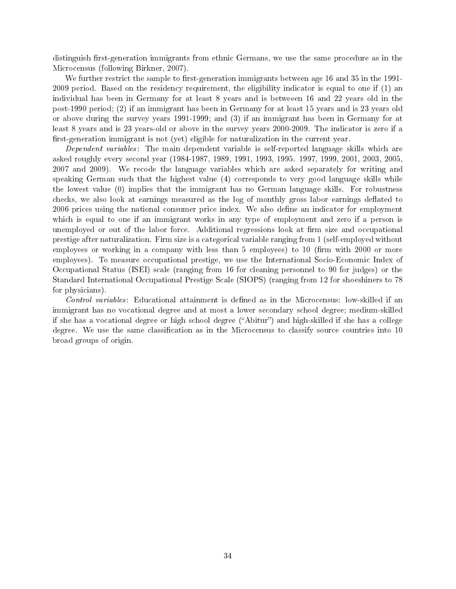distinguish first-generation immigrants from ethnic Germans, we use the same procedure as in the Microcensus (following Birkner, 2007).

We further restrict the sample to first-generation immigrants between age 16 and 35 in the 1991-2009 period. Based on the residency requirement, the eligibility indicator is equal to one if (1) an individual has been in Germany for at least 8 years and is betweeen 16 and 22 years old in the post-1990 period; (2) if an immigrant has been in Germany for at least 15 years and is 23 years old or above during the survey years 1991-1999; and (3) if an immigrant has been in Germany for at least 8 years and is 23 years-old or above in the survey years 2000-2009. The indicator is zero if a first-generation immigrant is not (yet) eligible for naturalization in the current year.

Dependent variables: The main dependent variable is self-reported language skills which are asked roughly every second year (1984-1987, 1989, 1991, 1993, 1995. 1997, 1999, 2001, 2003, 2005, 2007 and 2009). We recode the language variables which are asked separately for writing and speaking German such that the highest value (4) corresponds to very good language skills while the lowest value (0) implies that the immigrant has no German language skills. For robustness checks, we also look at earnings measured as the log of monthly gross labor earnings deflated to 2006 prices using the national consumer price index. We also define an indicator for employment which is equal to one if an immigrant works in any type of employment and zero if a person is unemployed or out of the labor force. Additional regressions look at firm size and occupational prestige after naturalization. Firm size is a categorical variable ranging from 1 (self-employed without employees or working in a company with less than 5 employees) to 10 (firm with 2000 or more employees). To measure occupational prestige, we use the International Socio-Economic Index of Occupational Status (ISEI) scale (ranging from 16 for cleaning personnel to 90 for judges) or the Standard International Occupational Prestige Scale (SIOPS) (ranging from 12 for shoeshiners to 78 for physicians).

Control variables: Educational attainment is defined as in the Microcensus: low-skilled if an immigrant has no vocational degree and at most a lower secondary school degree; medium-skilled if she has a vocational degree or high school degree ("Abitur") and high-skilled if she has a college degree. We use the same classification as in the Microcensus to classify source countries into 10 broad groups of origin.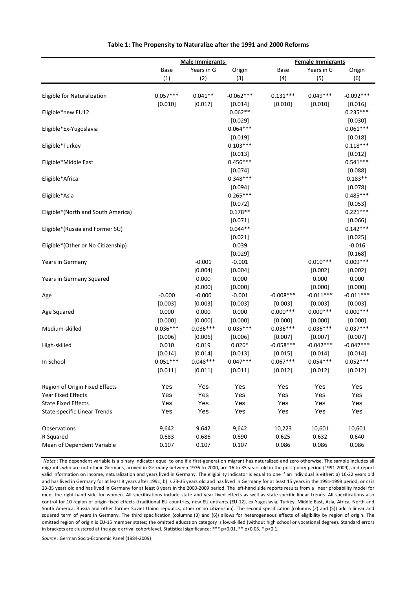|                                     |                       | <b>Male Immigrants</b> |                      | <b>Female Immigrants</b> |             |                       |  |
|-------------------------------------|-----------------------|------------------------|----------------------|--------------------------|-------------|-----------------------|--|
|                                     | Base                  | Years in G             | Origin               | Base                     | Years in G  | Origin                |  |
|                                     | (1)                   | (2)                    | (3)                  | (4)                      | (5)         | (6)                   |  |
|                                     |                       |                        |                      |                          |             |                       |  |
| Eligible for Naturalization         | $0.057***$            | $0.041**$              | $-0.062***$          | $0.131***$               | $0.049***$  | $-0.092***$           |  |
|                                     | [0.010]               | [0.017]                | [0.014]<br>$0.062**$ | [0.010]                  | [0.010]     | [0.016]<br>$0.235***$ |  |
| Eligible*new EU12                   |                       |                        | [0.029]              |                          |             | [0.030]               |  |
| Eligible*Ex-Yugoslavia              |                       |                        | $0.064***$           |                          |             | $0.061***$            |  |
|                                     |                       |                        | [0.019]              |                          |             | [0.018]               |  |
| Eligible*Turkey                     |                       |                        | $0.103***$           |                          |             | $0.118***$            |  |
|                                     |                       |                        | [0.013]              |                          |             | [0.012]               |  |
| Eligible*Middle East                |                       |                        | $0.456***$           |                          |             | $0.541***$            |  |
|                                     |                       |                        | [0.074]              |                          |             | [0.088]               |  |
| Eligible*Africa                     |                       |                        | $0.348***$           |                          |             | $0.183**$             |  |
|                                     |                       |                        | [0.094]              |                          |             | [0.078]               |  |
| Eligible*Asia                       |                       |                        | $0.265***$           |                          |             | $0.485***$            |  |
|                                     |                       |                        | [0.072]              |                          |             | [0.053]               |  |
| Eligible*(North and South America)  |                       |                        | $0.178**$            |                          |             | $0.221***$            |  |
|                                     |                       |                        | [0.071]              |                          |             | [0.066]               |  |
| Eligible*(Russia and Former SU)     |                       |                        | $0.044**$            |                          |             | $0.142***$            |  |
| Eligible*(Other or No Citizenship)  |                       |                        | [0.021]<br>0.039     |                          |             | [0.025]<br>$-0.016$   |  |
|                                     |                       |                        | [0.029]              |                          |             | [0.168]               |  |
| Years in Germany                    |                       | $-0.001$               | $-0.001$             |                          | $0.010***$  | $0.009***$            |  |
|                                     |                       | [0.004]                | [0.004]              |                          | [0.002]     | [0.002]               |  |
| Years in Germany Squared            |                       | 0.000                  | 0.000                |                          | 0.000       | 0.000                 |  |
|                                     |                       | [0.000]                | [0.000]              |                          | [0.000]     | [0.000]               |  |
| Age                                 | $-0.000$              | $-0.000$               | $-0.001$             | $-0.008***$              | $-0.011***$ | $-0.011***$           |  |
|                                     | [0.003]               | [0.003]                | [0.003]              | [0.003]                  | [0.003]     | [0.003]               |  |
| Age Squared                         | 0.000                 | 0.000                  | 0.000                | $0.000***$               | $0.000***$  | $0.000***$            |  |
|                                     | [0.000]               | [0.000]                | [0.000]              | [0.000]                  | [0.000]     | [0.000]               |  |
| Medium-skilled                      | $0.036***$            | $0.036***$             | $0.035***$           | $0.036***$               | $0.036***$  | $0.037***$            |  |
|                                     | [0.006]               | [0.006]                | [0.006]              | [0.007]                  | [0.007]     | [0.007]               |  |
| High-skilled                        | 0.010                 | 0.019                  | $0.026*$             | $-0.058***$              | $-0.042***$ | $-0.047***$           |  |
|                                     | [0.014]<br>$0.051***$ | [0.014]                | [0.013]              | [0.015]                  | [0.014]     | [0.014]               |  |
| In School                           |                       | $0.048***$             | $0.047***$           | $0.067***$               | $0.054***$  | $0.052***$            |  |
|                                     | [0.011]               | [0.011]                | [0.011]              | [0.012]                  | [0.012]     | [0.012]               |  |
| Region of Origin Fixed Effects      | Yes                   | Yes                    | Yes                  | Yes                      | Yes         | Yes                   |  |
| <b>Year Fixed Effects</b>           | Yes                   | Yes                    | Yes                  | Yes                      | Yes         | Yes                   |  |
| <b>State Fixed Effects</b>          | Yes                   | Yes                    | Yes                  | Yes                      | Yes         | Yes                   |  |
| <b>State-specific Linear Trends</b> | Yes                   | Yes                    | Yes                  | Yes                      | Yes         | Yes                   |  |
|                                     |                       |                        |                      |                          |             |                       |  |
| Observations                        | 9,642                 | 9,642                  | 9,642                | 10,223                   | 10,601      | 10,601                |  |
| R Squared                           | 0.683                 | 0.686                  | 0.690                | 0.625                    | 0.632       | 0.640                 |  |
| Mean of Dependent Variable          | 0.107                 | 0.107                  | 0.107                | 0.086                    | 0.086       | 0.086                 |  |

### **Table 1: The Propensity to Naturalize after the 1991 and 2000 Reforms**

*Notes*: The dependent variable is a binary indicator equal to one if a first-generation migrant has naturalized and zero otherwise. The sample includes all migrants who are not ethnic Germans, arrived in Germany between 1976 to 2000, are 16 to 35 years-old in the post-policy period (1991-2009), and report valid information on income, naturalization and years lived in Germany. The eligibility indicator is equal to one if an individual is either: a) 16-22 years old and has lived in Germany for at least 8 years after 1991; b) is 23-35 years old and has lived in Germany for at least 15 years in the 1991-1999 period; or c) is 23-35 years old and has lived in Germany for at least 8 years in the 2000-2009 period. The left-hand side reports results from a linear probability model for men, the right-hand side for women. All specifications include state and year fixed effects as well as state-specific linear trends. All specifications also control for 10 region of origin fixed effects (traditional EU countries, new EU entrants (EU-12), ex-Yugoslavia, Turkey, Middle East, Asia, Africa, North and South America, Russia and other former Soviet Union republics, other or no citizenship). The second specification (columns (2) and (5)) add a linear and squared term of years in Germany. The third specification (columns (3) and (6)) allows for heterogeneous effects of eligibility by region of origin. The omitted region of origin is EU-15 member states; the omitted education category is low-skilled (without high school or vocational degree). Standard errors in brackets are clustered at the age x arrival cohort level. Statistical significance: \*\*\* p<0.01, \*\* p<0.05, \* p<0.1.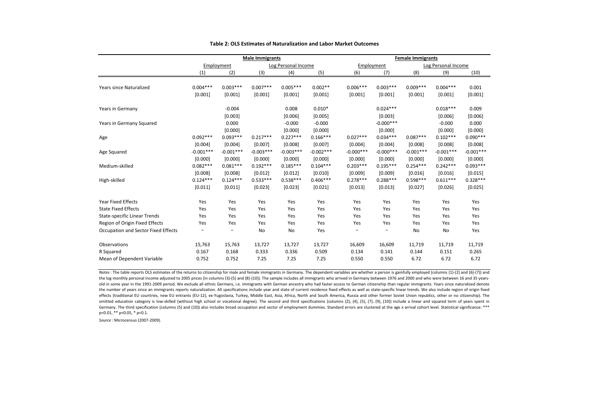|                                     | <b>Male Immigrants</b>   |             |             |                     |             | <b>Female Immigrants</b> |                          |             |                     |             |  |
|-------------------------------------|--------------------------|-------------|-------------|---------------------|-------------|--------------------------|--------------------------|-------------|---------------------|-------------|--|
|                                     |                          | Employment  |             | Log Personal Income |             |                          | Employment               |             | Log Personal Income |             |  |
|                                     | (1)                      | (2)         | (3)         | (4)                 | (5)         | (6)                      | (7)                      | (8)         | (9)                 | (10)        |  |
|                                     |                          |             |             |                     |             |                          |                          |             |                     |             |  |
| Years since Naturalized             | $0.004***$               | $0.003***$  | $0.007***$  | $0.005***$          | $0.002**$   | $0.006***$               | $0.003***$               | $0.009***$  | $0.004***$          | 0.001       |  |
|                                     | [0.001]                  | [0.001]     | [0.001]     | [0.001]             | [0.001]     | [0.001]                  | [0.001]                  | [0.001]     | [0.001]             | [0.001]     |  |
| Years in Germany                    |                          | $-0.004$    |             | 0.008               | $0.010*$    |                          | $0.024***$               |             | $0.018***$          | 0.009       |  |
|                                     |                          | [0.003]     |             | [0.006]             | [0.005]     |                          | [0.003]                  |             | [0.006]             | [0.006]     |  |
| Years in Germany Squared            |                          | 0.000       |             | $-0.000$            | $-0.000$    |                          | $-0.000$ ***             |             | $-0.000$            | 0.000       |  |
|                                     |                          | [0.000]     |             | [0.000]             | [0.000]     |                          | [0.000]                  |             | [0.000]             | [0.000]     |  |
| Age                                 | $0.092***$               | $0.093***$  | $0.217***$  | $0.227***$          | $0.166***$  | $0.027***$               | $0.034***$               | $0.087***$  | $0.102***$          | $0.090***$  |  |
|                                     | [0.004]                  | [0.004]     | [0.007]     | [0.008]             | [0.007]     | [0.004]                  | [0.004]                  | [0.008]     | [0.008]             | [0.008]     |  |
| Age Squared                         | $-0.001***$              | $-0.001***$ | $-0.003***$ | $-0.003***$         | $-0.002***$ | $-0.000$ ***             | $-0.000$ ***             | $-0.001***$ | $-0.001***$         | $-0.001***$ |  |
|                                     | [0.000]                  | [0.000]     | [0.000]     | [0.000]             | [0.000]     | [0.000]                  | [0.000]                  | [0.000]     | [0.000]             | [0.000]     |  |
| Medium-skilled                      | $0.082***$               | $0.081***$  | $0.192***$  | $0.185***$          | $0.104***$  | $0.203***$               | $0.195***$               | $0.254***$  | $0.242***$          | $0.093***$  |  |
|                                     | [0.008]                  | [0.008]     | [0.012]     | [0.012]             | [0.010]     | [0.009]                  | [0.009]                  | [0.016]     | [0.016]             | [0.015]     |  |
| High-skilled                        | $0.124***$               | $0.124***$  | $0.533***$  | $0.538***$          | $0.406***$  | $0.278***$               | $0.288***$               | $0.598***$  | $0.611***$          | $0.328***$  |  |
|                                     | [0.011]                  | [0.011]     | [0.023]     | [0.023]             | [0.021]     | [0.013]                  | [0.013]                  | [0.027]     | [0.026]             | [0.025]     |  |
| <b>Year Fixed Effects</b>           | Yes                      | Yes         | Yes         | Yes                 | Yes         | Yes                      | Yes                      | Yes         | Yes                 | Yes         |  |
| <b>State Fixed Effects</b>          | Yes                      | Yes         | Yes         | Yes                 | Yes         | Yes                      | Yes                      | Yes         | Yes                 | Yes         |  |
| <b>State-specific Linear Trends</b> | Yes                      | Yes         | Yes         | Yes                 | Yes         | Yes                      | Yes                      | Yes         | Yes                 | Yes         |  |
| Region of Origin Fixed Effects      | Yes                      | Yes         | Yes         | Yes                 | Yes         | Yes                      | Yes                      | Yes         | Yes                 | Yes         |  |
| Occupation and Sector Fixed Effects | $\overline{\phantom{0}}$ |             | <b>No</b>   | No                  | Yes         |                          | $\overline{\phantom{0}}$ | No          | No                  | Yes         |  |
| Observations                        | 15,763                   | 15,763      | 13,727      | 13,727              | 13,727      | 16,609                   | 16,609                   | 11,719      | 11,719              | 11,719      |  |
| R Squared                           | 0.167                    | 0.168       | 0.333       | 0.336               | 0.509       | 0.134                    | 0.141                    | 0.144       | 0.151               | 0.265       |  |
| Mean of Dependent Variable          | 0.752                    | 0.752       | 7.25        | 7.25                | 7.25        | 0.550                    | 0.550                    | 6.72        | 6.72                | 6.72        |  |

#### **Table 2: OLS Estimates of Naturalization and Labor Market Outcomes**

*Notes* : The table reports OLS estimates of the returns to citizenship for male and female immigrants in Germany. The dependent variables are whether a person is gainfully employed (columns (1)-(2) and (6)-(7)) and the log monthly personal income adjusted to 2005 prices (in columns (3)-(5) and (8)-(10)). The sample includes all immigrants who arrived in Germany between 1976 and 2000 and who were between 16 and 35 yearsold in some year in the 1991-2009 period. We exclude all ethnic Germans, i.e. immigrants with German ancestry who had faster access to German citizenship than regular immigrants. Years since naturalized denote the number of years since an immigrants reports naturalization. All specifications include year and state of current residence fixed effects as well as state-specific linear trends. We also include region of origin fixed effects (traditional EU countries, new EU entrants (EU-12), ex-Yugoslavia, Turkey, Middle East, Asia, Africa, North and South America, Russia and other former Soviet Union republics, other or no citizenship). The omitted education category is low-skilled (without high school or vocational degree). The second and third specifications (columns (2), (4), (5), (7), (9), (10)) include a linear and squared term of years spent in Germany. The third specification (columns (5) and (10)) also includes broad occupation and sector of employment dummies. Standard errors are clustered at the age x arrival cohort level. Statistical significance: \*\*\* p<0.01, \*\* p<0.05, \* p<0.1.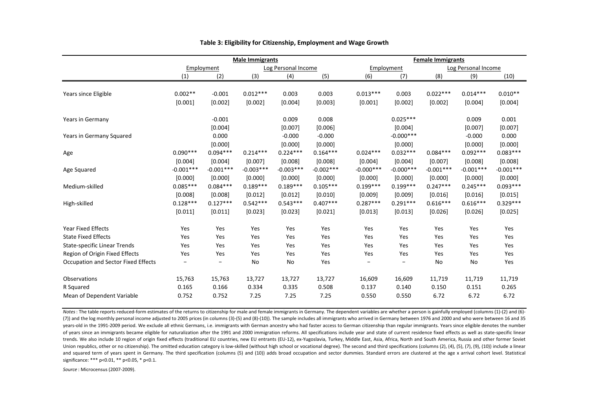|                                     | <b>Male Immigrants</b> |             |             |                     |             | <b>Female Immigrants</b> |                          |             |                     |             |
|-------------------------------------|------------------------|-------------|-------------|---------------------|-------------|--------------------------|--------------------------|-------------|---------------------|-------------|
|                                     |                        | Employment  |             | Log Personal Income |             |                          | Employment               |             | Log Personal Income |             |
|                                     | (1)                    | (2)         | (3)         | (4)                 | (5)         | (6)                      | (7)                      | (8)         | (9)                 | (10)        |
|                                     |                        |             |             |                     |             |                          |                          |             |                     |             |
| Years since Eligible                | $0.002**$              | $-0.001$    | $0.012***$  | 0.003               | 0.003       | $0.013***$               | 0.003                    | $0.022***$  | $0.014***$          | $0.010**$   |
|                                     | [0.001]                | [0.002]     | [0.002]     | [0.004]             | [0.003]     | [0.001]                  | [0.002]                  | [0.002]     | [0.004]             | [0.004]     |
| Years in Germany                    |                        | $-0.001$    |             | 0.009               | 0.008       |                          | $0.025***$               |             | 0.009               | 0.001       |
|                                     |                        | [0.004]     |             | [0.007]             | [0.006]     |                          | [0.004]                  |             | [0.007]             | [0.007]     |
| Years in Germany Squared            |                        | 0.000       |             | $-0.000$            | $-0.000$    |                          | $-0.000$ ***             |             | $-0.000$            | 0.000       |
|                                     |                        | [0.000]     |             | [0.000]             | [0.000]     |                          | [0.000]                  |             | [0.000]             | [0.000]     |
| Age                                 | $0.090***$             | $0.094***$  | $0.214***$  | $0.224***$          | $0.164***$  | $0.024***$               | $0.032***$               | $0.084***$  | $0.092***$          | $0.083***$  |
|                                     | [0.004]                | [0.004]     | [0.007]     | [0.008]             | [0.008]     | [0.004]                  | [0.004]                  | [0.007]     | [0.008]             | [0.008]     |
| Age Squared                         | $-0.001***$            | $-0.001***$ | $-0.003***$ | $-0.003***$         | $-0.002***$ | $-0.000$ ***             | $-0.000***$              | $-0.001***$ | $-0.001***$         | $-0.001***$ |
|                                     | [0.000]                | [0.000]     | [0.000]     | [0.000]             | [0.000]     | [0.000]                  | [0.000]                  | [0.000]     | [0.000]             | [0.000]     |
| Medium-skilled                      | $0.085***$             | $0.084***$  | $0.189***$  | $0.189***$          | $0.105***$  | $0.199***$               | $0.199***$               | $0.247***$  | $0.245***$          | $0.093***$  |
|                                     | [0.008]                | [0.008]     | [0.012]     | [0.012]             | [0.010]     | [0.009]                  | [0.009]                  | [0.016]     | [0.016]             | [0.015]     |
| High-skilled                        | $0.128***$             | $0.127***$  | $0.542***$  | $0.543***$          | $0.407***$  | $0.287***$               | $0.291***$               | $0.616***$  | $0.616***$          | $0.329***$  |
|                                     | [0.011]                | [0.011]     | [0.023]     | [0.023]             | [0.021]     | [0.013]                  | [0.013]                  | [0.026]     | [0.026]             | [0.025]     |
| <b>Year Fixed Effects</b>           | Yes                    | Yes         | Yes         | Yes                 | Yes         | Yes                      | Yes                      | Yes         | Yes                 | Yes         |
| <b>State Fixed Effects</b>          | Yes                    | Yes         | Yes         | Yes                 | Yes         | Yes                      | Yes                      | Yes         | Yes                 | Yes         |
| <b>State-specific Linear Trends</b> | Yes                    | Yes         | Yes         | Yes                 | Yes         | Yes                      | Yes                      | Yes         | Yes                 | Yes         |
| Region of Origin Fixed Effects      | Yes                    | Yes         | Yes         | Yes                 | Yes         | Yes                      | Yes                      | Yes         | Yes                 | Yes         |
| Occupation and Sector Fixed Effects |                        |             | No          | No                  | Yes         |                          | $\overline{\phantom{0}}$ | No          | No                  | Yes         |
| Observations                        | 15,763                 | 15,763      | 13,727      | 13,727              | 13,727      | 16,609                   | 16,609                   | 11,719      | 11,719              | 11,719      |
| R Squared                           | 0.165                  | 0.166       | 0.334       | 0.335               | 0.508       | 0.137                    | 0.140                    | 0.150       | 0.151               | 0.265       |
| Mean of Dependent Variable          | 0.752                  | 0.752       | 7.25        | 7.25                | 7.25        | 0.550                    | 0.550                    | 6.72        | 6.72                | 6.72        |

### **Table 3: Eligibility for Citizenship, Employment and Wage Growth**

*Notes*: The table reports reduced-form estimates of the returns to citizenship for male and female immigrants in Germany. The dependent variables are whether a person is gainfully employed (columns (1)-(2) and (6)- (7)) and the log monthly personal income adjusted to 2005 prices (in columns (3)-(5) and (8)-(10)). The sample includes all immigrants who arrived in Germany between 1976 and 2000 and who were between 16 and 35 years-old in the 1991-2009 period. We exclude all ethnic Germans, i.e. immigrants with German ancestry who had faster access to German citizenship than regular immigrants. Years since eligible denotes the number of years since an immigrants became eligible for naturalization after the 1991 and 2000 immigration reforms. All specifications include year and state of current residence fixed effects as well as state-specific linear trends. We also include 10 region of origin fixed effects (traditional EU countries, new EU entrants (EU-12), ex-Yugoslavia, Turkey, Middle East, Asia, Africa, North and South America, Russia and other former Soviet Union republics, other or no citizenship). The omitted education category is low-skilled (without high school or vocational degree). The second and third specifications (columns (2), (4), (5), (7), (9), (10)) include a lin and squared term of years spent in Germany. The third specification (columns (5) and (10)) adds broad occupation and sector dummies. Standard errors are clustered at the age x arrival cohort level. Statistical significance: \*\*\* p<0.01, \*\* p<0.05, \* p<0.1.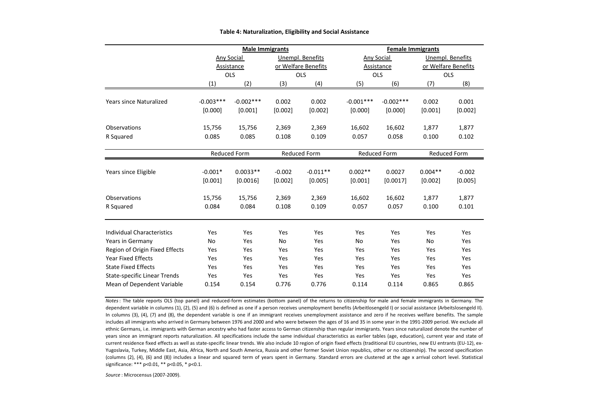|                                                             |             | <b>Male Immigrants</b> |           |                     | <b>Female Immigrants</b> |             |                            |                  |  |  |
|-------------------------------------------------------------|-------------|------------------------|-----------|---------------------|--------------------------|-------------|----------------------------|------------------|--|--|
|                                                             | Any Social  |                        |           | Unempl. Benefits    | Any Social               |             |                            | Unempl. Benefits |  |  |
|                                                             |             | Assistance             |           | or Welfare Benefits |                          | Assistance  | or Welfare Benefits<br>OLS |                  |  |  |
|                                                             |             | <b>OLS</b>             |           | OLS                 | <b>OLS</b>               |             |                            |                  |  |  |
|                                                             | (1)         | (2)                    | (3)       | (4)                 | (5)                      | (6)         | (7)                        | (8)              |  |  |
|                                                             |             |                        |           |                     |                          |             |                            |                  |  |  |
| <b>Years since Naturalized</b>                              | $-0.003***$ | $-0.002***$            | 0.002     | 0.002               | $-0.001***$              | $-0.002***$ | 0.002                      | 0.001            |  |  |
|                                                             | [0.000]     | [0.001]                | [0.002]   | [0.002]             | [0.000]                  | [0.000]     | [0.001]                    | [0.002]          |  |  |
| Observations                                                | 15,756      | 15,756                 | 2,369     | 2,369               | 16,602                   | 16,602      | 1,877                      | 1,877            |  |  |
| R Squared                                                   | 0.085       | 0.085                  | 0.108     | 0.109               | 0.057                    | 0.058       | 0.100                      | 0.102            |  |  |
|                                                             |             |                        |           |                     |                          |             |                            |                  |  |  |
|                                                             |             | <b>Reduced Form</b>    |           | Reduced Form        | <b>Reduced Form</b>      |             | <b>Reduced Form</b>        |                  |  |  |
| Years since Eligible                                        | $-0.001*$   | $0.0033**$             | $-0.002$  | $-0.011**$          | $0.002**$                | 0.0027      | $0.004**$                  | $-0.002$         |  |  |
|                                                             |             |                        |           |                     |                          |             |                            |                  |  |  |
|                                                             | [0.001]     | [0.0016]               | [0.002]   | [0.005]             | [0.001]                  | [0.0017]    | [0.002]                    | [0.005]          |  |  |
| Observations                                                | 15,756      | 15,756                 | 2,369     | 2,369               | 16,602                   | 16,602      | 1,877                      | 1,877            |  |  |
| R Squared                                                   | 0.084       | 0.084                  | 0.108     | 0.109               | 0.057                    | 0.057       | 0.100                      | 0.101            |  |  |
| <b>Individual Characteristics</b>                           | Yes         | Yes                    | Yes       | Yes                 | Yes                      | Yes         | Yes                        | Yes              |  |  |
| Years in Germany                                            | <b>No</b>   | Yes                    | <b>No</b> | Yes                 | <b>No</b>                | Yes         | <b>No</b>                  | Yes              |  |  |
|                                                             | Yes         | Yes                    | Yes       | Yes                 | Yes                      | Yes         | Yes                        | Yes              |  |  |
| Region of Origin Fixed Effects<br><b>Year Fixed Effects</b> |             |                        |           |                     |                          |             |                            |                  |  |  |
|                                                             | Yes         | Yes                    | Yes       | Yes                 | Yes                      | Yes         | Yes                        | Yes              |  |  |
| <b>State Fixed Effects</b>                                  | Yes         | Yes                    | Yes       | Yes                 | Yes                      | Yes         | Yes                        | Yes              |  |  |
| <b>State-specific Linear Trends</b>                         | Yes         | Yes                    | Yes       | Yes                 | Yes                      | Yes         | Yes                        | Yes              |  |  |
| Mean of Dependent Variable                                  | 0.154       | 0.154                  | 0.776     | 0.776               | 0.114                    | 0.114       | 0.865                      | 0.865            |  |  |

#### **Table 4: Naturalization, Eligibility and Social Assistance**

*Notes*: The table reports OLS (top panel) and reduced-form estimates (bottom panel) of the returns to citizenship for male and female immigrants in Germany. The dependent variable in columns (1), (2), (5) and (6) is defined as one if a person receives unemployment benefits (Arbeitlosengeld I) or social assistance (Arbeitslosengeld II). In columns (3), (4), (7) and (8), the dependent variable is one if an immigrant receives unemployment assistance and zero if he receives welfare benefits. The sample includes all immigrants who arrived in Germany between 1976 and 2000 and who were between the ages of 16 and 35 in some year in the 1991-2009 period. We exclude all ethnic Germans, i.e. immigrants with German ancestry who had faster access to German citizenship than regular immigrants. Years since naturalized denote the number of years since an immigrant reports naturalization. All specifications include the same individual characteristics as earlier tables (age, education), current year and state of current residence fixed effects as well as state-specific linear trends. We also include 10 region of origin fixed effects (traditional EU countries, new EU entrants (EU-12), ex-Yugoslavia, Turkey, Middle East, Asia, Africa, North and South America, Russia and other former Soviet Union republics, other or no citizenship). The second specification (columns (2), (4), (6) and (8)) includes a linear and squared term of years spent in Germany. Standard errors are clustered at the age x arrival cohort level. Statistical significance: \*\*\* p<0.01, \*\* p<0.05, \* p<0.1.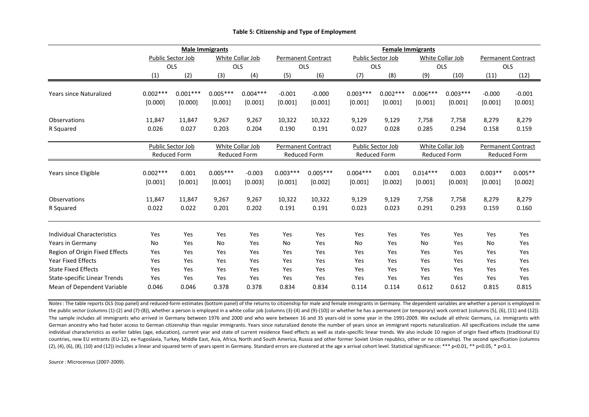|                                     | <b>Male Immigrants</b>   |                   |            |                     |                           |                           | <b>Female Immigrants</b> |            |            |                     |                           |           |
|-------------------------------------|--------------------------|-------------------|------------|---------------------|---------------------------|---------------------------|--------------------------|------------|------------|---------------------|---------------------------|-----------|
|                                     | <b>Public Sector Job</b> |                   |            | White Collar Job    |                           | <b>Permanent Contract</b> | Public Sector Job        |            |            | White Collar Job    | <b>Permanent Contract</b> |           |
|                                     | OLS                      |                   | <b>OLS</b> |                     | <b>OLS</b>                |                           | OLS                      |            | <b>OLS</b> |                     | OLS                       |           |
|                                     | (1)                      | (2)               | (3)        | (4)                 | (5)                       | (6)                       | (7)                      | (8)        | (9)        | (10)                | (11)                      | (12)      |
|                                     |                          |                   |            |                     |                           |                           |                          |            |            |                     |                           |           |
| Years since Naturalized             | $0.002***$               | $0.001***$        | $0.005***$ | $0.004***$          | $-0.001$                  | $-0.000$                  | $0.003***$               | $0.002***$ | $0.006***$ | $0.003***$          | $-0.000$                  | $-0.001$  |
|                                     | [0.000]                  | [0.000]           | [0.001]    | [0.001]             | [0.001]                   | [0.001]                   | [0.001]                  | [0.001]    | [0.001]    | [0.001]             | [0.001]                   | [0.001]   |
| <b>Observations</b>                 | 11,847                   | 11,847            | 9,267      | 9,267               | 10,322                    | 10,322                    | 9,129                    | 9,129      | 7,758      | 7,758               | 8,279                     | 8,279     |
| R Squared                           | 0.026                    | 0.027             | 0.203      | 0.204               | 0.190                     | 0.191                     | 0.027                    | 0.028      | 0.285      | 0.294               | 0.158                     | 0.159     |
|                                     |                          |                   |            |                     |                           |                           |                          |            |            |                     |                           |           |
|                                     |                          | Public Sector Job |            | White Collar Job    | <b>Permanent Contract</b> |                           | Public Sector Job        |            |            | White Collar Job    | <b>Permanent Contract</b> |           |
|                                     | <b>Reduced Form</b>      |                   |            | <b>Reduced Form</b> | <b>Reduced Form</b>       |                           | <b>Reduced Form</b>      |            |            | <b>Reduced Form</b> | <b>Reduced Form</b>       |           |
|                                     | $0.002***$               | 0.001             | $0.005***$ | $-0.003$            | $0.003***$                | $0.005***$                | $0.004***$               | 0.001      | $0.014***$ | 0.003               | $0.003**$                 | $0.005**$ |
| Years since Eligible                | [0.001]                  | [0.001]           | [0.001]    | [0.003]             | [0.001]                   | [0.002]                   | [0.001]                  | [0.002]    | [0.001]    | [0.003]             | [0.001]                   | [0.002]   |
|                                     |                          |                   |            |                     |                           |                           |                          |            |            |                     |                           |           |
| Observations                        | 11,847                   | 11,847            | 9,267      | 9,267               | 10,322                    | 10,322                    | 9,129                    | 9,129      | 7,758      | 7,758               | 8,279                     | 8,279     |
| R Squared                           | 0.022                    | 0.022             | 0.201      | 0.202               | 0.191                     | 0.191                     | 0.023                    | 0.023      | 0.291      | 0.293               | 0.159                     | 0.160     |
|                                     |                          |                   |            |                     |                           |                           |                          |            |            |                     |                           |           |
| <b>Individual Characteristics</b>   | Yes                      | Yes               | Yes        | Yes                 | Yes                       | Yes                       | Yes                      | Yes        | Yes        | Yes                 | Yes                       | Yes       |
| Years in Germany                    | <b>No</b>                | Yes               | <b>No</b>  | Yes                 | <b>No</b>                 | Yes                       | <b>No</b>                | Yes        | <b>No</b>  | Yes                 | No                        | Yes       |
| Region of Origin Fixed Effects      | Yes                      | Yes               | Yes        | Yes                 | Yes                       | Yes                       | Yes                      | Yes        | Yes        | Yes                 | Yes                       | Yes       |
| <b>Year Fixed Effects</b>           | Yes                      | Yes               | Yes        | Yes                 | Yes                       | Yes                       | Yes                      | Yes        | Yes        | Yes                 | Yes                       | Yes       |
| <b>State Fixed Effects</b>          | Yes                      | Yes               | Yes        | Yes                 | Yes                       | Yes                       | Yes                      | Yes        | Yes        | Yes                 | Yes                       | Yes       |
| <b>State-specific Linear Trends</b> | Yes                      | Yes               | Yes        | Yes                 | Yes                       | Yes                       | Yes                      | Yes        | Yes        | Yes                 | Yes                       | Yes       |
| Mean of Dependent Variable          | 0.046                    | 0.046             | 0.378      | 0.378               | 0.834                     | 0.834                     | 0.114                    | 0.114      | 0.612      | 0.612               | 0.815                     | 0.815     |

#### **Table 5: Citizenship and Type of Employment**

*Notes*: The table reports OLS (top panel) and reduced-form estimates (bottom panel) of the returns to citizenship for male and female immigrants in Germany. The dependent variables are whether a person is employed in the public sector (columns (1)-(2) and (7)-(8)), whether a person is employed in a white collar job (columns (3)-(4) and (9)-(10)) or whether he has a permanent (or temporary) work contract (columns (5), (6), (11) and (12)). The sample includes all immigrants who arrived in Germany between 1976 and 2000 and who were between 16 and 35 years-old in some year in the 1991-2009. We exclude all ethnic Germans, i.e. immigrants with German ancestry who had faster access to German citizenship than regular immigrants. Years since naturalized denote the number of years since an immigrant reports naturalization. All specifications include the same individual characteristics as earlier tables (age, education), current year and state of current residence fixed effects as well as state-specific linear trends. We also include 10 region of origin fixed effects (tradition countries, new EU entrants (EU-12), ex-Yugoslavia, Turkey, Middle East, Asia, Africa, North and South America, Russia and other former Soviet Union republics, other or no citizenship). The second specification (columns  $(2)$ ,  $(4)$ ,  $(6)$ ,  $(8)$ ,  $(10)$  and  $(12)$ ) includes a linear and squared term of years spent in Germany. Standard errors are clustered at the age x arrival cohort level. Statistical significance: \*\*\* p<0.01, \*\* p<0.05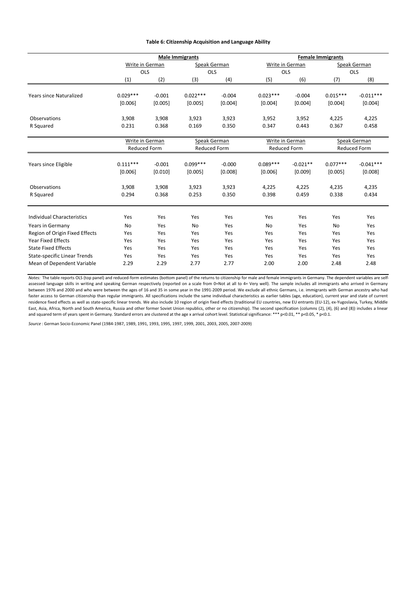### **Table 6: Citizenship Acquisition and Language Ability**

| Speak German<br>(8)<br>$-0.011***$ |
|------------------------------------|
|                                    |
|                                    |
|                                    |
|                                    |
|                                    |
| [0.004]                            |
| 4,225                              |
| 0.458                              |
|                                    |
| Speak German                       |
| Reduced Form                       |
|                                    |
| $-0.041***$                        |
| [0.008]                            |
| 4,235                              |
| 0.434                              |
|                                    |
| Yes                                |
| Yes                                |
| Yes                                |
| Yes                                |
| Yes                                |
| Yes                                |
| 2.48                               |
|                                    |

*Notes:* The table reports OLS (top panel) and reduced-form estimates (bottom panel) of the returns to citizenship for male and female immigrants in Germany. The dependent variables are selfassessed language skills in writing and speaking German respectively (reported on a scale from 0=Not at all to 4= Very well). The sample includes all immigrants who arrived in Germany between 1976 and 2000 and who were between the ages of 16 and 35 in some year in the 1991-2009 period. We exclude all ethnic Germans, i.e. immigrants with German ancestry who had faster access to German citizenship than regular immigrants. All specifications include the same individual characteristics as earlier tables (age, education), current year and state of current residence fixed effects as well as state-specific linear trends. We also include 10 region of origin fixed effects (traditional EU countries, new EU entrants (EU-12), ex-Yugoslavia, Turkey, Middle East, Asia, Africa, North and South America, Russia and other former Soviet Union republics, other or no citizenship). The second specification (columns (2), (4), (6) and (8)) includes a linear and squared term of years spent in Germany. Standard errors are clustered at the age x arrival cohort level. Statistical significance: \*\*\* p<0.01, \*\* p<0.05, \* p<0.1.

*Source* : German Socio-Economic Panel (1984-1987, 1989, 1991, 1993, 1995, 1997, 1999, 2001, 2003, 2005, 2007-2009)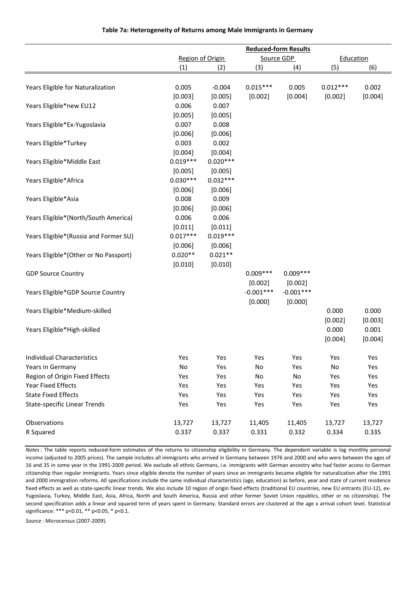| Region of Origin<br>Source GDP<br>Education<br>(1)<br>(3)<br>(4)<br>(5)<br>(6)<br>(2)<br>0.005<br>$-0.004$<br>$0.015***$<br>0.005<br>Years Eligible for Naturalization<br>$0.012***$<br>0.002<br>[0.002]<br>[0.002]<br>[0.004]<br>[0.003]<br>[0.005]<br>[0.004]<br>0.007<br>Years Eligible*new EU12<br>0.006 |         | <b>Reduced-form Results</b> |  |  |  |  |  |  |  |
|--------------------------------------------------------------------------------------------------------------------------------------------------------------------------------------------------------------------------------------------------------------------------------------------------------------|---------|-----------------------------|--|--|--|--|--|--|--|
|                                                                                                                                                                                                                                                                                                              |         |                             |  |  |  |  |  |  |  |
|                                                                                                                                                                                                                                                                                                              |         |                             |  |  |  |  |  |  |  |
|                                                                                                                                                                                                                                                                                                              |         |                             |  |  |  |  |  |  |  |
|                                                                                                                                                                                                                                                                                                              |         |                             |  |  |  |  |  |  |  |
|                                                                                                                                                                                                                                                                                                              |         |                             |  |  |  |  |  |  |  |
|                                                                                                                                                                                                                                                                                                              |         |                             |  |  |  |  |  |  |  |
|                                                                                                                                                                                                                                                                                                              | [0.005] | [0.005]                     |  |  |  |  |  |  |  |
| 0.007<br>0.008<br>Years Eligible*Ex-Yugoslavia                                                                                                                                                                                                                                                               |         |                             |  |  |  |  |  |  |  |
| [0.006]<br>[0.006]                                                                                                                                                                                                                                                                                           |         |                             |  |  |  |  |  |  |  |
| 0.003<br>0.002<br>Years Eligible*Turkey                                                                                                                                                                                                                                                                      |         |                             |  |  |  |  |  |  |  |
| [0.004]<br>[0.004]                                                                                                                                                                                                                                                                                           |         |                             |  |  |  |  |  |  |  |
| $0.019***$<br>$0.020***$<br>Years Eligible*Middle East                                                                                                                                                                                                                                                       |         |                             |  |  |  |  |  |  |  |
| [0.005]<br>[0.005]                                                                                                                                                                                                                                                                                           |         |                             |  |  |  |  |  |  |  |
| $0.030***$<br>$0.032***$<br>Years Eligible*Africa                                                                                                                                                                                                                                                            |         |                             |  |  |  |  |  |  |  |
| [0.006]<br>[0.006]                                                                                                                                                                                                                                                                                           |         |                             |  |  |  |  |  |  |  |
| 0.008<br>0.009<br>Years Eligible*Asia                                                                                                                                                                                                                                                                        |         |                             |  |  |  |  |  |  |  |
| [0.006]<br>[0.006]                                                                                                                                                                                                                                                                                           |         |                             |  |  |  |  |  |  |  |
| 0.006<br>0.006<br>Years Eligible*(North/South America)                                                                                                                                                                                                                                                       |         |                             |  |  |  |  |  |  |  |
| [0.011]<br>[0.011]                                                                                                                                                                                                                                                                                           |         |                             |  |  |  |  |  |  |  |
| $0.017***$<br>$0.019***$<br>Years Eligible*(Russia and Former SU)                                                                                                                                                                                                                                            |         |                             |  |  |  |  |  |  |  |
| [0.006]<br>[0.006]                                                                                                                                                                                                                                                                                           |         |                             |  |  |  |  |  |  |  |
| $0.020**$<br>$0.021**$<br>Years Eligible*(Other or No Passport)                                                                                                                                                                                                                                              |         |                             |  |  |  |  |  |  |  |
| [0.010]<br>[0.010]                                                                                                                                                                                                                                                                                           |         |                             |  |  |  |  |  |  |  |
| $0.009***$<br>$0.009***$<br><b>GDP Source Country</b>                                                                                                                                                                                                                                                        |         |                             |  |  |  |  |  |  |  |
| [0.002]<br>[0.002]                                                                                                                                                                                                                                                                                           |         |                             |  |  |  |  |  |  |  |
| $-0.001***$<br>$-0.001***$<br>Years Eligible*GDP Source Country                                                                                                                                                                                                                                              |         |                             |  |  |  |  |  |  |  |
| [0.000]<br>[0.000]                                                                                                                                                                                                                                                                                           |         |                             |  |  |  |  |  |  |  |
| 0.000<br>0.000<br>Years Eligible*Medium-skilled                                                                                                                                                                                                                                                              |         |                             |  |  |  |  |  |  |  |
| [0.002]<br>[0.003]                                                                                                                                                                                                                                                                                           |         |                             |  |  |  |  |  |  |  |
| 0.000<br>0.001<br>Years Eligible*High-skilled                                                                                                                                                                                                                                                                |         |                             |  |  |  |  |  |  |  |
| [0.004]<br>[0.004]                                                                                                                                                                                                                                                                                           |         |                             |  |  |  |  |  |  |  |
|                                                                                                                                                                                                                                                                                                              |         |                             |  |  |  |  |  |  |  |
| Individual Characteristics<br>Yes<br>Yes<br>Yes<br>Yes<br>Yes<br>Yes                                                                                                                                                                                                                                         |         |                             |  |  |  |  |  |  |  |
| Years in Germany<br>No<br>Yes<br>No<br>Yes<br>No<br>Yes                                                                                                                                                                                                                                                      |         |                             |  |  |  |  |  |  |  |
| Region of Origin Fixed Effects<br>No<br>No<br>Yes<br>Yes<br>Yes<br>Yes                                                                                                                                                                                                                                       |         |                             |  |  |  |  |  |  |  |
| Year Fixed Effects<br>Yes<br>Yes<br>Yes<br>Yes<br>Yes<br>Yes                                                                                                                                                                                                                                                 |         |                             |  |  |  |  |  |  |  |
| <b>State Fixed Effects</b><br>Yes<br>Yes<br>Yes<br>Yes<br>Yes<br>Yes                                                                                                                                                                                                                                         |         |                             |  |  |  |  |  |  |  |
| <b>State-specific Linear Trends</b><br>Yes<br>Yes<br>Yes<br>Yes<br>Yes<br>Yes                                                                                                                                                                                                                                |         |                             |  |  |  |  |  |  |  |
|                                                                                                                                                                                                                                                                                                              |         |                             |  |  |  |  |  |  |  |
| Observations<br>13,727<br>13,727<br>11,405<br>11,405<br>13,727<br>13,727                                                                                                                                                                                                                                     |         |                             |  |  |  |  |  |  |  |
| R Squared<br>0.337<br>0.337<br>0.331<br>0.332<br>0.334<br>0.335                                                                                                                                                                                                                                              |         |                             |  |  |  |  |  |  |  |

### **Table 7a: Heterogeneity of Returns among Male Immigrants in Germany**

*Notes*: The table reports reduced-form estimates of the returns to citizenship eligibility in Germany. The dependent variable is log monthly personal income (adjusted to 2005 prices). The sample includes all immigrants who arrived in Germany between 1976 and 2000 and who were between the ages of 16 and 35 in some year in the 1991-2009 period. We exclude all ethnic Germans, i.e. immigrants with German ancestry who had faster access to German citizenship than regular immigrants. Years since eligible denote the number of years since an immigrants became eligible for naturalization after the 1991 and 2000 immigration reforms. All specifications include the same individual characteristics (age, education) as before, year and state of current residence fixed effects as well as state-specific linear trends. We also include 10 region of origin fixed effects (traditional EU countries, new EU entrants (EU-12), ex-Yugoslavia, Turkey, Middle East, Asia, Africa, North and South America, Russia and other former Soviet Union republics, other or no citizenship). The second specification adds a linear and squared term of years spent in Germany. Standard errors are clustered at the age x arrival cohort level. Statistical significance: \*\*\* p<0.01, \*\* p<0.05, \* p<0.1.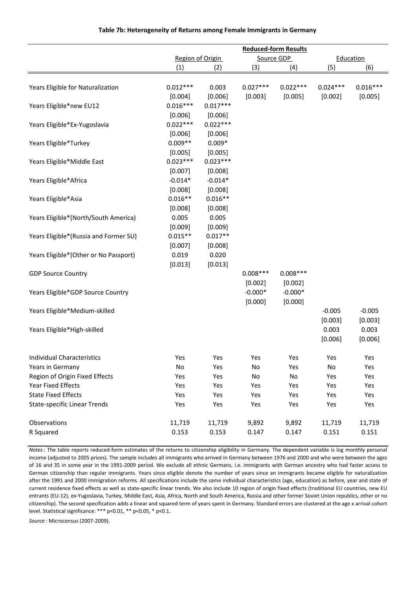|                                        | <b>Reduced-form Results</b> |            |            |            |            |            |  |  |
|----------------------------------------|-----------------------------|------------|------------|------------|------------|------------|--|--|
|                                        | Region of Origin            |            |            | Source GDP |            | Education  |  |  |
|                                        | (1)                         | (2)        | (3)        | (4)        | (5)        | (6)        |  |  |
| Years Eligible for Naturalization      | $0.012***$                  | 0.003      | $0.027***$ | $0.022***$ | $0.024***$ | $0.016***$ |  |  |
|                                        | [0.004]                     | [0.006]    | [0.003]    | [0.005]    | [0.002]    | [0.005]    |  |  |
| Years Eligible*new EU12                | $0.016***$                  | $0.017***$ |            |            |            |            |  |  |
|                                        | [0.006]                     | [0.006]    |            |            |            |            |  |  |
| Years Eligible*Ex-Yugoslavia           | $0.022***$                  | $0.022***$ |            |            |            |            |  |  |
|                                        | [0.006]                     | [0.006]    |            |            |            |            |  |  |
| Years Eligible*Turkey                  | $0.009**$                   | $0.009*$   |            |            |            |            |  |  |
|                                        | [0.005]                     | [0.005]    |            |            |            |            |  |  |
| Years Eligible*Middle East             | $0.023***$                  | $0.023***$ |            |            |            |            |  |  |
|                                        | [0.007]                     | [0.008]    |            |            |            |            |  |  |
| Years Eligible*Africa                  | $-0.014*$                   | $-0.014*$  |            |            |            |            |  |  |
|                                        | [0.008]                     | [0.008]    |            |            |            |            |  |  |
| Years Eligible*Asia                    | $0.016**$                   | $0.016**$  |            |            |            |            |  |  |
|                                        | [0.008]                     | [0.008]    |            |            |            |            |  |  |
| Years Eligible*(North/South America)   | 0.005                       | 0.005      |            |            |            |            |  |  |
|                                        | [0.009]                     | [0.009]    |            |            |            |            |  |  |
| Years Eligible*(Russia and Former SU)  | $0.015**$                   | $0.017**$  |            |            |            |            |  |  |
|                                        | [0.007]                     | [0.008]    |            |            |            |            |  |  |
| Years Eligible* (Other or No Passport) | 0.019                       | 0.020      |            |            |            |            |  |  |
|                                        | [0.013]                     | [0.013]    |            |            |            |            |  |  |
| <b>GDP Source Country</b>              |                             |            | $0.008***$ | $0.008***$ |            |            |  |  |
|                                        |                             |            | [0.002]    | [0.002]    |            |            |  |  |
| Years Eligible*GDP Source Country      |                             |            | $-0.000*$  | $-0.000*$  |            |            |  |  |
|                                        |                             |            | [0.000]    | [0.000]    |            |            |  |  |
| Years Eligible*Medium-skilled          |                             |            |            |            | $-0.005$   | $-0.005$   |  |  |
|                                        |                             |            |            |            | [0.003]    | [0.003]    |  |  |
| Years Eligible*High-skilled            |                             |            |            |            | 0.003      | 0.003      |  |  |
|                                        |                             |            |            |            | [0.006]    | [0.006]    |  |  |
|                                        |                             |            |            |            |            |            |  |  |
| <b>Individual Characteristics</b>      | Yes                         | Yes        | Yes        | Yes        | Yes        | Yes        |  |  |
| Years in Germany                       | No                          | Yes        | No         | Yes        | No         | Yes        |  |  |
| Region of Origin Fixed Effects         | Yes                         | Yes        | No         | No         | Yes        | Yes        |  |  |
| <b>Year Fixed Effects</b>              | Yes                         | Yes        | Yes        | Yes        | Yes        | Yes        |  |  |
| <b>State Fixed Effects</b>             | Yes                         | Yes        | Yes        | Yes        | Yes        | Yes        |  |  |
| <b>State-specific Linear Trends</b>    | Yes                         | Yes        | Yes        | Yes        | Yes        | Yes        |  |  |
|                                        |                             |            |            |            |            |            |  |  |
| Observations                           | 11,719                      | 11,719     | 9,892      | 9,892      | 11,719     | 11,719     |  |  |
| R Squared                              | 0.153                       | 0.153      | 0.147      | 0.147      | 0.151      | 0.151      |  |  |

## **Table 7b: Heterogeneity of Returns among Female Immigrants in Germany**

*Notes*: The table reports reduced-form estimates of the returns to citizenship eligibility in Germany. The dependent variable is log monthly personal income (adjusted to 2005 prices). The sample includes all immigrants who arrived in Germany between 1976 and 2000 and who were between the ages of 16 and 35 in some year in the 1991-2009 period. We exclude all ethnic Germans, i.e. immigrants with German ancestry who had faster access to German citizenship than regular immigrants. Years since eligible denote the number of years since an immigrants became eligible for naturalization after the 1991 and 2000 immigration reforms. All specifications include the same individual characteristics (age, education) as before, year and state of current residence fixed effects as well as state-specific linear trends. We also include 10 region of origin fixed effects (traditional EU countries, new EU entrants (EU-12), ex-Yugoslavia, Turkey, Middle East, Asia, Africa, North and South America, Russia and other former Soviet Union republics, other or no citizenship). The second specification adds a linear and squared term of years spent in Germany. Standard errors are clustered at the age x arrival cohort level. Statistical significance: \*\*\* p<0.01, \*\* p<0.05, \* p<0.1.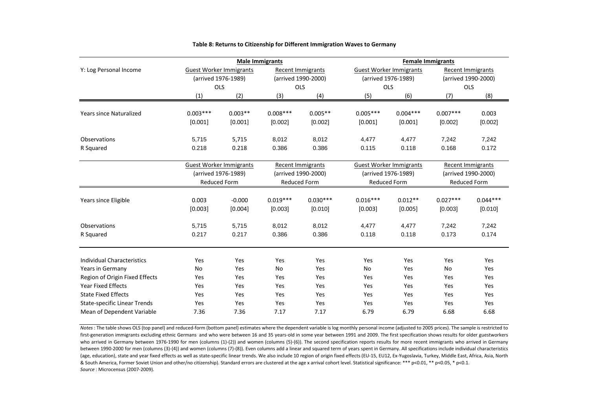|                                     |            | <b>Male Immigrants</b>         |                                            |                          | <b>Female Immigrants</b> |                                |                                                 |                     |  |  |
|-------------------------------------|------------|--------------------------------|--------------------------------------------|--------------------------|--------------------------|--------------------------------|-------------------------------------------------|---------------------|--|--|
| Y: Log Personal Income              |            | <b>Guest Worker Immigrants</b> |                                            | Recent Immigrants        |                          | <b>Guest Worker Immigrants</b> |                                                 | Recent Immigrants   |  |  |
|                                     |            | (arrived 1976-1989)            |                                            | (arrived 1990-2000)      |                          | (arrived 1976-1989)            |                                                 | (arrived 1990-2000) |  |  |
|                                     |            | OLS                            |                                            | OLS                      | <b>OLS</b>               |                                |                                                 | OLS                 |  |  |
|                                     | (1)        | (2)                            | (3)                                        | (4)                      | (5)                      | (6)                            | (7)                                             | (8)                 |  |  |
|                                     |            |                                |                                            |                          |                          |                                |                                                 |                     |  |  |
| <b>Years since Naturalized</b>      | $0.003***$ | $0.003**$                      | $0.008***$                                 | $0.005**$                | $0.005***$               | $0.004***$                     | $0.007***$                                      | 0.003               |  |  |
|                                     | [0.001]    | [0.001]                        | [0.002]                                    | [0.002]                  | [0.001]                  | [0.001]                        | [0.002]                                         | [0.002]             |  |  |
| Observations                        | 5,715      | 5,715                          | 8,012                                      | 8,012                    | 4,477                    | 4,477                          | 7,242                                           | 7,242               |  |  |
| R Squared                           | 0.218      | 0.218                          | 0.386                                      | 0.386                    | 0.115                    | 0.118                          | 0.168                                           | 0.172               |  |  |
|                                     |            |                                |                                            |                          |                          |                                |                                                 |                     |  |  |
|                                     |            | <b>Guest Worker Immigrants</b> |                                            | <b>Recent Immigrants</b> |                          | <b>Guest Worker Immigrants</b> | <b>Recent Immigrants</b><br>(arrived 1990-2000) |                     |  |  |
|                                     |            | (arrived 1976-1989)            | (arrived 1990-2000)<br><b>Reduced Form</b> |                          |                          | (arrived 1976-1989)            |                                                 |                     |  |  |
|                                     |            | <b>Reduced Form</b>            |                                            |                          | <b>Reduced Form</b>      |                                | <b>Reduced Form</b>                             |                     |  |  |
| Years since Eligible                | 0.003      | $-0.000$                       | $0.019***$                                 | $0.030***$               | $0.016***$               | $0.012**$                      | $0.027***$                                      | $0.044***$          |  |  |
|                                     | [0.003]    | [0.004]                        | [0.003]                                    | [0.010]                  | [0.003]                  | [0.005]                        | [0.003]                                         | [0.010]             |  |  |
|                                     |            |                                |                                            |                          |                          |                                |                                                 |                     |  |  |
| Observations                        | 5,715      | 5,715                          | 8,012                                      | 8,012                    | 4,477                    | 4,477                          | 7,242                                           | 7,242               |  |  |
| R Squared                           | 0.217      | 0.217                          | 0.386                                      | 0.386                    | 0.118                    | 0.118                          | 0.173                                           | 0.174               |  |  |
|                                     |            |                                |                                            |                          |                          |                                |                                                 |                     |  |  |
| <b>Individual Characteristics</b>   | Yes        | Yes                            | Yes                                        | Yes                      | Yes                      | Yes                            | Yes                                             | Yes                 |  |  |
| Years in Germany                    | <b>No</b>  | Yes                            | <b>No</b>                                  | Yes                      | <b>No</b>                | Yes                            | <b>No</b>                                       | Yes                 |  |  |
| Region of Origin Fixed Effects      | Yes        | Yes                            | Yes                                        | Yes                      | Yes                      | Yes                            | Yes                                             | Yes                 |  |  |
| <b>Year Fixed Effects</b>           | Yes        | Yes                            | Yes                                        | Yes                      | Yes                      | Yes                            | Yes                                             | Yes                 |  |  |
| <b>State Fixed Effects</b>          | Yes        | Yes                            | Yes                                        | Yes                      | Yes                      | Yes                            | Yes                                             | Yes                 |  |  |
| <b>State-specific Linear Trends</b> |            |                                |                                            |                          |                          |                                |                                                 |                     |  |  |
|                                     | Yes        | Yes                            | Yes                                        | Yes                      | Yes                      | Yes                            | Yes                                             | Yes                 |  |  |

#### **Table 8: Returns to Citizenship for Different Immigration Waves to Germany**

*Source* : Microcensus (2007-2009). *Notes* : The table shows OLS (top panel) and reduced-form (bottom panel) estimates where the dependent variable is log monthly personal income (adjusted to 2005 prices). The sample is restricted to first-generation immigrants excluding ethnic Germans and who were between 16 and 35 years-old in some year between 1991 and 2009. The first specification shows results for older guestworkers who arrived in Germany between 1976-1990 for men (columns (1)-(2)) and women (columns (5)-(6)). The second specification reports results for more recent immigrants who arrived in Germany between 1990-2000 for men (columns (3)-(4)) and women (columns (7)-(8)). Even columns add a linear and squared term of years spent in Germany. All specifications include individual characteristics (age, education), state and year fixed effects as well as state-specific linear trends. We also include 10 region of origin fixed effects (EU-15, EU12, Ex-Yugoslavia, Turkey, Middle East, Africa, Asia, North & South America, Former Soviet Union and other/no citizenship). Standard errors are clustered at the age x arrival cohort level. Statistical significance: \*\*\* p<0.01, \*\* p<0.05, \* p<0.1.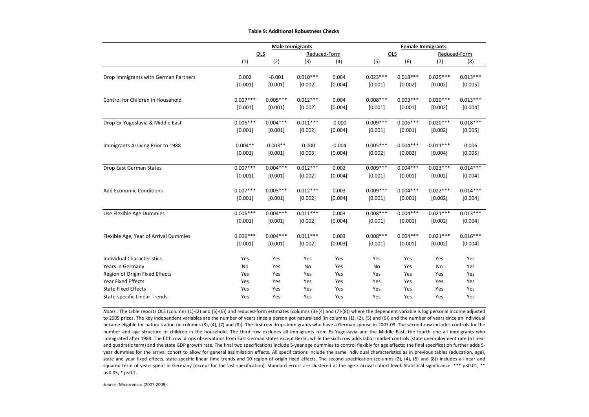|                                       |            |            | <b>Male Immigrants</b> |          |            | <b>Female Immigrants</b> |            |              |  |  |
|---------------------------------------|------------|------------|------------------------|----------|------------|--------------------------|------------|--------------|--|--|
|                                       |            | OLS        | Reduced-Form           |          |            | OLS                      |            | Reduced-Form |  |  |
|                                       | (1)        | (2)        | (3)                    | (4)      | (5)        | (6)                      | (7)        | (8)          |  |  |
|                                       |            |            |                        |          |            |                          |            |              |  |  |
| Drop Immigrants with German Partners  | 0.002      | $-0.001$   | $0.010***$             | 0.004    | $0.023***$ | $0.018***$               | $0.025***$ | $0.013***$   |  |  |
|                                       | [0.001]    | [0.001]    | [0.002]                | [0.004]  | [0.001]    | [0.002]                  | [0.002]    | [0.005]      |  |  |
| Control for Children in Household     | $0.007***$ | $0.005***$ | $0.012***$             | 0.004    | $0.008***$ | $0.003***$               | $0.020***$ | $0.013***$   |  |  |
|                                       | [0.001]    | [0.001]    | [0.002]                | [0.004]  | [0.001]    | [0.001]                  | [0.002]    | [0.004]      |  |  |
| Drop Ex-Yugoslavia & Middle East      | $0.006***$ | $0.004***$ | $0.011***$             | $-0.000$ | $0.009***$ | $0.006***$               | $0.020***$ | $0.018***$   |  |  |
|                                       | [0.001]    | [0.001]    | [0.002]                | [0.004]  | [0.001]    | [0.001]                  | [0.002]    | [0.005]      |  |  |
| Immigrants Arriving Prior to 1988     | $0.004**$  | $0.003**$  | $-0.000$               | $-0.004$ | $0.005***$ | $0.004***$               | $0.011***$ | 0.006        |  |  |
|                                       | [0.001]    | [0.001]    | [0.003]                | [0.004]  | [0.002]    | [0.002]                  | [0.004]    | [0.005]      |  |  |
| Drop East German States               | $0.007***$ | $0.004***$ | $0.012***$             | 0.002    | $0.009***$ | $0.004***$               | $0.023***$ | $0.014***$   |  |  |
|                                       | [0.001]    | [0.001]    | [0.002]                | [0.004]  | [0.001]    | [0.001]                  | [0.002]    | [0.004]      |  |  |
| <b>Add Economic Conditions</b>        | $0.007***$ | $0.005***$ | $0.012***$             | 0.003    | $0.009***$ | $0.004***$               | $0.022***$ | $0.014***$   |  |  |
|                                       | [0.001]    | [0.001]    | [0.002]                | [0.004]  | [0.001]    | [0.001]                  | [0.002]    | [0.004]      |  |  |
| Use Flexible Age Dummies              | $0.006***$ | $0.004***$ | $0.011***$             | 0.003    | $0.008***$ | $0.004***$               | $0.021***$ | $0.013***$   |  |  |
|                                       | [0.001]    | [0.001]    | [0.002]                | [0.004]  | [0.001]    | [0.001]                  | [0.002]    | [0.004]      |  |  |
| Flexible Age, Year of Arrival Dummies | $0.006***$ | $0.004***$ | $0.011***$             | 0.003    | $0.008***$ | $0.004***$               | $0.021***$ | $0.016***$   |  |  |
|                                       | [0.001]    | [0.001]    | [0.002]                | [0.003]  | [0.001]    | [0.001]                  | [0.002]    | [0.004]      |  |  |
| <b>Individual Characteristics</b>     | Yes        | Yes        | Yes                    | Yes      | Yes        | Yes                      | Yes        | Yes          |  |  |
| Years in Germany                      | No         | Yes        | No                     | Yes      | No         | Yes                      | No         | Yes          |  |  |
| Region of Origin Fixed Effects        | Yes        | Yes        | Yes                    | Yes      | Yes        | Yes                      | Yes        | Yes          |  |  |
| Year Fixed Effects                    | Yes        | Yes        | Yes                    | Yes      | Yes        | Yes                      | Yes        | Yes          |  |  |
| <b>State Fixed Effects</b>            | Yes        | Yes        | Yes                    | Yes      | Yes        | Yes                      | Yes        | Yes          |  |  |
| <b>State-specific Linear Trends</b>   | Yes        | Yes        | Yes                    | Yes      | Yes        | Yes                      | Yes        | Yes          |  |  |

#### **Table 9: Additional Robustness Checks**

*Notes*: The table reports OLS (columns (1)-(2) and (5)-(6)) and reduced-form estimates (columns (3)-(4) and (7)-(8)) where the dependent variable is log personal income adjusted to 2005 prices. The key independent variables are the number of years since a person got naturalized (in columns (1), (2), (5) and (6)) and the number of years since an individual became eligible for naturalization (in columns (3), (4), (7) and (8)). The first row drops immigrants who have a German spouse in 2007-09. The second row includes controls for the number and age structure of children in the household. The third row excludes all immigrants from Ex-Yugoslavia and the Middle East, the fourth one all immigrants who immigrated after 1988. The fifth row drops observations from East German states except Berlin, while the sixth row adds labor market controls (state unemployment rate (a linear and quadratic term) and the state GDP growth rate. The final two specifications include 5-year age dummies to control flexibly for age effects; the final specification further adds 5year dummies for the arrival cohort to allow for general assimilation effects. All specifications include the same individual characteristics as in previous tables (education, age), state and year fixed effects, state-specific linear time trends and 10 region of origin fixed effects. The second specification (columns (2), (4), (6) and (8)) includes a linear and squared term of years spent in Germany (except for the last specification). Standard errors are clustered at the age x arrival cohort level. Statistical significance: \*\*\* p<0.01, \*\* p<0.05, \* p<0.1.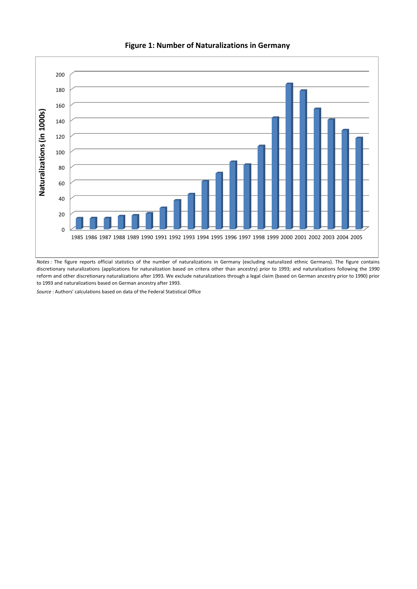

**Figure 1: Number of Naturalizations in Germany** 

*Notes*: The figure reports official statistics of the number of naturalizations in Germany (excluding naturalized ethnic Germans). The figure contains discretionary naturalizations (applications for naturalization based on critera other than ancestry) prior to 1993; and naturalizations following the 1990 reform and other discretionary naturalizations after 1993. We exclude naturalizations through a legal claim (based on German ancestry prior to 1990) prior to 1993 and naturalizations based on German ancestry after 1993.

*Source* : Authors' calculations based on data of the Federal Statistical Office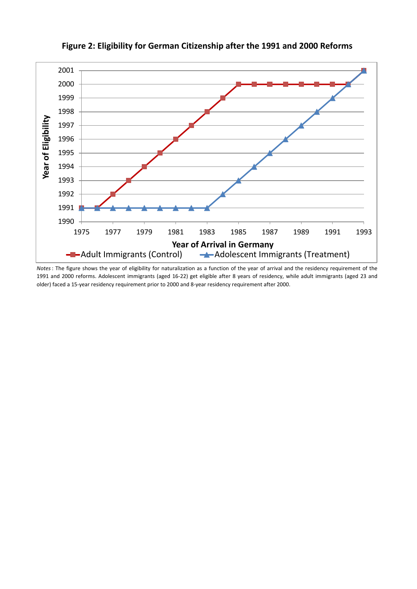

**Figure 2: Eligibility for German Citizenship after the 1991 and 2000 Reforms**

*Notes*: The figure shows the year of eligibility for naturalization as a function of the year of arrival and the residency requirement of the and 2000 reforms. Adolescent immigrants (aged 16-22) get eligible after 8 years of residency, while adult immigrants (aged 23 and older) faced a 15-year residency requirement prior to 2000 and 8-year residency requirement after 2000.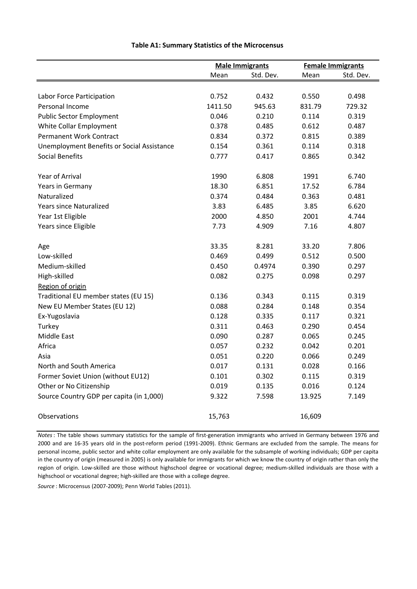|                                            |         | <b>Male Immigrants</b> |        | <b>Female Immigrants</b> |
|--------------------------------------------|---------|------------------------|--------|--------------------------|
|                                            | Mean    | Std. Dev.              | Mean   | Std. Dev.                |
|                                            |         |                        |        |                          |
| Labor Force Participation                  | 0.752   | 0.432                  | 0.550  | 0.498                    |
| Personal Income                            | 1411.50 | 945.63                 | 831.79 | 729.32                   |
| <b>Public Sector Employment</b>            | 0.046   | 0.210                  | 0.114  | 0.319                    |
| White Collar Employment                    | 0.378   | 0.485                  | 0.612  | 0.487                    |
| <b>Permanent Work Contract</b>             | 0.834   | 0.372                  | 0.815  | 0.389                    |
| Unemployment Benefits or Social Assistance | 0.154   | 0.361                  | 0.114  | 0.318                    |
| Social Benefits                            | 0.777   | 0.417                  | 0.865  | 0.342                    |
| Year of Arrival                            | 1990    | 6.808                  | 1991   | 6.740                    |
| Years in Germany                           | 18.30   | 6.851                  | 17.52  | 6.784                    |
| Naturalized                                | 0.374   | 0.484                  | 0.363  | 0.481                    |
| <b>Years since Naturalized</b>             | 3.83    | 6.485                  | 3.85   | 6.620                    |
| Year 1st Eligible                          | 2000    | 4.850                  | 2001   | 4.744                    |
| Years since Eligible                       | 7.73    | 4.909                  | 7.16   | 4.807                    |
| Age                                        | 33.35   | 8.281                  | 33.20  | 7.806                    |
| Low-skilled                                | 0.469   | 0.499                  | 0.512  | 0.500                    |
| Medium-skilled                             | 0.450   | 0.4974                 | 0.390  | 0.297                    |
| High-skilled                               | 0.082   | 0.275                  | 0.098  | 0.297                    |
| Region of origin                           |         |                        |        |                          |
| Traditional EU member states (EU 15)       | 0.136   | 0.343                  | 0.115  | 0.319                    |
| New EU Member States (EU 12)               | 0.088   | 0.284                  | 0.148  | 0.354                    |
| Ex-Yugoslavia                              | 0.128   | 0.335                  | 0.117  | 0.321                    |
| Turkey                                     | 0.311   | 0.463                  | 0.290  | 0.454                    |
| Middle East                                | 0.090   | 0.287                  | 0.065  | 0.245                    |
| Africa                                     | 0.057   | 0.232                  | 0.042  | 0.201                    |
| Asia                                       | 0.051   | 0.220                  | 0.066  | 0.249                    |
| North and South America                    | 0.017   | 0.131                  | 0.028  | 0.166                    |
| Former Soviet Union (without EU12)         | 0.101   | 0.302                  | 0.115  | 0.319                    |
| Other or No Citizenship                    | 0.019   | 0.135                  | 0.016  | 0.124                    |
| Source Country GDP per capita (in 1,000)   | 9.322   | 7.598                  | 13.925 | 7.149                    |
| Observations                               | 15,763  |                        | 16,609 |                          |

## **Table A1: Summary Statistics of the Microcensus**

*Notes*: The table shows summary statistics for the sample of first-generation immigrants who arrived in Germany between 1976 and 2000 and are 16-35 years old in the post-reform period (1991-2009). Ethnic Germans are excluded from the sample. The means for personal income, public sector and white collar employment are only available for the subsample of working individuals; GDP per capita in the country of origin (measured in 2005) is only available for immigrants for which we know the country of origin rather than only the region of origin. Low-skilled are those without highschool degree or vocational degree; medium-skilled individuals are those with a highschool or vocational degree; high-skilled are those with a college degree.

*Source* : Microcensus (2007-2009); Penn World Tables (2011).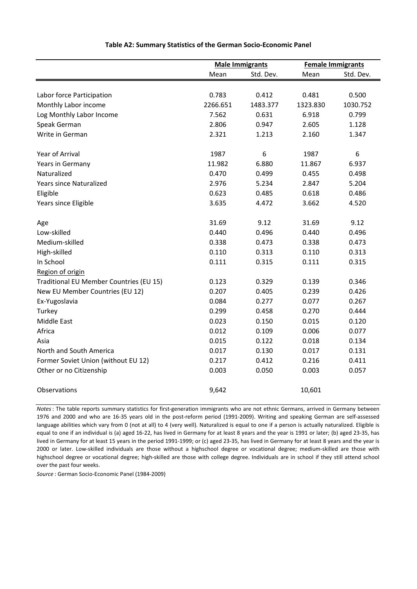|                                         |          | <b>Male Immigrants</b> | <b>Female Immigrants</b> |           |
|-----------------------------------------|----------|------------------------|--------------------------|-----------|
|                                         | Mean     | Std. Dev.              | Mean                     | Std. Dev. |
|                                         |          |                        |                          |           |
| Labor force Participation               | 0.783    | 0.412                  | 0.481                    | 0.500     |
| Monthly Labor income                    | 2266.651 | 1483.377               | 1323.830                 | 1030.752  |
| Log Monthly Labor Income                | 7.562    | 0.631                  | 6.918                    | 0.799     |
| Speak German                            | 2.806    | 0.947                  | 2.605                    | 1.128     |
| Write in German                         | 2.321    | 1.213                  | 2.160                    | 1.347     |
| Year of Arrival                         | 1987     | 6                      | 1987                     | 6         |
| Years in Germany                        | 11.982   | 6.880                  | 11.867                   | 6.937     |
| Naturalized                             | 0.470    | 0.499                  | 0.455                    | 0.498     |
| <b>Years since Naturalized</b>          | 2.976    | 5.234                  | 2.847                    | 5.204     |
| Eligible                                | 0.623    | 0.485                  | 0.618                    | 0.486     |
| Years since Eligible                    | 3.635    | 4.472                  | 3.662                    | 4.520     |
|                                         |          |                        |                          |           |
| Age                                     | 31.69    | 9.12                   | 31.69                    | 9.12      |
| Low-skilled                             | 0.440    | 0.496                  | 0.440                    | 0.496     |
| Medium-skilled                          | 0.338    | 0.473                  | 0.338                    | 0.473     |
| High-skilled                            | 0.110    | 0.313                  | 0.110                    | 0.313     |
| In School                               | 0.111    | 0.315                  | 0.111                    | 0.315     |
| Region of origin                        |          |                        |                          |           |
| Traditional EU Member Countries (EU 15) | 0.123    | 0.329                  | 0.139                    | 0.346     |
| New EU Member Countries (EU 12)         | 0.207    | 0.405                  | 0.239                    | 0.426     |
| Ex-Yugoslavia                           | 0.084    | 0.277                  | 0.077                    | 0.267     |
| Turkey                                  | 0.299    | 0.458                  | 0.270                    | 0.444     |
| Middle East                             | 0.023    | 0.150                  | 0.015                    | 0.120     |
| Africa                                  | 0.012    | 0.109                  | 0.006                    | 0.077     |
| Asia                                    | 0.015    | 0.122                  | 0.018                    | 0.134     |
| North and South America                 | 0.017    | 0.130                  | 0.017                    | 0.131     |
| Former Soviet Union (without EU 12)     | 0.217    | 0.412                  | 0.216                    | 0.411     |
| Other or no Citizenship                 | 0.003    | 0.050                  | 0.003                    | 0.057     |
| Observations                            | 9,642    |                        | 10,601                   |           |

## **Table A2: Summary Statistics of the German Socio-Economic Panel**

*Notes*: The table reports summary statistics for first-generation immigrants who are not ethnic Germans, arrived in Germany between 1976 and 2000 and who are 16-35 years old in the post-reform period (1991-2009). Writing and speaking German are self-assessed language abilities which vary from 0 (not at all) to 4 (very well). Naturalized is equal to one if a person is actually naturalized. Eligible is equal to one if an individual is (a) aged 16-22, has lived in Germany for at least 8 years and the year is 1991 or later; (b) aged 23-35, has lived in Germany for at least 15 years in the period 1991-1999; or (c) aged 23-35, has lived in Germany for at least 8 years and the year is 2000 or later. Low-skilled individuals are those without a highschool degree or vocational degree; medium-skilled are those with highschool degree or vocational degree; high-skilled are those with college degree. Individuals are in school if they still attend school over the past four weeks.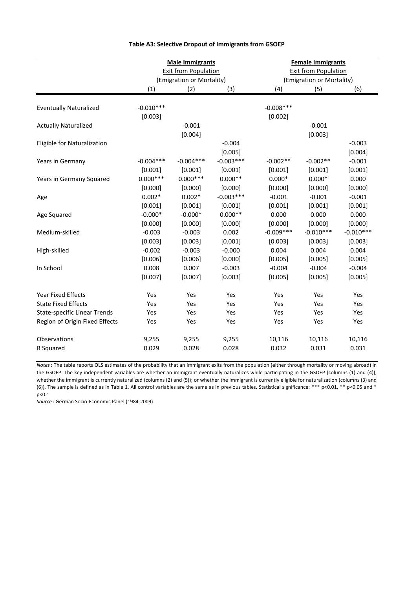|                                     |             | <b>Male Immigrants</b>      |             | <b>Female Immigrants</b>  |                             |             |  |  |
|-------------------------------------|-------------|-----------------------------|-------------|---------------------------|-----------------------------|-------------|--|--|
|                                     |             | <b>Exit from Population</b> |             |                           | <b>Exit from Population</b> |             |  |  |
|                                     |             | (Emigration or Mortality)   |             | (Emigration or Mortality) |                             |             |  |  |
|                                     | (1)         | (2)                         | (3)         | (4)                       | (5)                         | (6)         |  |  |
|                                     |             |                             |             |                           |                             |             |  |  |
| <b>Eventually Naturalized</b>       | $-0.010***$ |                             |             | $-0.008***$               |                             |             |  |  |
|                                     | [0.003]     |                             |             | [0.002]                   |                             |             |  |  |
| <b>Actually Naturalized</b>         |             | $-0.001$                    |             |                           | $-0.001$                    |             |  |  |
|                                     |             | [0.004]                     |             |                           | [0.003]                     |             |  |  |
| Eligible for Naturalization         |             |                             | $-0.004$    |                           |                             | $-0.003$    |  |  |
|                                     |             |                             | [0.005]     |                           |                             | [0.004]     |  |  |
| Years in Germany                    | $-0.004***$ | $-0.004***$                 | $-0.003***$ | $-0.002**$                | $-0.002**$                  | $-0.001$    |  |  |
|                                     | [0.001]     | [0.001]                     | [0.001]     | [0.001]                   | [0.001]                     | [0.001]     |  |  |
| Years in Germany Squared            | $0.000***$  | $0.000***$                  | $0.000**$   | $0.000*$                  | $0.000*$                    | 0.000       |  |  |
|                                     | [0.000]     | [0.000]                     | [0.000]     | [0.000]                   | [0.000]                     | [0.000]     |  |  |
| Age                                 | $0.002*$    | $0.002*$                    | $-0.003***$ | $-0.001$                  | $-0.001$                    | $-0.001$    |  |  |
|                                     | [0.001]     | [0.001]                     | [0.001]     | [0.001]                   | [0.001]                     | [0.001]     |  |  |
| Age Squared                         | $-0.000*$   | $-0.000*$                   | $0.000**$   | 0.000                     | 0.000                       | 0.000       |  |  |
|                                     | [0.000]     | [0.000]                     | [0.000]     | [0.000]                   | [0.000]                     | [0.000]     |  |  |
| Medium-skilled                      | $-0.003$    | $-0.003$                    | 0.002       | $-0.009***$               | $-0.010***$                 | $-0.010***$ |  |  |
|                                     | [0.003]     | [0.003]                     | [0.001]     | [0.003]                   | [0.003]                     | [0.003]     |  |  |
| High-skilled                        | $-0.002$    | $-0.003$                    | $-0.000$    | 0.004                     | 0.004                       | 0.004       |  |  |
|                                     | [0.006]     | [0.006]                     | [0.000]     | [0.005]                   | [0.005]                     | [0.005]     |  |  |
| In School                           | 0.008       | 0.007                       | $-0.003$    | $-0.004$                  | $-0.004$                    | $-0.004$    |  |  |
|                                     | [0.007]     | [0.007]                     | [0.003]     | [0.005]                   | [0.005]                     | [0.005]     |  |  |
| <b>Year Fixed Effects</b>           | Yes         | Yes                         | Yes         | Yes                       | Yes                         | Yes         |  |  |
| <b>State Fixed Effects</b>          | Yes         | Yes                         | Yes         | Yes                       | Yes                         | Yes         |  |  |
| <b>State-specific Linear Trends</b> | Yes         | Yes                         | Yes         | Yes                       | Yes                         | Yes         |  |  |
| Region of Origin Fixed Effects      | Yes         | Yes                         | Yes         | Yes                       | Yes                         | Yes         |  |  |
| Observations                        | 9,255       | 9,255                       | 9,255       | 10,116                    | 10,116                      | 10,116      |  |  |
| R Squared                           | 0.029       | 0.028                       | 0.028       | 0.032                     | 0.031                       | 0.031       |  |  |

## **Table A3: Selective Dropout of Immigrants from GSOEP**

*Notes*: The table reports OLS estimates of the probability that an immigrant exits from the population (either through mortality or moving abroad) in the GSOEP. The key independent variables are whether an immigrant eventually naturalizes while participating in the GSOEP (columns (1) and (4)); whether the immigrant is currently naturalized (columns (2) and (5)); or whether the immigrant is currently eligible for naturalization (columns (3) and (6)). The sample is defined as in Table 1. All control variables are the same as in previous tables. Statistical significance: \*\*\* p<0.01, \*\* p<0.05 and \* p<0.1.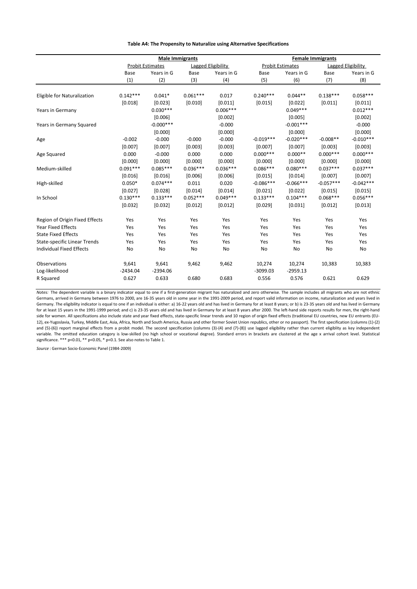#### **Table A4: The Propensity to Naturalize using Alternative Specifications**

|                                     |            | <b>Male Immigrants</b>  |            |                    | <b>Female Immigrants</b> |                         |             |                    |  |
|-------------------------------------|------------|-------------------------|------------|--------------------|--------------------------|-------------------------|-------------|--------------------|--|
|                                     |            | <b>Probit Estimates</b> |            | Lagged Eligibility |                          | <b>Probit Estimates</b> |             | Lagged Eligibility |  |
|                                     | Base       | Years in G              | Base       | Years in G         | Base                     | Years in G              | Base        | Years in G         |  |
|                                     | (1)        | (2)                     | (3)        | (4)                | (5)                      | (6)                     | (7)         | (8)                |  |
|                                     |            |                         |            |                    |                          |                         |             |                    |  |
| Eligible for Naturalization         | $0.142***$ | $0.041*$                | $0.061***$ | 0.017              | $0.240***$               | $0.044**$               | $0.138***$  | $0.058***$         |  |
|                                     | [0.018]    | [0.023]                 | [0.010]    | [0.011]            | [0.015]                  | [0.022]                 | [0.011]     | [0.011]            |  |
| Years in Germany                    |            | $0.030***$              |            | $0.006***$         |                          | $0.049***$              |             | $0.012***$         |  |
|                                     |            | [0.006]                 |            | [0.002]            |                          | [0.005]                 |             | [0.002]            |  |
| Years in Germany Squared            |            | $-0.000$ ***            |            | $-0.000$           |                          | $-0.001***$             |             | $-0.000$           |  |
|                                     |            | [0.000]                 |            | [0.000]            |                          | [0.000]                 |             | [0.000]            |  |
| Age                                 | $-0.002$   | $-0.000$                | $-0.000$   | $-0.000$           | $-0.019***$              | $-0.020***$             | $-0.008**$  | $-0.010***$        |  |
|                                     | [0.007]    | [0.007]                 | [0.003]    | [0.003]            | [0.007]                  | [0.007]                 | [0.003]     | [0.003]            |  |
| Age Squared                         | 0.000      | $-0.000$                | 0.000      | 0.000              | $0.000***$               | $0.000**$               | $0.000***$  | $0.000***$         |  |
|                                     | [0.000]    | [0.000]                 | [0.000]    | [0.000]            | [0.000]                  | [0.000]                 | [0.000]     | [0.000]            |  |
| Medium-skilled                      | $0.091***$ | $0.085***$              | $0.036***$ | $0.036***$         | $0.086***$               | $0.080***$              | $0.037***$  | $0.037***$         |  |
|                                     | [0.016]    | [0.016]                 | [0.006]    | [0.006]            | [0.015]                  | [0.014]                 | [0.007]     | [0.007]            |  |
| High-skilled                        | $0.050*$   | $0.074***$              | 0.011      | 0.020              | $-0.086***$              | $-0.066***$             | $-0.057***$ | $-0.042***$        |  |
|                                     | [0.027]    | [0.028]                 | [0.014]    | [0.014]            | [0.021]                  | [0.022]                 | [0.015]     | [0.015]            |  |
| In School                           | $0.130***$ | $0.133***$              | $0.052***$ | $0.049***$         | $0.133***$               | $0.104***$              | $0.068***$  | $0.056***$         |  |
|                                     | [0.032]    | [0.032]                 | [0.012]    | [0.012]            | [0.029]                  | [0.031]                 | [0.012]     | [0.013]            |  |
| Region of Origin Fixed Effects      | Yes        | Yes                     | Yes        | Yes                | Yes                      | Yes                     | Yes         | Yes                |  |
| <b>Year Fixed Effects</b>           | Yes        | Yes                     | Yes        | Yes                | Yes                      | Yes                     | Yes         | Yes                |  |
| <b>State Fixed Effects</b>          | Yes        | Yes                     | Yes        | Yes                | Yes                      | Yes                     | Yes         | Yes                |  |
| <b>State-specific Linear Trends</b> | Yes        | Yes                     | Yes        | Yes                | Yes                      | Yes                     | Yes         | Yes                |  |
| <b>Individual Fixed Effects</b>     | No         | No                      | No         | No                 | No                       | No                      | No          | No                 |  |
| Observations                        | 9,641      | 9,641                   | 9,462      | 9,462              | 10,274                   | 10,274                  | 10,383      | 10,383             |  |
| Log-likelihood                      | $-2434.04$ | $-2394.06$              |            |                    | $-3099.03$               | $-2959.13$              |             |                    |  |
| R Squared                           | 0.627      | 0.633                   | 0.680      | 0.683              | 0.556                    | 0.576                   | 0.621       | 0.629              |  |

*Notes:* The dependent variable is a binary indicator equal to one if a first-generation migrant has naturalized and zero otherwise. The sample includes all migrants who are not ethnic Germans, arrived in Germany between 1976 to 2000, are 16-35 years old in some year in the 1991-2009 period, and report valid information on income, naturalization and years lived in Germany. The eligibility indicator is equal to one if an individual is either: a) 16-22 years old and has lived in Germany for at least 8 years; or b) is 23-35 years old and has lived in Germany for at least 15 years in the 1991-1999 period; and c) is 23-35 years old and has lived in Germany for at least 8 years after 2000. The left-hand side reports results for men, the right-hand side for women. All specifications also include state and year fixed effects, state-specific linear trends and 10 region of origin fixed effects (traditional EU countries, new EU entrants (EU-12), ex-Yugoslavia, Turkey, Middle East, Asia, Africa, North and South America, Russia and other former Soviet Union republics, other or no passport). The first specification (columns (1)-(2) and (5)-(6)) report marginal effects from a probit model. The second specification (columns (3)-(4) and (7)-(8)) use lagged eligibility rather than current eligiblity as key independent variable. The omitted education category is low-skilled (no high school or vocational degree). Standard errors in brackets are clustered at the age x arrival cohort level. Statistical significance. \*\*\* p<0.01, \*\* p<0.05, \* p<0.1. See also notes to Table 1.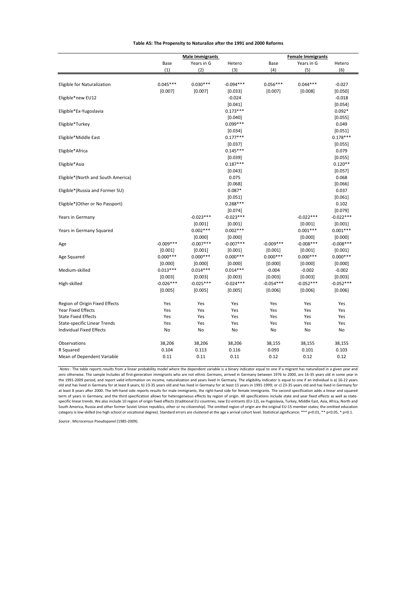|                                     |             | <b>Male Immigrants</b> |             | <b>Female Immigrants</b> |             |             |  |  |
|-------------------------------------|-------------|------------------------|-------------|--------------------------|-------------|-------------|--|--|
|                                     | Base        | Years in G             | Hetero      | Base                     | Years in G  | Hetero      |  |  |
|                                     | (1)         | (2)                    | (3)         | (4)                      | (5)         | (6)         |  |  |
|                                     |             |                        |             |                          |             |             |  |  |
| Eligible for Naturalization         | $0.045***$  | $0.030***$             | $-0.094***$ | $0.056***$               | $0.044***$  | $-0.027$    |  |  |
|                                     | [0.007]     | [0.007]                | [0.033]     | [0.007]                  | [0.008]     | [0.050]     |  |  |
| Eligible*new EU12                   |             |                        | $-0.024$    |                          |             | $-0.018$    |  |  |
|                                     |             |                        | [0.041]     |                          |             | [0.054]     |  |  |
| Eligible*Ex-Yugoslavia              |             |                        | $0.173***$  |                          |             | $0.092*$    |  |  |
|                                     |             |                        | [0.040]     |                          |             | [0.055]     |  |  |
| Eligible*Turkey                     |             |                        | $0.099***$  |                          |             | 0.049       |  |  |
|                                     |             |                        | [0.034]     |                          |             | [0.051]     |  |  |
| Eligible*Middle East                |             |                        | $0.177***$  |                          |             | $0.178***$  |  |  |
|                                     |             |                        | [0.037]     |                          |             | [0.055]     |  |  |
| Eligible*Africa                     |             |                        | $0.145***$  |                          |             | 0.079       |  |  |
|                                     |             |                        | [0.039]     |                          |             | [0.055]     |  |  |
| Eligible*Asia                       |             |                        | $0.187***$  |                          |             | $0.120**$   |  |  |
|                                     |             |                        | [0.043]     |                          |             | [0.057]     |  |  |
| Eligible*(North and South America)  |             |                        | 0.075       |                          |             | 0.068       |  |  |
|                                     |             |                        | [0.068]     |                          |             | [0.066]     |  |  |
| Eligible*(Russia and Former SU)     |             |                        | $0.087*$    |                          |             | 0.037       |  |  |
|                                     |             |                        | [0.051]     |                          |             | [0.061]     |  |  |
| Eligible*(Other or No Passport)     |             |                        | $0.288***$  |                          |             | 0.102       |  |  |
|                                     |             |                        | [0.074]     |                          |             | [0.079]     |  |  |
| Years in Germany                    |             | $-0.023***$            | $-0.023***$ |                          | $-0.022***$ | $-0.022***$ |  |  |
|                                     |             | [0.001]                | [0.001]     |                          | [0.001]     | [0.001]     |  |  |
| Years in Germany Squared            |             | $0.002***$             | $0.002***$  |                          | $0.001***$  | $0.001***$  |  |  |
|                                     |             | [0.000]                | [0.000]     |                          | [0.000]     | [0.000]     |  |  |
| Age                                 | $-0.009***$ | $-0.007***$            | $-0.007***$ | $-0.009***$              | $-0.008***$ | $-0.008***$ |  |  |
|                                     | [0.001]     | [0.001]                | [0.001]     | [0.001]                  | [0.001]     | [0.001]     |  |  |
| Age Squared                         | $0.000***$  | $0.000***$             | $0.000***$  | $0.000***$               | $0.000***$  | $0.000***$  |  |  |
|                                     | [0.000]     | [0.000]                | [0.000]     | [0.000]                  | [0.000]     | [0.000]     |  |  |
| Medium-skilled                      | $0.013***$  | $0.014***$             | $0.014***$  | $-0.004$                 | $-0.002$    | $-0.002$    |  |  |
|                                     | [0.003]     | [0.003]                | [0.003]     | [0.003]                  | [0.003]     | [0.003]     |  |  |
| High-skilled                        | $-0.026***$ | $-0.025***$            | $-0.024***$ | $-0.054***$              | $-0.052***$ | $-0.052***$ |  |  |
|                                     | [0.005]     | [0.005]                | [0.005]     | [0.006]                  | [0.006]     | [0.006]     |  |  |
|                                     |             |                        |             |                          |             |             |  |  |
| Region of Origin Fixed Effects      | Yes         | Yes                    | Yes         | Yes                      | Yes         | Yes         |  |  |
| <b>Year Fixed Effects</b>           | Yes         | Yes                    | Yes         | Yes                      | Yes         | Yes         |  |  |
| <b>State Fixed Effects</b>          | Yes         | Yes                    | Yes         | Yes                      | Yes         | Yes         |  |  |
| <b>State-specific Linear Trends</b> | Yes         | Yes                    | Yes         | Yes                      | Yes         | Yes         |  |  |
| <b>Individual Fixed Effects</b>     | No          | <b>No</b>              | <b>No</b>   | No                       | <b>No</b>   | No          |  |  |
|                                     |             |                        |             |                          |             |             |  |  |
| Observations                        | 38,206      | 38,206                 | 38,206      | 38,155                   | 38,155      | 38,155      |  |  |
| R Squared                           | 0.104       | 0.113                  | 0.116       | 0.093                    | 0.101       | 0.103       |  |  |
| Mean of Dependent Variable          | 0.11        | 0.11                   | 0.11        | 0.12                     | 0.12        | 0.12        |  |  |
|                                     |             |                        |             |                          |             |             |  |  |

#### **Table A5: The Propensity to Naturalize after the 1991 and 2000 Reforms**

*Notes*: The table reports results from a linear probability model where the dependent variable is a binary indicator equal to one if a migrant has naturalized in a given year and zero otherwise. The sample includes all first-generation immigrants who are not ethnic Germans, arrived in Germany between 1976 to 2000, are 16-35 years old in some year in the 1991-2009 period, and report valid information on income, naturalization and years lived in Germany. The eligibility indicator is equal to one if an individual is a) 16-22 years old and has lived in Germany for at least 8 years; b) 23-35 years old and has lived in Germany for at least 15 years in 1991-1999; or c) 23-35 years old and has lived in Germany for at least 8 years after 2000. The left-hand side reports results for male immigrants, the right-hand side for female immigrants. The second specification adds a linear and squared term of years in Germany; and the third specification allows for heterogeneous effects by region of origin. All specifications include state and year fixed effects as well as state-<br>specific linear trends. We also include category is low-skilled (no high school or vocational degree). Standard errors are clustered at the age x arrival cohort level. Statistical significance: \*\*\* p<0.01, \*\* p<0.05, \* p<0.1.

*Source* : Microcensus Pseudopanel (1985-2009).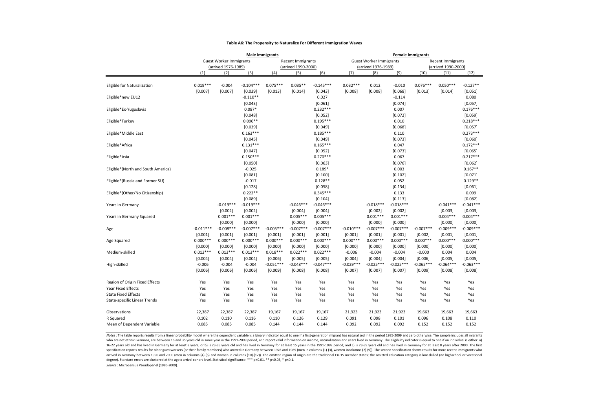|                                                  |                        | <b>Male Immigrants</b>                                |                                  |                        |                                          |                                  |                        | <b>Female Immigrants</b>                              |                             |                        |                                          |                                  |  |
|--------------------------------------------------|------------------------|-------------------------------------------------------|----------------------------------|------------------------|------------------------------------------|----------------------------------|------------------------|-------------------------------------------------------|-----------------------------|------------------------|------------------------------------------|----------------------------------|--|
|                                                  |                        | <b>Guest Worker Immigrants</b><br>(arrived 1976-1989) |                                  |                        | Recent Immigrants<br>(arrived 1990-2000) |                                  |                        | <b>Guest Worker Immigrants</b><br>(arrived 1976-1989) |                             |                        | Recent Immigrants<br>(arrived 1990-2000) |                                  |  |
|                                                  | (1)                    | (2)                                                   | (3)                              | (4)                    | (5)                                      | (6)                              | (7)                    | (8)                                                   | (9)                         | (10)                   | (11)                                     | (12)                             |  |
| Eligible for Naturalization                      | $0.019***$             | $-0.004$                                              | $-0.104***$                      | $0.075***$             | $0.035**$                                | $-0.145***$                      | $0.032***$             | 0.012                                                 | $-0.010$                    | $0.076***$             | $0.050***$                               | $-0.127**$                       |  |
| Eligible*new EU12                                | [0.007]                | [0.007]                                               | [0.039]<br>$-0.110**$            | [0.013]                | [0.014]                                  | [0.043]<br>0.027                 | [0.008]                | [0.008]                                               | [0.068]<br>$-0.114$         | [0.013]                | [0.014]                                  | [0.051]<br>0.080                 |  |
| Eligible*Ex-Yugoslavia                           |                        |                                                       | [0.043]<br>$0.087*$              |                        |                                          | [0.061]<br>$0.232***$            |                        |                                                       | [0.074]<br>0.007            |                        |                                          | [0.057]<br>$0.176***$            |  |
| Eligible*Turkey                                  |                        |                                                       | [0.048]<br>$0.096**$             |                        |                                          | [0.052]<br>$0.195***$            |                        |                                                       | [0.072]<br>0.010            |                        |                                          | [0.059]<br>$0.218***$            |  |
| Eligible*Middle East                             |                        |                                                       | [0.039]<br>$0.163***$            |                        |                                          | [0.049]<br>$0.185***$            |                        |                                                       | [0.068]<br>0.110            |                        |                                          | [0.057]<br>$0.273***$            |  |
| Eligible*Africa                                  |                        |                                                       | [0.045]<br>$0.131***$<br>[0.047] |                        |                                          | [0.049]<br>$0.165***$            |                        |                                                       | [0.073]<br>0.047<br>[0.073] |                        |                                          | [0.060]<br>$0.172***$<br>[0.065] |  |
| Eligible*Asia                                    |                        |                                                       | $0.150***$<br>[0.050]            |                        |                                          | [0.052]<br>$0.270***$<br>[0.063] |                        |                                                       | 0.067<br>[0.076]            |                        |                                          | $0.217***$<br>[0.062]            |  |
| Eligible*(North and South America)               |                        |                                                       | $-0.025$<br>[0.081]              |                        |                                          | $0.189*$<br>[0.100]              |                        |                                                       | 0.003<br>[0.102]            |                        |                                          | $0.167**$<br>[0.071]             |  |
| Eligible*(Russia and Former SU)                  |                        |                                                       | $-0.017$<br>[0.128]              |                        |                                          | $0.128**$<br>[0.058]             |                        |                                                       | 0.052<br>[0.134]            |                        |                                          | $0.129**$<br>[0.061]             |  |
| Eligible*(Other/No Citizenship)                  |                        |                                                       | $0.222**$<br>[0.089]             |                        |                                          | $0.345***$<br>[0.104]            |                        |                                                       | 0.133<br>[0.113]            |                        |                                          | 0.099<br>[0.082]                 |  |
| Years in Germany                                 |                        | $-0.019***$<br>[0.002]                                | $-0.019***$<br>[0.002]           |                        | $-0.046***$<br>[0.004]                   | $-0.046***$<br>[0.004]           |                        | $-0.018***$<br>[0.002]                                | $-0.018***$<br>[0.002]      |                        | $-0.041***$<br>[0.003]                   | $-0.041***$<br>[0.003]           |  |
| Years in Germany Squared                         |                        | $0.001***$<br>[0.000]                                 | $0.001***$<br>[0.000]            |                        | $0.005***$<br>[0.000]                    | $0.005***$<br>[0.000]            |                        | $0.001***$<br>[0.000]                                 | $0.001***$<br>[0.000]       |                        | $0.004***$<br>[0.000]                    | $0.004***$<br>[0.000]            |  |
| Age                                              | $-0.011***$<br>[0.001] | $-0.008***$<br>[0.001]                                | $-0.007***$<br>[0.001]           | $-0.005***$<br>[0.001] | $-0.007***$<br>[0.001]                   | $-0.007***$<br>[0.001]           | $-0.010***$<br>[0.001] | $-0.007***$<br>[0.001]                                | $-0.007***$<br>[0.001]      | $-0.007***$<br>[0.002] | $-0.009***$<br>[0.001]                   | $-0.009***$<br>[0.001]           |  |
| Age Squared                                      | $0.000***$<br>[0.000]  | $0.000***$<br>[0.000]                                 | $0.000***$<br>[0.000]            | $0.000***$<br>[0.000]  | $0.000***$<br>[0.000]                    | $0.000***$<br>[0.000]            | $0.000***$<br>[0.000]  | $0.000***$<br>[0.000]                                 | $0.000***$<br>[0.000]       | $0.000***$<br>[0.000]  | $0.000***$<br>[0.000]                    | $0.000***$<br>[0.000]            |  |
| Medium-skilled                                   | $0.012***$<br>[0.004]  | $0.013***$<br>[0.004]                                 | $0.013***$<br>[0.004]            | $0.018***$<br>[0.006]  | $0.022***$<br>[0.005]                    | $0.022***$<br>[0.005]            | $-0.006$<br>[0.004]    | $-0.004$<br>[0.004]                                   | $-0.004$<br>[0.004]         | $-0.000$<br>[0.006]    | 0.004<br>[0.005]                         | 0.004<br>[0.005]                 |  |
| High-skilled                                     | $-0.006$<br>[0.006]    | $-0.004$<br>[0.006]                                   | $-0.004$<br>[0.006]              | $-0.051***$<br>[0.009] | $-0.048***$<br>[0.008]                   | $-0.047***$<br>[0.008]           | $-0.029***$<br>[0.007] | $-0.025***$<br>[0.007]                                | $-0.025***$<br>[0.007]      | $-0.065***$<br>[0.009] | $-0.064***$<br>[0.008]                   | $-0.063***$<br>[0.008]           |  |
| Region of Origin Fixed Effects                   | Yes                    | Yes                                                   | Yes                              | Yes                    | Yes                                      | Yes                              | Yes                    | Yes                                                   | Yes                         | Yes                    | Yes                                      | Yes                              |  |
| Year Fixed Effects<br><b>State Fixed Effects</b> | Yes<br>Yes             | Yes                                                   | Yes                              | Yes<br>Yes             | Yes                                      | Yes                              | Yes                    | Yes<br>Yes                                            | Yes                         | Yes                    | Yes<br>Yes                               | Yes                              |  |
| State-specific Linear Trends                     | Yes                    | Yes<br>Yes                                            | Yes<br>Yes                       | Yes                    | Yes<br>Yes                               | Yes<br>Yes                       | Yes<br>Yes             | Yes                                                   | Yes<br>Yes                  | Yes<br>Yes             | Yes                                      | Yes<br>Yes                       |  |
| Observations                                     | 22,387                 | 22,387                                                | 22,387                           | 19,167                 | 19,167                                   | 19,167                           | 21,923                 | 21,923                                                | 21,923                      | 19,663                 | 19,663                                   | 19,663                           |  |
| R Squared                                        | 0.102                  | 0.110                                                 | 0.116                            | 0.110                  | 0.126                                    | 0.129                            | 0.091                  | 0.098                                                 | 0.101                       | 0.096                  | 0.108                                    | 0.110                            |  |
| Mean of Dependent Variable                       | 0.085                  | 0.085                                                 | 0.085                            | 0.144                  | 0.144                                    | 0.144                            | 0.092                  | 0.092                                                 | 0.092                       | 0.152                  | 0.152                                    | 0.152                            |  |

#### **Table A6: The Propensity to Naturalize For Different Immigration Waves**

Notes: The table reports results from a linear probability model where the dependent variable is a binary indicator equal to one if a first-generation migrant has naturalized in the period 1985-2009 and zero otherwise. The who are not ethnic Germans, are between 16 and 35 years old in some year in the 1991-2009 period, and report valid information on income, naturalization and years lived in Germany. The eligibility indicator is equal to one 16-22 years old and has lived in Germany for at least 8 years; or b) is 23-35 years old and has lived in Germany for at least 15 years in the 1991-1999 period; and c) is 23-35 years old and has lived in Germany for at leas specification reports results for older guestworkers (or their family members) who arrived in Germany between 1976 and 1989 (men in columns (1)-(3), women incolumns (7)-(9)). The second specification shows results for more arrived in Germany between 1990 and 2000 (men in columns (4)-(6) and women in columns (10)-(12)). The omitted region of origin are the traditional EU-15 member states; the omitted education category is low-skilled (no high degree). Standard errors are clustered at the age x arrival cohort level. Statistical significance: \*\*\* p<0.01, \*\* p<0.05, \* p<0.1.

*Source* : Microcensus Pseudopanel (1985-2009).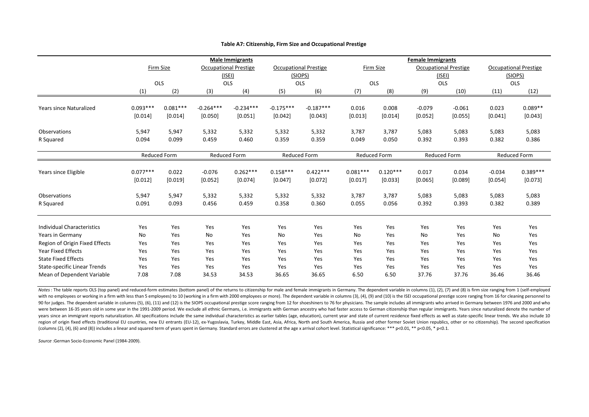|                                     | <b>Male Immigrants</b> |                     |                     |                              |                       |                              | <b>Female Immigrants</b> |                       |                              |                     |                     |                              |  |
|-------------------------------------|------------------------|---------------------|---------------------|------------------------------|-----------------------|------------------------------|--------------------------|-----------------------|------------------------------|---------------------|---------------------|------------------------------|--|
|                                     |                        | Firm Size           |                     | <b>Occupational Prestige</b> |                       | <b>Occupational Prestige</b> |                          | Firm Size             | <b>Occupational Prestige</b> |                     |                     | <b>Occupational Prestige</b> |  |
|                                     |                        |                     |                     | $($ ISEI $)$                 |                       | (SIOPS)                      |                          |                       |                              | $($ ISEI)           |                     | (SIOPS)                      |  |
|                                     |                        | OLS                 | OLS                 |                              |                       | OLS                          |                          | OLS                   |                              | OLS                 |                     | OLS                          |  |
|                                     | (1)                    | (2)                 | (3)                 | (4)                          | (5)                   | (6)                          | (7)                      | (8)                   | (9)                          | (10)                | (11)                | (12)                         |  |
| <b>Years since Naturalized</b>      | $0.093***$             | $0.081***$          | $-0.264***$         | $-0.234***$                  | $-0.175***$           | $-0.187***$                  | 0.016                    | 0.008                 | $-0.079$                     | $-0.061$            | 0.023               | $0.089**$                    |  |
|                                     | [0.014]                | [0.014]             | [0.050]             | [0.051]                      | [0.042]               | [0.043]                      | [0.013]                  | [0.014]               | [0.052]                      | [0.055]             | [0.041]             | [0.043]                      |  |
| Observations                        | 5,947                  | 5,947               | 5,332               | 5,332                        | 5,332                 | 5,332                        | 3,787                    | 3,787                 | 5,083                        | 5,083               | 5,083               | 5,083                        |  |
| R Squared                           | 0.094                  | 0.099               | 0.459               | 0.460                        | 0.359                 | 0.359                        | 0.049                    | 0.050                 | 0.392                        | 0.393               | 0.382               | 0.386                        |  |
|                                     |                        | <b>Reduced Form</b> | <b>Reduced Form</b> |                              | <b>Reduced Form</b>   |                              |                          | <b>Reduced Form</b>   |                              | <b>Reduced Form</b> |                     | <b>Reduced Form</b>          |  |
| Years since Eligible                | $0.077***$<br>[0.012]  | 0.022<br>[0.019]    | $-0.076$<br>[0.052] | $0.262***$<br>[0.074]        | $0.158***$<br>[0.047] | $0.422***$<br>[0.072]        | $0.081***$<br>[0.017]    | $0.120***$<br>[0.033] | 0.017<br>[0.065]             | 0.034<br>[0.089]    | $-0.034$<br>[0.054] | $0.389***$<br>[0.073]        |  |
|                                     |                        |                     |                     |                              |                       |                              |                          |                       |                              |                     |                     |                              |  |
| Observations                        | 5,947                  | 5,947               | 5,332               | 5,332                        | 5,332                 | 5,332                        | 3,787                    | 3,787                 | 5,083                        | 5,083               | 5,083               | 5,083                        |  |
| R Squared                           | 0.091                  | 0.093               | 0.456               | 0.459                        | 0.358                 | 0.360                        | 0.055                    | 0.056                 | 0.392                        | 0.393               | 0.382               | 0.389                        |  |
| <b>Individual Characteristics</b>   | Yes                    | Yes                 | Yes                 | Yes                          | Yes                   | Yes                          | Yes                      | Yes                   | Yes                          | Yes                 | Yes                 | Yes                          |  |
| Years in Germany                    | No                     | Yes                 | No                  | Yes                          | <b>No</b>             | Yes                          | No                       | Yes                   | No                           | Yes                 | No                  | Yes                          |  |
| Region of Origin Fixed Effects      | Yes                    | Yes                 | Yes                 | Yes                          | Yes                   | Yes                          | Yes                      | Yes                   | Yes                          | Yes                 | Yes                 | Yes                          |  |
| <b>Year Fixed Effects</b>           | Yes                    | Yes                 | Yes                 | Yes                          | Yes                   | Yes                          | Yes                      | Yes                   | Yes                          | Yes                 | Yes                 | Yes                          |  |
| <b>State Fixed Effects</b>          | Yes                    | Yes                 | Yes                 | Yes                          | Yes                   | Yes                          | Yes                      | Yes                   | Yes                          | Yes                 | Yes                 | Yes                          |  |
| <b>State-specific Linear Trends</b> | Yes                    | Yes                 | Yes                 | Yes                          | Yes                   | Yes                          | Yes                      | Yes                   | Yes                          | Yes                 | Yes                 | Yes                          |  |
| Mean of Dependent Variable          | 7.08                   | 7.08                | 34.53               | 34.53                        | 36.65                 | 36.65                        | 6.50                     | 6.50                  | 37.76                        | 37.76               | 36.46               | 36.46                        |  |

#### **Table A7: Citizenship, Firm Size and Occupational Prestige**

Notes: The table reports OLS (top panel) and reduced-form estimates (bottom panel) of the returns to citizenship for male and female immigrants in Germany. The dependent variable in columns (1), (2), (7) and (8) is firm si with no employees or working in a firm with less than 5 employees) to 10 (working in a firm with 2000 employees or more). The dependent variable in columns (3), (4), (9) and (10) is the ISEI occupational prestige score ran 90 for judges. The dependent variable in columns (5), (6), (11) and (12) is the SIOPS occupational prestige score ranging from 12 for shoeshiners to 76 for physicians. The sample includes all immigrants who arrived in Germ were between 16-35 years old in some year in the 1991-2009 period. We exclude all ethnic Germans, i.e. immigrants with German ancestry who had faster access to German citizenship than regular immigrants. Years since natura years since an immigrant reports naturalization. All specifications include the same individual characteristics as earlier tables (age, education), current year and state of current residence fixed effects as well as state region of origin fixed effects (traditional EU countries, new EU entrants (EU-12), ex-Yugoslavia, Turkey, Middle East, Asia, Africa, North and South America, Russia and other former Soviet Union republics, other or no citi (columns (2), (4), (6) and (8)) includes a linear and squared term of years spent in Germany. Standard errors are clustered at the age x arrival cohort level. Statistical significance: \*\*\* p<0.01, \*\* p<0.05, \* p<0.1.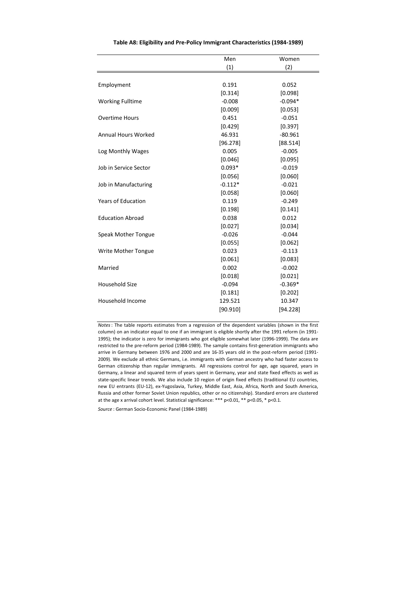|                           | Men       | Women     |
|---------------------------|-----------|-----------|
|                           | (1)       | (2)       |
|                           |           |           |
| Employment                | 0.191     | 0.052     |
|                           | [0.314]   | [0.098]   |
| <b>Working Fulltime</b>   | $-0.008$  | $-0.094*$ |
|                           | [0.009]   | [0.053]   |
| <b>Overtime Hours</b>     | 0.451     | $-0.051$  |
|                           | [0.429]   | [0.397]   |
| Annual Hours Worked       | 46.931    | $-80.961$ |
|                           | [96.278]  | [88.514]  |
| Log Monthly Wages         | 0.005     | $-0.005$  |
|                           | [0.046]   | [0.095]   |
| Job in Service Sector     | $0.093*$  | $-0.019$  |
|                           | [0.056]   | [0.060]   |
| Job in Manufacturing      | $-0.112*$ | $-0.021$  |
|                           | [0.058]   | [0.060]   |
| <b>Years of Education</b> | 0.119     | $-0.249$  |
|                           | [0.198]   | [0.141]   |
| <b>Education Abroad</b>   | 0.038     | 0.012     |
|                           | [0.027]   | [0.034]   |
| Speak Mother Tongue       | $-0.026$  | $-0.044$  |
|                           | [0.055]   | [0.062]   |
| Write Mother Tongue       | 0.023     | $-0.113$  |
|                           | [0.061]   | [0.083]   |
| Married                   | 0.002     | $-0.002$  |
|                           | [0.018]   | [0.021]   |
| <b>Household Size</b>     | $-0.094$  | $-0.369*$ |
|                           | [0.181]   | [0.202]   |
| Household Income          | 129.521   | 10.347    |
|                           | [90.910]  | [94.228]  |

**Table A8: Eligibility and Pre-Policy Immigrant Characteristics (1984-1989)**

*Notes*: The table reports estimates from a regression of the dependent variables (shown in the first column) on an indicator equal to one if an immigrant is eligible shortly after the 1991 reform (in 1991- 1995); the indicator is zero for immigrants who got eligible somewhat later (1996-1999). The data are restricted to the pre-reform period (1984-1989). The sample contains first-generation immigrants who arrive in Germany between 1976 and 2000 and are 16-35 years old in the post-reform period (1991- 2009). We exclude all ethnic Germans, i.e. immigrants with German ancestry who had faster access to German citizenship than regular immigrants. All regressions control for age, age squared, years in Germany, a linear and squared term of years spent in Germany, year and state fixed effects as well as state-specific linear trends. We also include 10 region of origin fixed effects (traditional EU countries, new EU entrants (EU-12), ex-Yugoslavia, Turkey, Middle East, Asia, Africa, North and South America, Russia and other former Soviet Union republics, other or no citizenship). Standard errors are clustered at the age x arrival cohort level. Statistical significance: \*\*\* p<0.01, \*\* p<0.05, \* p<0.1.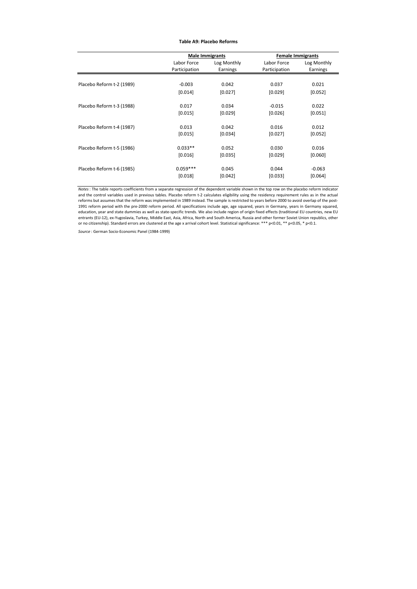#### **Table A9: Placebo Reforms**

|                           |               | <b>Male Immigrants</b> | <b>Female Immigrants</b> |             |  |  |
|---------------------------|---------------|------------------------|--------------------------|-------------|--|--|
|                           | Labor Force   | Log Monthly            | Labor Force              | Log Monthly |  |  |
|                           | Participation | Earnings               | Participation            | Earnings    |  |  |
|                           |               |                        |                          |             |  |  |
| Placebo Reform t-2 (1989) | $-0.003$      | 0.042                  | 0.037                    | 0.021       |  |  |
|                           | [0.014]       | [0.027]                | [0.029]                  | [0.052]     |  |  |
|                           |               |                        |                          |             |  |  |
| Placebo Reform t-3 (1988) | 0.017         | 0.034                  | $-0.015$                 | 0.022       |  |  |
|                           | [0.015]       | [0.029]                | [0.026]                  | [0.051]     |  |  |
|                           |               |                        |                          |             |  |  |
| Placebo Reform t-4 (1987) | 0.013         | 0.042                  | 0.016                    | 0.012       |  |  |
|                           | [0.015]       | [0.034]                | [0.027]                  | [0.052]     |  |  |
|                           |               |                        |                          |             |  |  |
| Placebo Reform t-5 (1986) | $0.033**$     | 0.052                  | 0.030                    | 0.016       |  |  |
|                           | [0.016]       | $[0.035]$              | [0.029]                  | [0.060]     |  |  |
|                           |               |                        |                          |             |  |  |
| Placebo Reform t-6 (1985) | $0.059***$    | 0.045                  | 0.044                    | $-0.063$    |  |  |
|                           | [0.018]       | [0.042]                | [0.033]                  | [0.064]     |  |  |

*Notes*: The table reports coefficients from a separate regression of the dependent variable shown in the top row on the placebo reform indicator and the control variables used in previous tables. Placebo reform t-2 calculates eligibility using the residency requirement rules as in the actual reforms but assumes that the reform was implemented in 1989 instead. The sample is restricted to years before 2000 to avoid overlap of the post-1991 reform period with the pre-2000 reform period. All specifications include age, age squared, years in Germany, years in Germany squared, education, year and state dummies as well as state-specific trends. We also include region of origin fixed effects (traditional EU countries, new EU entrants (EU-12), ex-Yugoslavia, Turkey, Middle East, Asia, Africa, North and South America, Russia and other former Soviet Union republics, other or no citizenship). Standard errors are clustered at the age x arrival cohort level. Statistical significance: \*\*\* p<0.01, \*\* p<0.05, \* p<0.1.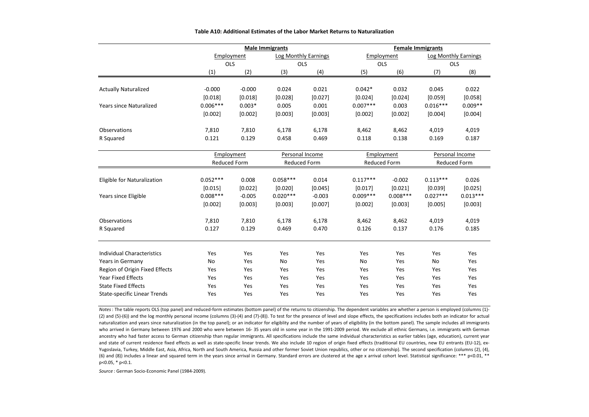|                                     |                     |            | <b>Male Immigrants</b> |                 | <b>Female Immigrants</b> |                     |                 |                      |  |
|-------------------------------------|---------------------|------------|------------------------|-----------------|--------------------------|---------------------|-----------------|----------------------|--|
|                                     | Employment          |            | Log Monthly Earnings   |                 | Employment               |                     |                 | Log Monthly Earnings |  |
|                                     |                     | <b>OLS</b> |                        | <b>OLS</b>      |                          | <b>OLS</b>          | OLS             |                      |  |
|                                     | (1)                 | (2)        | (3)                    | (4)             | (5)                      | (6)                 | (7)             | (8)                  |  |
|                                     |                     |            |                        |                 |                          |                     |                 |                      |  |
| <b>Actually Naturalized</b>         | $-0.000$            | $-0.000$   | 0.024                  | 0.021           | $0.042*$                 | 0.032               | 0.045           | 0.022                |  |
|                                     | [0.018]             | [0.018]    | [0.028]                | [0.027]         | [0.024]                  | [0.024]             | [0.059]         | [0.058]              |  |
| <b>Years since Naturalized</b>      | $0.006***$          | $0.003*$   | 0.005                  | 0.001           | $0.007***$               | 0.003               | $0.016***$      | $0.009**$            |  |
|                                     | [0.002]             | [0.002]    | [0.003]                | [0.003]         | [0.002]                  | [0.002]             | [0.004]         | [0.004]              |  |
| Observations                        | 7,810               | 7,810      | 6,178                  | 6,178           | 8,462                    | 8,462               | 4,019           | 4,019                |  |
| R Squared                           | 0.121               | 0.129      | 0.458                  | 0.469           | 0.118                    | 0.138               | 0.169           | 0.187                |  |
|                                     |                     | Employment |                        | Personal Income |                          | Employment          | Personal Income |                      |  |
|                                     | <b>Reduced Form</b> |            | <b>Reduced Form</b>    |                 |                          | <b>Reduced Form</b> |                 | Reduced Form         |  |
| Eligible for Naturalization         | $0.052***$          | 0.008      | $0.058***$             | 0.014           | $0.117***$               | $-0.002$            | $0.113***$      | 0.026                |  |
|                                     | [0.015]             | [0.022]    | [0.020]                | [0.045]         | [0.017]                  | [0.021]             | [0.039]         | [0.025]              |  |
| Years since Eligible                | $0.008***$          | $-0.005$   | $0.020***$             | $-0.003$        | $0.009***$               | $0.008***$          | $0.027***$      | $0.013***$           |  |
|                                     | [0.002]             | [0.003]    | [0.003]                | [0.007]         | [0.002]                  | [0.003]             | [0.005]         | [0.003]              |  |
| Observations                        | 7,810               | 7,810      | 6,178                  | 6,178           | 8,462                    | 8,462               | 4,019           | 4,019                |  |
| R Squared                           | 0.127               | 0.129      | 0.469                  | 0.470           | 0.126                    | 0.137               | 0.176           | 0.185                |  |
|                                     |                     |            |                        |                 |                          |                     |                 |                      |  |
| <b>Individual Characteristics</b>   | Yes                 | Yes        | Yes                    | Yes             | Yes                      | Yes                 | Yes             | Yes                  |  |
| Years in Germany                    | No                  | Yes        | No                     | Yes             | No                       | Yes                 | No              | Yes                  |  |
| Region of Origin Fixed Effects      | Yes                 | Yes        | Yes                    | Yes             | Yes                      | Yes                 | Yes             | Yes                  |  |
| <b>Year Fixed Effects</b>           | Yes                 | Yes        | Yes                    | Yes             | Yes                      | Yes                 | Yes             | Yes                  |  |
| <b>State Fixed Effects</b>          | Yes                 | Yes        | Yes                    | Yes             | Yes                      | Yes                 | Yes             | Yes                  |  |
| <b>State-specific Linear Trends</b> | Yes                 | Yes        | Yes                    | Yes             | Yes                      | Yes                 | Yes             | Yes                  |  |

#### **Table A10: Additional Estimates of the Labor Market Returns to Naturalization**

*Notes*: The table reports OLS (top panel) and reduced-form estimates (bottom panel) of the returns to citizenship. The dependent variables are whether a person is employed (columns (1)- (2) and (5)-(6)) and the log monthly personal income (columns (3)-(4) and (7)-(8)). To test for the presence of level and slope effects, the specifications includes both an indicator for actual naturalization and years since naturalization (in the top panel); or an indicator for eligibility and the number of years of eligibility (in the bottom panel). The sample includes all immigrants who arrived in Germany between 1976 and 2000 who were between 16- 35 years old in some year in the 1991-2009 period. We exclude all ethnic Germans, i.e. immigrants with German ancestry who had faster access to German citizenship than regular immigrants. All specifications include the same individual characteristics as earlier tables (age, education), current year and state of current residence fixed effects as well as state-specific linear trends. We also include 10 region of origin fixed effects (traditional EU countries, new EU entrants (EU-12), ex-Yugoslavia, Turkey, Middle East, Asia, Africa, North and South America, Russia and other former Soviet Union republics, other or no citizenship). The second specification (columns (2), (4), (6) and (8)) includes a linear and squared term in the years since arrival in Germany. Standard errors are clustered at the age x arrival cohort level. Statistical significance: \*\*\* p<0.01, \*\* p<0.05, \* p<0.1.